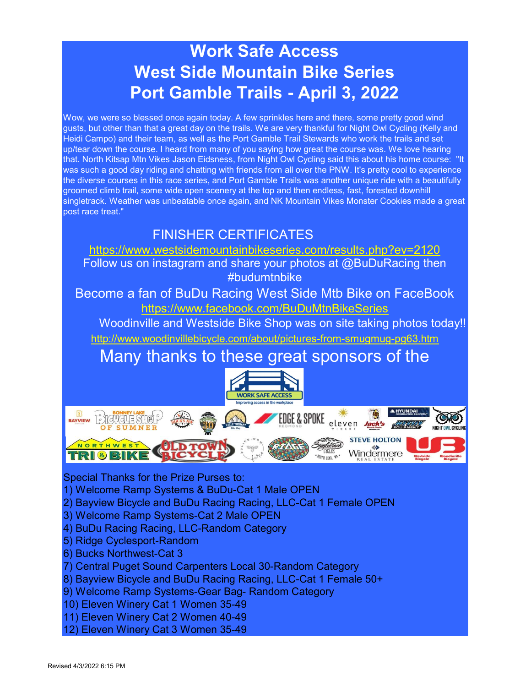# Work Safe Access West Side Mountain Bike Series Port Gamble Trails - April 3, 2022

Wow, we were so blessed once again today. A few sprinkles here and there, some pretty good wind gusts, but other than that a great day on the trails. We are very thankful for Night Owl Cycling (Kelly and Heidi Campo) and their team, as well as the Port Gamble Trail Stewards who work the trails and set up/tear down the course. I heard from many of you saying how great the course was. We love hearing that. North Kitsap Mtn Vikes Jason Eidsness, from Night Owl Cycling said this about his home course: "It was such a good day riding and chatting with friends from all over the PNW. It's pretty cool to experience the diverse courses in this race series, and Port Gamble Trails was another unique ride with a beautifully groomed climb trail, some wide open scenery at the top and then endless, fast, forested downhill singletrack. Weather was unbeatable once again, and NK Mountain Vikes Monster Cookies made a great post race treat."

# FINISHER CERTIFICATES

https://www.westsidemountainbikeseries.com/results.php?ev=2120

Follow us on instagram and share your photos at @BuDuRacing then #budumtnbike

Become a fan of BuDu Racing West Side Mtb Bike on FaceBook https://www.facebook.com/BuDuMtnBikeSeries

Woodinville and Westside Bike Shop was on site taking photos today!!

http://www.woodinvillebicycle.com/about/pictures-from-smugmug-pg63.htm

# Many thanks to these great sponsors of the



Special Thanks for the Prize Purses to:

- 1) Welcome Ramp Systems & BuDu-Cat 1 Male OPEN
- 2) Bayview Bicycle and BuDu Racing Racing, LLC-Cat 1 Female OPEN
- 3) Welcome Ramp Systems-Cat 2 Male OPEN
- 4) BuDu Racing Racing, LLC-Random Category
- 5) Ridge Cyclesport-Random
- 6) Bucks Northwest-Cat 3
- 7) Central Puget Sound Carpenters Local 30-Random Category
- 8) Bayview Bicycle and BuDu Racing Racing, LLC-Cat 1 Female 50+
- 9) Welcome Ramp Systems-Gear Bag- Random Category
- 10) Eleven Winery Cat 1 Women 35-49
- 11) Eleven Winery Cat 2 Women 40-49
- 12) Eleven Winery Cat 3 Women 35-49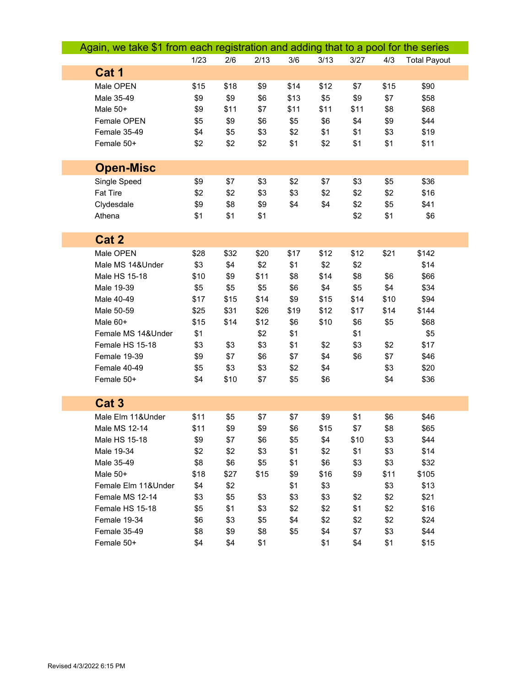| Again, we take \$1 from each registration and adding that to a pool for the series |      |      |      |      |      |      |      |                     |
|------------------------------------------------------------------------------------|------|------|------|------|------|------|------|---------------------|
|                                                                                    | 1/23 | 2/6  | 2/13 | 3/6  | 3/13 | 3/27 | 4/3  | <b>Total Payout</b> |
| Cat 1                                                                              |      |      |      |      |      |      |      |                     |
| Male OPEN                                                                          | \$15 | \$18 | \$9  | \$14 | \$12 | \$7  | \$15 | \$90                |
| Male 35-49                                                                         | \$9  | \$9  | \$6  | \$13 | \$5  | \$9  | \$7  | \$58                |
| Male 50+                                                                           | \$9  | \$11 | \$7  | \$11 | \$11 | \$11 | \$8  | \$68                |
| Female OPEN                                                                        | \$5  | \$9  | \$6  | \$5  | \$6  | \$4  | \$9  | \$44                |
| Female 35-49                                                                       | \$4  | \$5  | \$3  | \$2  | \$1  | \$1  | \$3  | \$19                |
| Female 50+                                                                         | \$2  | \$2  | \$2  | \$1  | \$2  | \$1  | \$1  | \$11                |
|                                                                                    |      |      |      |      |      |      |      |                     |
| <b>Open-Misc</b>                                                                   |      |      |      |      |      |      |      |                     |
| Single Speed                                                                       | \$9  | \$7  | \$3  | \$2  | \$7  | \$3  | \$5  | \$36                |
| Fat Tire                                                                           | \$2  | \$2  | \$3  | \$3  | \$2  | \$2  | \$2  | \$16                |
| Clydesdale                                                                         | \$9  | \$8  | \$9  | \$4  | \$4  | \$2  | \$5  | \$41                |
| Athena                                                                             | \$1  | \$1  | \$1  |      |      | \$2  | \$1  | \$6                 |
|                                                                                    |      |      |      |      |      |      |      |                     |
| Cat 2                                                                              |      |      |      |      |      |      |      |                     |
| Male OPEN                                                                          | \$28 | \$32 | \$20 | \$17 | \$12 | \$12 | \$21 | \$142               |
| Male MS 14&Under                                                                   | \$3  | \$4  | \$2  | \$1  | \$2  | \$2  |      | \$14                |
| Male HS 15-18                                                                      | \$10 | \$9  | \$11 | \$8  | \$14 | \$8  | \$6  | \$66                |
| Male 19-39                                                                         | \$5  | \$5  | \$5  | \$6  | \$4  | \$5  | \$4  | \$34                |
| Male 40-49                                                                         | \$17 | \$15 | \$14 | \$9  | \$15 | \$14 | \$10 | \$94                |
| Male 50-59                                                                         | \$25 | \$31 | \$26 | \$19 | \$12 | \$17 | \$14 | \$144               |
| Male 60+                                                                           | \$15 | \$14 | \$12 | \$6  | \$10 | \$6  | \$5  | \$68                |
| Female MS 14&Under                                                                 | \$1  |      | \$2  | \$1  |      | \$1  |      | \$5                 |
| Female HS 15-18                                                                    | \$3  | \$3  | \$3  | \$1  | \$2  | \$3  | \$2  | \$17                |
| Female 19-39                                                                       | \$9  | \$7  | \$6  | \$7  | \$4  | \$6  | \$7  | \$46                |
| Female 40-49                                                                       | \$5  | \$3  | \$3  | \$2  | \$4  |      | \$3  | \$20                |
| Female 50+                                                                         | \$4  | \$10 | \$7  | \$5  | \$6  |      | \$4  | \$36                |
|                                                                                    |      |      |      |      |      |      |      |                     |
| Cat <sub>3</sub>                                                                   |      |      |      |      |      |      |      |                     |
| Male Elm 11&Under                                                                  | \$11 | \$5  | \$7  | \$7  | \$9  | \$1  | \$6  | \$46                |
| Male MS 12-14                                                                      | \$11 | \$9  | \$9  | \$6  | \$15 | \$7  | \$8  | \$65                |
| Male HS 15-18                                                                      | \$9  | \$7  | \$6  | \$5  | \$4  | \$10 | \$3  | \$44                |
| Male 19-34                                                                         | \$2  | \$2  | \$3  | \$1  | \$2  | \$1  | \$3  | \$14                |
| Male 35-49                                                                         | \$8  | \$6  | \$5  | \$1  | \$6  | \$3  | \$3  | \$32                |
| Male 50+                                                                           | \$18 | \$27 | \$15 | \$9  | \$16 | \$9  | \$11 | \$105               |
| Female Elm 11&Under                                                                | \$4  | \$2  |      | \$1  | \$3  |      | \$3  | \$13                |
| Female MS 12-14                                                                    | \$3  | \$5  | \$3  | \$3  | \$3  | \$2  | \$2  | \$21                |
| Female HS 15-18                                                                    | \$5  | \$1  | \$3  | \$2  | \$2  | \$1  | \$2  | \$16                |
| Female 19-34                                                                       | \$6  | \$3  | \$5  | \$4  | \$2  | \$2  | \$2  | \$24                |
| Female 35-49                                                                       | \$8  | \$9  | \$8  | \$5  | \$4  | \$7  | \$3  | \$44                |
| Female 50+                                                                         | \$4  | \$4  | \$1  |      | \$1  | \$4  | \$1  | \$15                |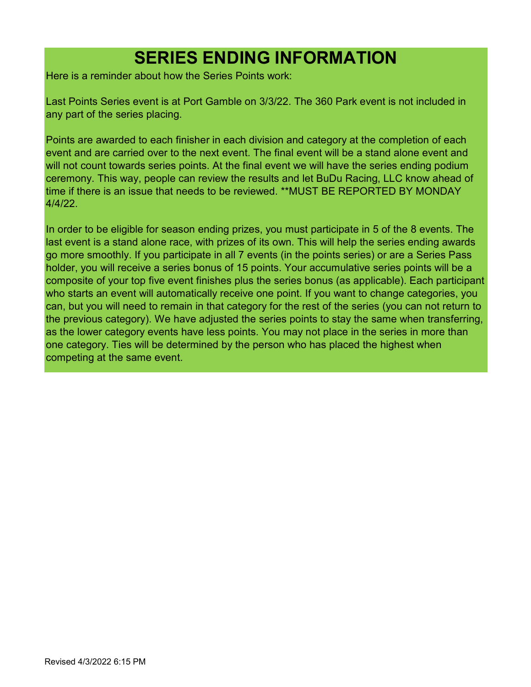# SERIES ENDING INFORMATION

Here is a reminder about how the Series Points work:

Last Points Series event is at Port Gamble on 3/3/22. The 360 Park event is not included in any part of the series placing.

Points are awarded to each finisher in each division and category at the completion of each event and are carried over to the next event. The final event will be a stand alone event and will not count towards series points. At the final event we will have the series ending podium ceremony. This way, people can review the results and let BuDu Racing, LLC know ahead of time if there is an issue that needs to be reviewed. \*\*MUST BE REPORTED BY MONDAY 4/4/22.

In order to be eligible for season ending prizes, you must participate in 5 of the 8 events. The last event is a stand alone race, with prizes of its own. This will help the series ending awards go more smoothly. If you participate in all 7 events (in the points series) or are a Series Pass holder, you will receive a series bonus of 15 points. Your accumulative series points will be a composite of your top five event finishes plus the series bonus (as applicable). Each participant who starts an event will automatically receive one point. If you want to change categories, you can, but you will need to remain in that category for the rest of the series (you can not return to the previous category). We have adjusted the series points to stay the same when transferring, as the lower category events have less points. You may not place in the series in more than one category. Ties will be determined by the person who has placed the highest when competing at the same event.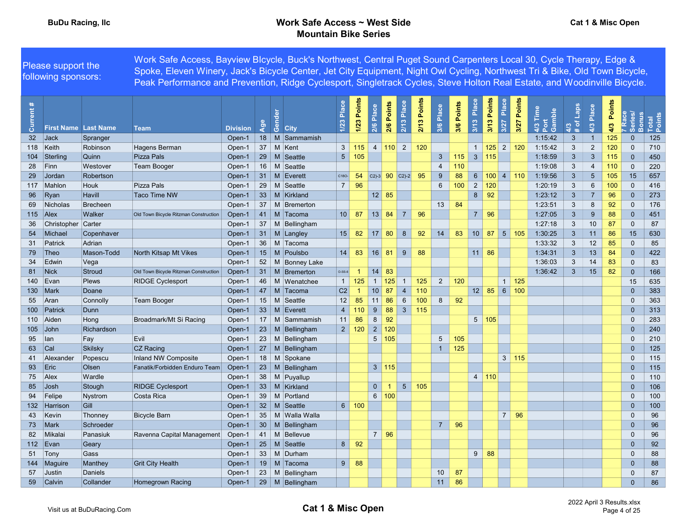|               | Please support the<br>following sponsors: |               | Work Safe Access, Bayview Blcycle, Buck's Northwest, Central Puget Sound Carpenters Local 30, Cycle Therapy, Edge &<br>Spoke, Eleven Winery, Jack's Bicycle Center, Jet City Equipment, Night Owl Cycling, Northwest Tri & Bike, Old Town Bicycle<br>Peak Performance and Prevention, Ridge Cyclesport, Singletrack Cycles, Steve Holton Real Estate, and Woodinville Bicycle. |                 |                 |                         |                 |                |              |                 |                     |             |                 |               |                |                                 |               |                       |                                    |                      |                 |            |                    |                 |
|---------------|-------------------------------------------|---------------|--------------------------------------------------------------------------------------------------------------------------------------------------------------------------------------------------------------------------------------------------------------------------------------------------------------------------------------------------------------------------------|-----------------|-----------------|-------------------------|-----------------|----------------|--------------|-----------------|---------------------|-------------|-----------------|---------------|----------------|---------------------------------|---------------|-----------------------|------------------------------------|----------------------|-----------------|------------|--------------------|-----------------|
| $\ast$<br>ent | <b>First Name Last Name</b>               |               | <b>Team</b>                                                                                                                                                                                                                                                                                                                                                                    | <b>Division</b> | Age             | 혿<br>රී<br><b>City</b>  | Place<br>$1/23$ | 1/23 Points    | Place<br>2/6 | 2/6 Points      | 2/13 Place          | 2/13 Points | Place<br>3/6    | Points<br>3/6 | Place<br>3/13  | Points<br>3/13                  | Place<br>3/27 | <b>Points</b><br>3/27 | Time<br>4/3 Time<br>Port<br>Gamble | Lap<br>$4/3$<br># of | Place<br>4/3    | 4/3 Points | <b>Bonus</b><br>ക് | Total<br>Points |
|               | 32 Jack                                   | Spranger      |                                                                                                                                                                                                                                                                                                                                                                                | Open-1          |                 | 18   M Sammamish        |                 |                |              |                 |                     |             |                 |               |                |                                 |               |                       | 1:15:42                            | $\mathbf{3}$         | $\overline{1}$  | 125        | $\overline{0}$     | 125             |
|               | 118 Keith                                 | Robinson      | Hagens Berman                                                                                                                                                                                                                                                                                                                                                                  | Open-1          | 37              | M Kent                  | $\mathbf{3}$    | 115            |              |                 | $4 \mid 110 \mid 2$ | 120         |                 |               |                | $1 \vert 125 \vert 2 \vert 120$ |               |                       | 1:15:42                            | $\mathbf{3}$         | $\overline{2}$  | 120        | $\Omega$           | 710             |
|               | 104 Sterling                              | Quinn         | Pizza Pals                                                                                                                                                                                                                                                                                                                                                                     | Open-1          | 29              | M Seattle               |                 | $5 \mid 105$   |              |                 |                     |             | $\mathbf{3}$    | 115           |                | $3 \mid 115$                    |               |                       | 1:18:59                            | $\mathbf{3}$         | $\mathbf{3}$    | 115        | $\overline{0}$     | 450             |
| 28            | Finn                                      | Westover      | <b>Team Booger</b>                                                                                                                                                                                                                                                                                                                                                             | Open-1          |                 | 16 M Seattle            |                 |                |              |                 |                     |             | $\overline{4}$  | 110           |                |                                 |               |                       | 1:19:08                            | $\mathbf{3}$         | $\overline{4}$  | 110        | $\Omega$           | 220             |
| 29            | Jordan                                    | Robertson     |                                                                                                                                                                                                                                                                                                                                                                                | Open-1          | 31              | Everett<br><b>M</b>     | C18O-           | 54             |              |                 | $C2$ -3 90 $C2$ -2  | 95          | 9               | 88            | 6 <sup>1</sup> | 100                             |               | 4 110                 | 1:19:56                            | $\mathbf{3}$         | $5\phantom{.0}$ | 105        | 15                 | 657             |
|               | 117 Mahlon                                | Houk          | Pizza Pals                                                                                                                                                                                                                                                                                                                                                                     | Open-1          | 29              | M Seattle               | 7 <sup>1</sup>  | 96             |              |                 |                     |             | 6               | 100           | $\overline{2}$ | 120                             |               |                       | 1:20:19                            | $\mathbf{3}$         | 6               | 100        | $\Omega$           | 416             |
| 96            | Rxan                                      | Havill        | <b>Taco Time NW</b>                                                                                                                                                                                                                                                                                                                                                            | Open-1          | 33              | M Kirkland              |                 |                |              | $12 \mid 85$    |                     |             |                 |               | 8              | 92                              |               |                       | 1:23:12                            | $\mathbf{3}$         | $\overline{7}$  | 96         | $\mathbf{0}$       | 273             |
| 69            | Nicholas                                  | Brecheen      |                                                                                                                                                                                                                                                                                                                                                                                | Open-1          | 37              | M<br>Bremerton          |                 |                |              |                 |                     |             | 13              | 84            |                |                                 |               |                       | 1:23:51                            | $\mathbf{3}$         | 8               | 92         | 0                  | 176             |
|               | 115 $ $ Alex                              | <b>Walker</b> | Old Town Bicycle Ritzman Construction                                                                                                                                                                                                                                                                                                                                          | Open-1          | 41              | M Tacoma                |                 | $10 \mid 87$   |              | 13 84           | 7 <sup>7</sup>      | 96          |                 |               | 7 <sup>7</sup> | 96                              |               |                       | 1:27:05                            | $\mathbf{3}$         | 9               | 88         | $\overline{0}$     | 451             |
| 36            | Christopher                               | Carter        |                                                                                                                                                                                                                                                                                                                                                                                | Open-1          | 37              | M Bellingham            |                 |                |              |                 |                     |             |                 |               |                |                                 |               |                       | 1:27:18                            | $\mathbf{3}$         | 10              | 87         | $\Omega$           | 87              |
| 54            | Michael                                   | Copenhaver    |                                                                                                                                                                                                                                                                                                                                                                                | Open-1          | 31              | M Langley               | 15 <sup>2</sup> | 82             | $17$ 80      |                 | 8                   | 92          | 14              | 83            |                | $10 \vert 87$                   |               | $5 \mid 105$          | 1:30:25                            | $\mathbf{3}$         | 11              | 86         | 15                 | 630             |
| 31            | Patrick                                   | Adrian        |                                                                                                                                                                                                                                                                                                                                                                                | Open-1          | 36              | M Tacoma                |                 |                |              |                 |                     |             |                 |               |                |                                 |               |                       | 1:33:32                            | $\mathbf{3}$         | 12              | 85         | $\Omega$           | 85              |
| 79            | $ $ Theo                                  | Mason-Todd    | North Kitsap Mt Vikes                                                                                                                                                                                                                                                                                                                                                          | Open-1          | 15              | M Poulsbo               | 14              | 83             |              | $16$ 81         | 9                   | 88          |                 |               |                | $11 \overline{\smash{)}86}$     |               |                       | 1:34:31                            | $\mathbf{3}$         | 13              | 84         | $\overline{0}$     | 422             |
| 34            | Edwin                                     | Vega          |                                                                                                                                                                                                                                                                                                                                                                                | Open-1          | 52              | M<br><b>Bonney Lake</b> |                 |                |              |                 |                     |             |                 |               |                |                                 |               |                       | 1:36:03                            | $\mathbf{3}$         | 14              | 83         | $\Omega$           | 83              |
| 81            | Nick                                      | Stroud        | Old Town Bicycle Ritzman Construction                                                                                                                                                                                                                                                                                                                                          | Open-1          | 31              | M Bremerton             | $0-SS-6$        | $\overline{1}$ |              | $14$ 83         |                     |             |                 |               |                |                                 |               |                       | 1:36:42                            | $\mathbf{3}$         | 15              | 82         | $\mathbf{0}$       | 166             |
|               | 140 $ E$ van                              | Plews         | <b>RIDGE Cyclesport</b>                                                                                                                                                                                                                                                                                                                                                        | Open-1          | 46              | M Wenatchee             |                 | $1 \mid 125$   |              | 1   125         | $\overline{1}$      | 125         | $\overline{2}$  | 120           |                |                                 |               | $1 \vert 125$         |                                    |                      |                 |            | 15                 | 635             |
|               | $130$ Mark                                | Doane         |                                                                                                                                                                                                                                                                                                                                                                                | Open-1          | 47              | M Tacoma                | C <sub>2</sub>  | $\overline{1}$ | 10           | 87              | $\overline{4}$      | 110         |                 |               | 12             | 85                              |               | 6 100                 |                                    |                      |                 |            | $\overline{0}$     | 383             |
|               | 55 Aran                                   | Connolly      | <b>Team Booger</b>                                                                                                                                                                                                                                                                                                                                                             | Open-1          |                 | 15   M Seattle          | 12              | 85             |              | $11 \,   \, 86$ | $6\phantom{1}6$     | 100         | 8               | 92            |                |                                 |               |                       |                                    |                      |                 |            | $\mathbf 0$        | 363             |
|               | 100 Patrick                               | Dunn          |                                                                                                                                                                                                                                                                                                                                                                                | Open-1          | 33              | M Everett               | $\overline{4}$  | 110            |              | $9 \mid 88$     | $3 \mid$            | 115         |                 |               |                |                                 |               |                       |                                    |                      |                 |            | $\mathbf{0}$       | 313             |
|               | 110 Aiden                                 | Hong          | Broadmark/Mt Si Racing                                                                                                                                                                                                                                                                                                                                                         | Open-1          | 17              | M Sammamish             | 11              | 86             | 8            | 92              |                     |             |                 |               |                | $5 \mid 105$                    |               |                       |                                    |                      |                 |            | $\Omega$           | 283             |
|               | 105 John                                  | Richardson    |                                                                                                                                                                                                                                                                                                                                                                                | Open-1          |                 | $23$   M   Bellingham   |                 | $2 \mid 120$   |              | $2 \mid 120$    |                     |             |                 |               |                |                                 |               |                       |                                    |                      |                 |            | $\overline{0}$     | 240             |
| 95            | ⊟lan                                      | Fay           | Evil                                                                                                                                                                                                                                                                                                                                                                           | Open-1          | 23              | M Bellingham            |                 |                |              | $5 \mid 105$    |                     |             | $5\overline{)}$ | 105           |                |                                 |               |                       |                                    |                      |                 |            | $\mathbf 0$        | 210             |
| 63            | Cal                                       | Skilsky       | CZ Racing                                                                                                                                                                                                                                                                                                                                                                      | Open-1          | 27              | M Bellingham            |                 |                |              |                 |                     |             | 1               | 125           |                |                                 |               |                       |                                    |                      |                 |            | $\overline{0}$     | 125             |
| 41            | Alexander                                 | Popescu       | Inland NW Composite                                                                                                                                                                                                                                                                                                                                                            | Open-1          |                 | 18   M Spokane          |                 |                |              |                 |                     |             |                 |               |                |                                 |               | $3 \mid 115$          |                                    |                      |                 |            | $\mathbf 0$        | 115             |
| 93            | Eric                                      | Olsen         | Fanatik/Forbidden Enduro Team                                                                                                                                                                                                                                                                                                                                                  | Open-1          | 23              | M Bellingham            |                 |                |              | 3   115         |                     |             |                 |               |                |                                 |               |                       |                                    |                      |                 |            | $\overline{0}$     | 115             |
|               | 75 Alex                                   | Wardle        |                                                                                                                                                                                                                                                                                                                                                                                | Open-1          | 38              | M Puyallup              |                 |                |              |                 |                     |             |                 |               |                | 4 110                           |               |                       |                                    |                      |                 |            | $\Omega$           | 110             |
|               | 85 Josh                                   | Stough        | <b>RIDGE Cyclesport</b>                                                                                                                                                                                                                                                                                                                                                        | Open-1          |                 | 33 M Kirkland           |                 |                | $\mathbf{0}$ | $\overline{1}$  | 5 <sup>5</sup>      | 105         |                 |               |                |                                 |               |                       |                                    |                      |                 |            | $\overline{0}$     | 106             |
| 94            | Felipe                                    | Nystrom       | Costa Rica                                                                                                                                                                                                                                                                                                                                                                     | Open-1          | 39              | M Portland              |                 |                |              | 6 100           |                     |             |                 |               |                |                                 |               |                       |                                    |                      |                 |            | $\mathbf 0$        | 100             |
|               | 132 Harrison                              | Gill          |                                                                                                                                                                                                                                                                                                                                                                                | Open-1          | 32 <sup>°</sup> | M Seattle               |                 | $6 \mid 100$   |              |                 |                     |             |                 |               |                |                                 |               |                       |                                    |                      |                 |            | $\mathbf{0}$       | 100             |
| 43            | Kevin                                     | Thonney       | <b>Bicycle Barn</b>                                                                                                                                                                                                                                                                                                                                                            | Open-1          |                 | 35   M   Walla Walla    |                 |                |              |                 |                     |             |                 |               |                |                                 |               | $7 \mid 96$           |                                    |                      |                 |            | $\mathbf 0$        | 96              |
|               | 73 Mark                                   | Schroeder     |                                                                                                                                                                                                                                                                                                                                                                                | Open-1          |                 | 30   M   Bellingham     |                 |                |              |                 |                     |             | $7^{\circ}$     | 96            |                |                                 |               |                       |                                    |                      |                 |            | $\overline{0}$     | 96              |
| 82            | Mikalai                                   | Panasiuk      | Ravenna Capital Management                                                                                                                                                                                                                                                                                                                                                     | Open-1          | 41              | M Bellevue              |                 |                |              | $7 \mid 96$     |                     |             |                 |               |                |                                 |               |                       |                                    |                      |                 |            | $\Omega$           | 96              |
|               | 112 $ E$ van                              | Geary         |                                                                                                                                                                                                                                                                                                                                                                                | Open-1          |                 | 25   M Seattle          | 8 <sup>1</sup>  | 92             |              |                 |                     |             |                 |               |                |                                 |               |                       |                                    |                      |                 |            | $\mathbf 0$        | 92              |
|               | 51   Tony                                 | Gass          |                                                                                                                                                                                                                                                                                                                                                                                | Open-1          | 33              | M Durham                |                 |                |              |                 |                     |             |                 |               |                | $9 \mid 88$                     |               |                       |                                    |                      |                 |            | $\Omega$           | 88              |
|               | 144 Maguire                               | Manthey       | <b>Grit City Health</b>                                                                                                                                                                                                                                                                                                                                                        | Open-1          | 19 <sup>°</sup> | M Tacoma                | $9^{\circ}$     | 88             |              |                 |                     |             |                 |               |                |                                 |               |                       |                                    |                      |                 |            | $\mathbf{0}$       | 88              |
|               | 57 Justin                                 | Daniels       |                                                                                                                                                                                                                                                                                                                                                                                | Open-1          |                 | 23   M Bellingham       |                 |                |              |                 |                     |             | 10 <sup>°</sup> | 87            |                |                                 |               |                       |                                    |                      |                 |            | $\Omega$           | 87              |
|               | 59 Calvin                                 | Collander     | Homegrown Racing                                                                                                                                                                                                                                                                                                                                                               | Open-1          | 29              | M Bellingham            |                 |                |              |                 |                     |             | 11              | 86            |                |                                 |               |                       |                                    |                      |                 |            | $\mathbf{0}$       | 86              |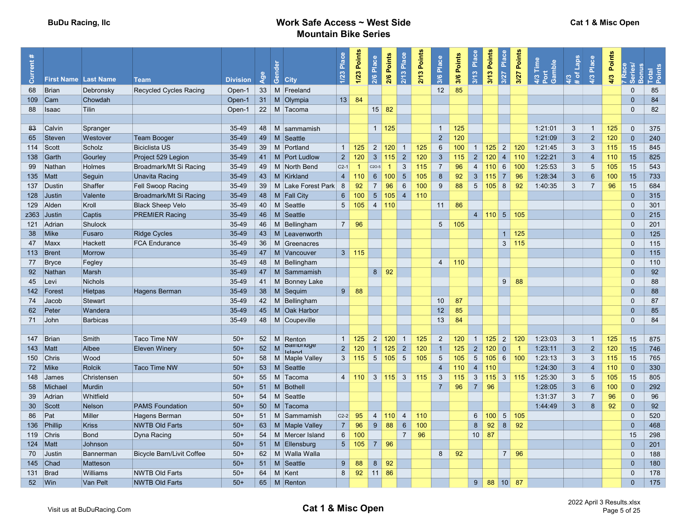| ent# |                             |                 |                                  |                 |     |                                        | 1/23 Place     | 1/23 Points    | Place           | 2/6 Points          | 2/13 Place      | Points | Place           | Points | Place           | Points       | Place           | Points  | Time<br>Gamble          | <b>Sden</b><br>ŏ | Place           | Points | <b>Series</b>           | onus<br>Points<br>$\overline{\mathbf{E}}$ |
|------|-----------------------------|-----------------|----------------------------------|-----------------|-----|----------------------------------------|----------------|----------------|-----------------|---------------------|-----------------|--------|-----------------|--------|-----------------|--------------|-----------------|---------|-------------------------|------------------|-----------------|--------|-------------------------|-------------------------------------------|
| ā    | <b>First Name Last Name</b> |                 | Team                             | <b>Division</b> | Age | ္ပြဲ City                              |                |                | 2/6             |                     |                 | 2/13   | 3/6             | 3/6    | 3/13            | 3/13         | 3/27            | 3/27    | $rac{3}{4}$ $rac{5}{6}$ | 4/3              | 4/3             | 4/3    |                         | $\circ$                                   |
| 68   | Brian                       | Debronsky       | Recycled Cycles Racing           | Open-1          |     | 33 M Freeland                          |                |                |                 |                     |                 |        | 12              | 85     |                 |              |                 |         |                         |                  |                 |        | $\Omega$                | 85                                        |
|      | 109 Cam                     | Chowdah         |                                  | Open-1          |     | 31   M   Olympia                       | 13             | 84             |                 |                     |                 |        |                 |        |                 |              |                 |         |                         |                  |                 |        | $\Omega$                | 84                                        |
| 88   | <b>I</b> saac               | <b>Tilin</b>    |                                  | Open-1          |     | 22 M Tacoma                            |                |                |                 | $15 \,   \, 82$     |                 |        |                 |        |                 |              |                 |         |                         |                  |                 |        | $\Omega$                | 82                                        |
|      |                             |                 |                                  |                 |     |                                        |                |                |                 |                     |                 |        |                 |        |                 |              |                 |         |                         |                  |                 |        |                         |                                           |
| 83   | Calvin                      | Spranger        |                                  | 35-49           |     | 48   M sammamish                       |                |                |                 | $1 \mid 125$        |                 |        | $\mathbf{1}$    | 125    |                 |              |                 |         | 1:21:01                 | $\mathbf{3}$     | $\overline{1}$  | 125    | $\mathbf 0$             | 375                                       |
| 65   | Steven                      | Westover        | <b>Team Booger</b>               | 35-49           | 49  | M Seattle                              |                |                |                 |                     |                 |        | $\overline{2}$  | 120    |                 |              |                 |         | 1:21:09                 | $\mathbf{3}$     | $\overline{2}$  | 120    | $\Omega$                | 240                                       |
|      | $114$ Scott                 | Scholz          | <b>Biciclista US</b>             | 35-49           |     | 39 M Portland                          |                | $1 \mid 125$   |                 | $2 \vert 120 \vert$ | $\overline{1}$  | 125    | 6               | 100    | $\overline{1}$  | 125          | $2 \mid 120$    |         | 1:21:45                 | 3                | 3               | 115    | 15                      | 845                                       |
|      | 138 Garth                   | Gourley         | Project 529 Legion               | $35 - 49$       |     | 41   M   Port Ludlow                   | $\overline{2}$ | 120            | $\mathbf{3}$    | 115                 | $\overline{2}$  | 120    | $\mathbf{3}$    | 115    | $\overline{2}$  | 120          | $\overline{4}$  | 110     | 1:22:21                 | $\mathbf{3}$     | $\overline{4}$  | 110    | 15                      | 825                                       |
| 99   | Nathan                      | Holmes          | Broadmark/Mt Si Racing           | 35-49           |     | 49   M   North Bend                    | $C2-1$         | $\overline{1}$ | $C2O-5$         | $\overline{1}$      | 3               | 115    | $\overline{7}$  | 96     | $\overline{4}$  | 110          | 6               | 100     | 1:25:53                 | $\mathbf{3}$     | $5\phantom{.0}$ | 105    | 15                      | 543                                       |
|      | $135$ Matt                  | Seguin          | Unavita Racing                   | 35-49           | 43  | M Kirkland                             | $\overline{4}$ | 110            | $6\overline{6}$ | 100                 | $5\phantom{.0}$ | 105    | 8               | 92     | $\mathbf{3}$    | 115          | $\mathcal{T}$   | 96      | 1:28:34                 | $\mathbf{3}$     | $6\phantom{1}6$ | 100    | 15                      | 733                                       |
|      | 137 Dustin                  | Shaffer         | Fell Swoop Racing                | 35-49           | 39  | M Lake Forest Park                     | 8              | 92             | $\overline{7}$  | 96                  | $6\phantom{1}$  | 100    | 9               | 88     | 5 <sup>5</sup>  | $105$ 8      |                 | 92      | 1:40:35                 | $\mathbf{3}$     | $\overline{7}$  | 96     | 15                      | 684                                       |
|      | 128 Justin                  | Valente         | Broadmark/Mt Si Racing           | 35-49           |     | 48   M   Fall City                     | 6              | 100            | 5 <sup>5</sup>  | 105                 | $\overline{4}$  | 110    |                 |        |                 |              |                 |         |                         |                  |                 |        | $\mathbf{0}$            | 315                                       |
|      | 129 Alden                   | Kroll           | <b>Black Sheep Velo</b>          | $35 - 49$       |     | 40   M Seattle                         | $5^{\circ}$    | 105            |                 | 4 110               |                 |        | 11              | 86     |                 |              |                 |         |                         |                  |                 |        | $\Omega$                | 301                                       |
|      | z363 Justin                 | Captis          | <b>PREMIER Racing</b>            | 35-49           |     | 46   M Seattle                         |                |                |                 |                     |                 |        |                 |        | $\overline{4}$  | $110$ 5 105  |                 |         |                         |                  |                 |        | $\Omega$                | 215                                       |
|      | 121 Adrian                  | Shulock         |                                  | 35-49           |     | 46   M Bellingham                      | 7 <sup>1</sup> | 96             |                 |                     |                 |        | $5\overline{)}$ | 105    |                 |              |                 |         |                         |                  |                 |        | $\mathbf 0$             | 201                                       |
| 38   | <b>Mike</b>                 | Fusaro          | <b>Ridge Cycles</b>              | 35-49           |     | 43   M   Leavenworth                   |                |                |                 |                     |                 |        |                 |        |                 |              | 1 <sup>1</sup>  | 125     |                         |                  |                 |        | $\Omega$                | 125                                       |
|      | 47 Maxx                     | Hackett         | <b>FCA Endurance</b>             | 35-49           |     | 36   M Greenacres                      |                |                |                 |                     |                 |        |                 |        |                 |              |                 | 3   115 |                         |                  |                 |        | $\mathbf 0$             | 115                                       |
|      | 113 Brent                   | <b>Morrow</b>   |                                  | 35-49           |     | 47   M   Vancouver                     |                | $3 \mid 115$   |                 |                     |                 |        |                 |        |                 |              |                 |         |                         |                  |                 |        | $\Omega$                | 115                                       |
|      | 77 Bryce                    | Fegley          |                                  | 35-49           |     | 48   M Bellingham                      |                |                |                 |                     |                 |        | $\overline{4}$  | 110    |                 |              |                 |         |                         |                  |                 |        | $\Omega$                | 110                                       |
|      | 92 Nathan                   | Marsh           |                                  | 35-49           |     | 47   M Sammamish                       |                |                |                 | $8 \mid 92$         |                 |        |                 |        |                 |              |                 |         |                         |                  |                 |        | $\Omega$                | 92                                        |
|      | 45 Levi                     | <b>Nichols</b>  |                                  | 35-49           |     | 41   M   Bonney Lake                   |                |                |                 |                     |                 |        |                 |        |                 |              | 9               | 88      |                         |                  |                 |        | $\Omega$                | 88                                        |
|      | 142 Forest                  | <b>Hietpas</b>  | Hagens Berman                    | 35-49           |     | 38   M Sequim                          | 9              | 88             |                 |                     |                 |        |                 |        |                 |              |                 |         |                         |                  |                 |        | $\mathbf{0}$            | 88                                        |
| 74   | Jacob                       | Stewart         |                                  | 35-49           |     | 42   M Bellingham                      |                |                |                 |                     |                 |        | 10              | 87     |                 |              |                 |         |                         |                  |                 |        | $\Omega$                | 87                                        |
| 62   | Peter                       | Wandera         |                                  | 35-49           |     | 45   M   Oak Harbor                    |                |                |                 |                     |                 |        | 12              | 85     |                 |              |                 |         |                         |                  |                 |        | $\Omega$                | 85                                        |
|      | 71 John                     | <b>Barbicas</b> |                                  | 35-49           |     | 48   M Coupeville                      |                |                |                 |                     |                 |        | 13              | 84     |                 |              |                 |         |                         |                  |                 |        | $\Omega$                | 84                                        |
|      |                             |                 |                                  |                 |     |                                        |                |                |                 |                     |                 |        |                 |        |                 |              |                 |         |                         |                  |                 |        |                         |                                           |
|      | 147 Brian                   | Smith           | <b>Taco Time NW</b>              | $50+$           |     | 52   M   Renton                        |                | $1 \mid 125$   |                 | $2 \vert 120 \vert$ | $\overline{1}$  | 125    | $\overline{2}$  | 120    | $\overline{1}$  | $125$ 2      |                 | 120     | 1:23:03                 | $\mathbf{3}$     | $\overline{1}$  | 125    | 15                      | 875                                       |
|      | $143$ Matt                  | Albee           | <b>Eleven Winery</b>             | $50+$           | 52  | <b>ballibilidge</b><br>M               | $\overline{2}$ | 120            |                 | $1 \vert 125 \vert$ | $\overline{2}$  | 120    | $\overline{1}$  | 125    | $\overline{2}$  | 120          | $\overline{0}$  |         | 1:23:11                 | $\mathbf{3}$     | $\overline{2}$  | 120    | 15                      | 746                                       |
|      | 150 Chris                   | Wood            |                                  | $50+$           |     | <b>Icland</b><br>58   M   Maple Valley | $\mathbf{3}$   | 115            |                 | $5 \,   \, 105  $   | $5\overline{)}$ | 105    | 5               | 105    | $5\overline{)}$ | 105          | 6               | 100     | 1:23:13                 | $\mathbf{3}$     | 3               | 115    | 15                      | 765                                       |
|      | 72 Mike                     | <b>Rolcik</b>   | <b>Taco Time NW</b>              | $50+$           |     | 53   M Seattle                         |                |                |                 |                     |                 |        | $\overline{4}$  | 110    | $\overline{4}$  | 110          |                 |         | 1:24:30                 | $\mathbf{3}$     | $\overline{4}$  | 110    | $\overline{0}$          | 330                                       |
|      | 148 James                   | Christensen     |                                  | $50+$           | 55  | M Tacoma                               |                | $4 \mid 110$   |                 | $3 \mid 115 \mid 3$ |                 | 115    | 3               | 115    | $\mathbf{3}$    | $115 \mid 3$ |                 | 115     | 1:25:30                 | $\mathbf{3}$     | 5               | 105    | 15                      | 805                                       |
| 58   | Michael                     | <b>Murdin</b>   |                                  | $50+$           | 51  | M Bothell                              |                |                |                 |                     |                 |        | $\overline{7}$  | 96     | $\overline{7}$  | 96           |                 |         | 1:28:05                 | $\mathbf{3}$     | 6               | 100    | $\Omega$                | 292                                       |
| 39   | <b>Adrian</b>               | Whitfield       |                                  | $50+$           | 54  | M Seattle                              |                |                |                 |                     |                 |        |                 |        |                 |              |                 |         | 1:31:37                 | 3                | $\overline{7}$  | 96     | $\Omega$                | 96                                        |
|      | 30 Scott                    | Nelson          | <b>PAMS Foundation</b>           | $50+$           |     | 50   M   Tacoma                        |                |                |                 |                     |                 |        |                 |        |                 |              |                 |         | 1:44:49                 | $\mathbf{3}$     | 8               | 92     | $\mathbf{0}$            | 92                                        |
| 86   | Pat                         | Miller          | Hagens Berman                    | $50+$           | 51  | M Sammamish                            | $C2-2$         | 95             |                 | 4 110               | $\overline{4}$  | 110    |                 |        | $6\overline{6}$ | $100$ 5 105  |                 |         |                         |                  |                 |        | $\Omega$                | 520                                       |
|      | 136 Phillip                 | <b>Kriss</b>    | <b>NWTB Old Farts</b>            | $50+$           |     | 63   M   Maple Valley                  | 7 <sup>1</sup> | 96             | $9^{\circ}$     | 88                  | $6\phantom{1}$  | 100    |                 |        | 8               | 92           | 8 <sup>1</sup>  | 92      |                         |                  |                 |        | $\mathbf{0}$            | 468                                       |
|      | 119 Chris                   | <b>Bond</b>     | Dyna Racing                      | $50+$           | 54  | M Mercer Island                        | 6              | 100            |                 |                     | $\overline{7}$  | 96     |                 |        | 10              | 87           |                 |         |                         |                  |                 |        | 15                      | 298                                       |
|      | $124$ Matt                  | Johnson         |                                  | $50+$           |     | 51   M   Ellensburg                    |                | $5 \mid 105$   |                 |                     |                 |        |                 |        |                 |              |                 |         |                         |                  |                 |        | $\mathbf{0}$            | 201                                       |
|      |                             |                 |                                  |                 |     |                                        |                |                |                 |                     |                 |        |                 |        |                 |              |                 |         |                         |                  |                 |        |                         |                                           |
|      | 70 Justin                   | Bannerman       | <b>Bicycle Barn/Livit Coffee</b> | $50+$<br>$50+$  |     | 62   M   Walla Walla                   |                |                |                 |                     |                 |        | 8               | 92     |                 |              | 7 <sup>1</sup>  | 96      |                         |                  |                 |        | $\mathbf 0$<br>$\Omega$ | 188<br>180                                |
|      | 145 Chad                    | Matteson        |                                  |                 |     | 51   M Seattle                         | 9              | 88             | 8               | 92                  |                 |        |                 |        |                 |              |                 |         |                         |                  |                 |        |                         |                                           |
|      | 131 $\vert$ Brad            | Williams        | <b>NWTB Old Farts</b>            | $50+$           | 64  | M Kent                                 | 8              | 92             | $11 \vert 86$   |                     |                 |        |                 |        |                 |              |                 |         |                         |                  |                 |        | $\Omega$                | 178                                       |
|      | 52   Win                    | <b>Van Pelt</b> | <b>NWTB Old Farts</b>            | $50+$           |     | 65 M Renton                            |                |                |                 |                     |                 |        |                 |        | 9               | 88           | 10 <sup>1</sup> | 87      |                         |                  |                 |        | $\Omega$                | 175                                       |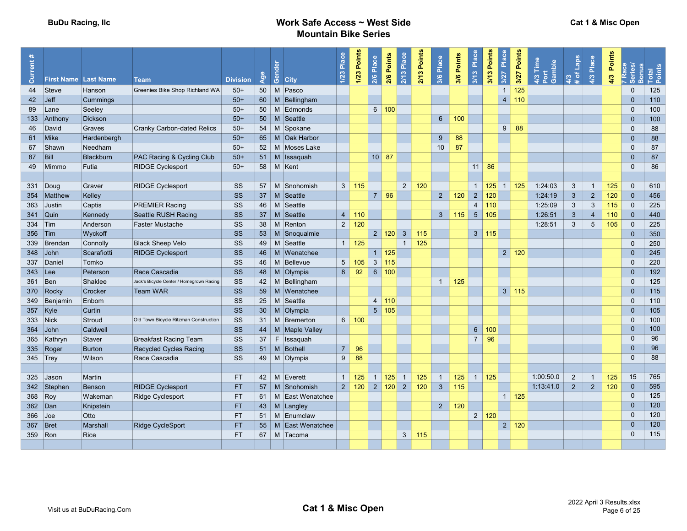| Current#   |                | <b>First Name Last Name</b> | <b>Team</b>                              | <b>Division</b> | Age | Gender      | <b>City</b>           | 1/23 Place     | 1/23 Points   | 2/6 Place       | 2/6 Points          | 2/13 Place     | 2/13 Points | 3/6 Place      | 3/6 Points | Place<br>$\overline{\frac{3}{13}}$ | 3/13 Points         | Place<br>3/27  | 3/27 Points         | 4/3 Time<br>Port<br>Gamble | 4/3<br># of Laps | 4/3 Place      | 4/3 Points | Series/<br>ന   | sonus<br>Points<br>otal |  |
|------------|----------------|-----------------------------|------------------------------------------|-----------------|-----|-------------|-----------------------|----------------|---------------|-----------------|---------------------|----------------|-------------|----------------|------------|------------------------------------|---------------------|----------------|---------------------|----------------------------|------------------|----------------|------------|----------------|-------------------------|--|
|            | 44 Steve       | Hanson                      | Greenies Bike Shop Richland WA           | $50+$           |     |             | 50 M Pasco            |                |               |                 |                     |                |             |                |            |                                    |                     | $\mathbf{1}$   | 125                 |                            |                  |                |            | $\Omega$       | 125                     |  |
| 42         | $\vert$ Jeff   | Cummings                    |                                          | $50+$           |     |             | 60   M Bellingham     |                |               |                 |                     |                |             |                |            |                                    |                     | 4              | 110                 |                            |                  |                |            | $\overline{0}$ | 110                     |  |
| 89         | $\lfloor$ Lane | Seeley                      |                                          | $50+$           |     |             | 50   M Edmonds        |                |               |                 | 6 100               |                |             |                |            |                                    |                     |                |                     |                            |                  |                |            | $\mathbf 0$    | 100                     |  |
|            | 133 Anthony    | <b>Dickson</b>              |                                          | $50+$           | 50  | M           | Seattle               |                |               |                 |                     |                |             | $\,$ 6 $\,$    | 100        |                                    |                     |                |                     |                            |                  |                |            | $\mathbf{0}$   | 100                     |  |
|            | 46 David       | Graves                      | <b>Cranky Carbon-dated Relics</b>        | $50+$           |     |             | 54 M Spokane          |                |               |                 |                     |                |             |                |            |                                    |                     | 9 <sup>1</sup> | 88                  |                            |                  |                |            | $\Omega$       | 88                      |  |
|            | 61 Mike        | Hardenbergh                 |                                          | $50+$           |     |             | 65   M Oak Harbor     |                |               |                 |                     |                |             | 9              | 88         |                                    |                     |                |                     |                            |                  |                |            | $\Omega$       | 88                      |  |
|            | 67 Shawn       | Needham                     |                                          | $50+$           |     |             | 52   M   Moses Lake   |                |               |                 |                     |                |             | 10             | 87         |                                    |                     |                |                     |                            |                  |                |            | $\mathbf{0}$   | 87                      |  |
| 87         | Bill           | <b>Blackburn</b>            | PAC Racing & Cycling Club                | $50+$           |     |             | 51   M   Issaquah     |                |               |                 | $10 \mid 87$        |                |             |                |            |                                    |                     |                |                     |                            |                  |                |            | $\Omega$       | 87                      |  |
|            | 49 Mimmo       | Futia                       | <b>RIDGE Cyclesport</b>                  | $50+$           |     |             | 58 M Kent             |                |               |                 |                     |                |             |                |            |                                    | $11 \,   \, 86$     |                |                     |                            |                  |                |            | $\Omega$       | 86                      |  |
|            |                |                             |                                          |                 |     |             |                       |                |               |                 |                     |                |             |                |            |                                    |                     |                |                     |                            |                  |                |            |                |                         |  |
|            | 331 Doug       | Graver                      | <b>RIDGE Cyclesport</b>                  | SS              | 57  |             | M Snohomish           |                | $3 \mid 115$  |                 |                     | $2^{\circ}$    | 120         |                |            | $\overline{1}$                     | 125                 | $\overline{1}$ | 125                 | 1:24:03                    | $\mathbf{3}$     | $\overline{1}$ | 125        | $\mathbf{0}$   | 610                     |  |
|            | 354 Matthew    | Kelley                      |                                          | SS              | 37  | M           | Seattle               |                |               | $\overline{7}$  | 96                  |                |             | $2^{\circ}$    | 120        | $\overline{2}$                     | 120                 |                |                     | 1:24:19                    | $\mathbf{3}$     | $\sqrt{2}$     | 120        | $\overline{0}$ | 456                     |  |
|            | 363 Justin     | Captis                      | <b>PREMIER Racing</b>                    | SS              | 46  |             | M Seattle             |                |               |                 |                     |                |             |                |            | $\overline{4}$                     | 110                 |                |                     | 1:25:09                    | $\mathbf{3}$     | 3              | 115        | $\mathbf{0}$   | 225                     |  |
|            | 341 Quin       | Kennedy                     | Seattle RUSH Racing                      | <b>SS</b>       |     |             | 37   M Seattle        | $\overline{4}$ | 110           |                 |                     |                |             | $\mathbf{3}$   | 115        | 5 <sup>5</sup>                     | 105                 |                |                     | 1:26:51                    | $\mathbf{3}$     | $\overline{4}$ | 110        | $\overline{0}$ | 440                     |  |
| 334 Tim    |                | Anderson                    | Faster Mustache                          | SS              | 38  |             | M Renton              | 2              | 120           |                 |                     |                |             |                |            |                                    |                     |                |                     | 1:28:51                    | $\mathbf{3}$     | 5              | 105        | $\mathbf{0}$   | 225                     |  |
| 356 Tim    |                | Wyckoff                     |                                          | SS              |     | $53 \mid M$ | Snoqualmie            |                |               |                 | $2 \mid 120 \mid$   | $\mathbf{3}$   | 115         |                |            |                                    | 3   115             |                |                     |                            |                  |                |            | $\mathbf{0}$   | 350                     |  |
|            | 339 Brendan    | Connolly                    | <b>Black Sheep Velo</b>                  | SS              |     |             | 49   M Seattle        |                | $1 \mid 125$  |                 |                     | $\mathbf{1}$   | 125         |                |            |                                    |                     |                |                     |                            |                  |                |            | $\Omega$       | 250                     |  |
|            | 348 John       | Scarafiotti                 | <b>RIDGE Cyclesport</b>                  | <b>SS</b>       |     |             | 46   M   Wenatchee    |                |               |                 | $1 \vert 125$       |                |             |                |            |                                    |                     |                | $2 \mid 120$        |                            |                  |                |            | $\Omega$       | 245                     |  |
|            | 337 Daniel     | Tomko                       |                                          | SS              |     | $46$ M      | Bellevue              | 5 <sup>1</sup> | 105           |                 | $3 \mid 115$        |                |             |                |            |                                    |                     |                |                     |                            |                  |                |            | $\mathbf{0}$   | 220                     |  |
| 343 Lee    |                | Peterson                    | Race Cascadia                            | SS              |     |             | 48   M Olympia        | 8              | 92            | $6\overline{6}$ | 100                 |                |             |                |            |                                    |                     |                |                     |                            |                  |                |            | $\overline{0}$ | 192                     |  |
| 361 Ben    |                | Shaklee                     | Jack's Bicycle Center / Homegrown Racing | SS              |     |             | 42   M Bellingham     |                |               |                 |                     |                |             | $\overline{1}$ | 125        |                                    |                     |                |                     |                            |                  |                |            | $\Omega$       | 125                     |  |
|            | 370 Rocky      | Crocker                     | <b>Team WAR</b>                          | SS              | 59  |             | M Wenatchee           |                |               |                 |                     |                |             |                |            |                                    |                     |                | $3 \mid 115$        |                            |                  |                |            | $\Omega$       | 115                     |  |
|            | 349 Benjamin   | Enbom                       |                                          | SS              |     |             | 25 M Seattle          |                |               |                 | 4 110               |                |             |                |            |                                    |                     |                |                     |                            |                  |                |            | $\Omega$       | 110                     |  |
| 357 Kyle   |                | Curtin                      |                                          | SS              |     | $30 \mid M$ | Olympia               |                |               |                 | 5 105               |                |             |                |            |                                    |                     |                |                     |                            |                  |                |            | $\overline{0}$ | 105                     |  |
| 333 Nick   |                | Stroud                      | Old Town Bicycle Ritzman Construction    | SS              |     |             | 31   M   Bremerton    |                | 6 100         |                 |                     |                |             |                |            |                                    |                     |                |                     |                            |                  |                |            | $\overline{0}$ | 100                     |  |
|            | $364$ John     | Caldwell                    |                                          | <b>SS</b>       |     |             | 44   M   Maple Valley |                |               |                 |                     |                |             |                |            | $6\overline{6}$                    | 100                 |                |                     |                            |                  |                |            | $\Omega$       | 100                     |  |
|            | 365 Kathryn    | Staver                      | <b>Breakfast Racing Team</b>             | <b>SS</b>       | 37  | F           | Issaquah              |                |               |                 |                     |                |             |                |            | $\overline{7}$                     | 96                  |                |                     |                            |                  |                |            | $\Omega$       | 96                      |  |
|            | 335 Roger      | <b>Burton</b>               | <b>Recycled Cycles Racing</b>            | <b>SS</b>       |     |             | 51   M   Bothell      | 7 <sup>1</sup> | 96            |                 |                     |                |             |                |            |                                    |                     |                |                     |                            |                  |                |            | $\Omega$       | 96                      |  |
| $345$ Trey |                | Wilson                      | Race Cascadia                            | <b>SS</b>       |     |             | 49 M Olympia          | 9              | 88            |                 |                     |                |             |                |            |                                    |                     |                |                     |                            |                  |                |            | $\Omega$       | 88                      |  |
|            |                |                             |                                          |                 |     |             |                       |                |               |                 |                     |                |             |                |            |                                    |                     |                |                     |                            |                  |                |            |                |                         |  |
|            | 325 Jason      | Martin                      |                                          | <b>FT</b>       |     |             | 42 M Everett          | 1 <sup>1</sup> | 125           |                 | $1 \vert 125 \vert$ | $\overline{1}$ | 125         | $\mathbf{1}$   | 125        |                                    | $1 \vert 125 \vert$ |                |                     | 1:00:50.0                  | 2                | $\overline{1}$ | 125        | 15             | 765                     |  |
|            | 342 Stephen    | Benson                      | <b>RIDGE Cyclesport</b>                  | <b>FT</b>       | 57  |             | M Snohomish           |                | 2 120 2 120 2 |                 |                     |                | 120         | $\mathbf{3}$   | 115        |                                    |                     |                |                     | 1:13:41.0                  | $2^{\circ}$      | $\overline{2}$ | 120        | $\overline{0}$ | 595                     |  |
| 368 Roy    |                | Wakeman                     | <b>Ridge Cyclesport</b>                  | <b>FT</b>       |     |             | 61   M East Wenatchee |                |               |                 |                     |                |             |                |            |                                    |                     |                | $1 \vert 125 \vert$ |                            |                  |                |            | $\Omega$       | 125                     |  |
| 362 Dan    |                | Knipstein                   |                                          | <b>FT</b>       |     |             | 43 M Langley          |                |               |                 |                     |                |             | $\overline{2}$ | 120        |                                    |                     |                |                     |                            |                  |                |            | $\Omega$       | 120                     |  |
| 366 Joe    |                | Otto                        |                                          | <b>FT</b>       |     |             | 51   M   Enumclaw     |                |               |                 |                     |                |             |                |            |                                    | $2 \mid 120$        |                |                     |                            |                  |                |            | $\Omega$       | 120                     |  |
| $367$ Bret |                | <b>Marshall</b>             | <b>Ridge CycleSport</b>                  | <b>FT</b>       |     |             | 55   M East Wenatchee |                |               |                 |                     |                |             |                |            |                                    |                     |                | $2 \mid 120$        |                            |                  |                |            | $\Omega$       | 120                     |  |
| 359 Ron    |                | <b>Rice</b>                 |                                          | <b>FT</b>       |     |             | 67   M Tacoma         |                |               |                 |                     | 3 <sup>1</sup> | 115         |                |            |                                    |                     |                |                     |                            |                  |                |            | $\Omega$       | 115                     |  |
|            |                |                             |                                          |                 |     |             |                       |                |               |                 |                     |                |             |                |            |                                    |                     |                |                     |                            |                  |                |            |                |                         |  |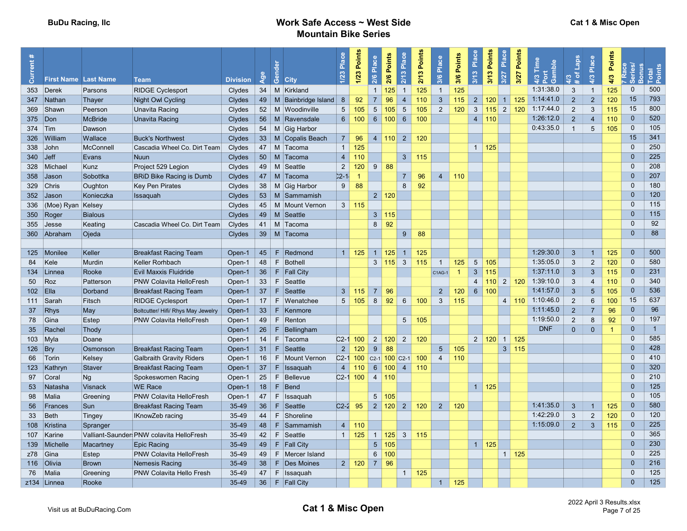| $\bar{5}$  | <b>First Name Last Name</b> |                | <b>Team</b>                               | <b>Division</b> | $\mathsf{Age}$ | ී<br><b>City</b>          | Place<br>1/23   | 1/23 Points         | 2/6 Place       | Points<br>2/6 | Place<br>2/13            | 2/13 Points | Place<br>3/6   | Points<br>3/6 | Place<br>3/13   | Points<br>3/13               | Place<br>3/27                     | Points<br>3/27 | Time<br>Gamble<br>4/3 | <b>Sder</b><br>৳ | Place<br>4/3    | Points<br>4/3 | <u>@</u><br><u>sun</u><br>$\circ$<br>မိ | $\overline{a}$ |
|------------|-----------------------------|----------------|-------------------------------------------|-----------------|----------------|---------------------------|-----------------|---------------------|-----------------|---------------|--------------------------|-------------|----------------|---------------|-----------------|------------------------------|-----------------------------------|----------------|-----------------------|------------------|-----------------|---------------|-----------------------------------------|----------------|
|            | 353 Derek                   | Parsons        | <b>RIDGE Cyclesport</b>                   | Clydes          |                | 34   M   Kirkland         |                 |                     | $\mathbf{1}$    | 125           | $\overline{1}$           | 125         | $\overline{1}$ | 125           |                 |                              |                                   |                | 1:31:38.0             | $\mathbf{3}$     | $\overline{1}$  | 125           | $\mathbf{0}$                            | 500            |
|            | 347 Nathan                  | Thayer         | <b>Night Owl Cycling</b>                  | <b>Clydes</b>   |                | 49   M Bainbridge Island  | 8               | 92                  | $\overline{7}$  | 96            | $\overline{4}$           | 110         | 3 <sup>5</sup> | 115           | $\overline{2}$  | 120                          | $1 \overline{\smash{\big)}\ 125}$ |                | 1:14:41.0             | $\overline{2}$   | $\overline{2}$  | 120           | 15                                      | 793            |
|            | 369 Shawn                   | Peerson        | Unavita Racing                            | Clydes          |                | 52   M   Woodinville      | $5\overline{)}$ | 105                 | $5\overline{5}$ | 105           | $5\overline{)}$          | 105         | 2              | 120           | 3 <sup>5</sup>  | $115$ 2 120                  |                                   |                | 1:17:44.0             | $\overline{2}$   | 3               | 115           | 15                                      | 800            |
| 375 Don    |                             | <b>McBride</b> | Unavita Racing                            | Clydes          |                | 56   M   Ravensdale       | 6 <sup>1</sup>  | 100 <sub>1</sub>    |                 | 6 100         | 6                        | 100         |                |               |                 | $4 \mid 110$                 |                                   |                | 1:26:12.0             | $\overline{2}$   | $\overline{4}$  | 110           | $\overline{0}$                          | 520            |
| 374 Tim    |                             | Dawson         |                                           | Clydes          |                | 54   M   Gig Harbor       |                 |                     |                 |               |                          |             |                |               |                 |                              |                                   |                | 0:43:35.0             | $\overline{1}$   | $5\phantom{.0}$ | 105           | $\overline{0}$                          | 105            |
|            | 326 William                 | Wallace        | <b>Buck's Northwest</b>                   | Clydes          |                | 33   M Copalis Beach      | 7 <sup>1</sup>  | 96                  |                 |               | 4   110   2              | 120         |                |               |                 |                              |                                   |                |                       |                  |                 |               | 15                                      | 341            |
| 338 John   |                             | McConnell      | Cascadia Wheel Co. Dirt Team              | Clydes          |                | 47   M Tacoma             | $\overline{1}$  | 125                 |                 |               |                          |             |                |               | $1 \vert 125$   |                              |                                   |                |                       |                  |                 |               | $\Omega$                                | 250            |
| $340$ Jeff |                             | Evans          | <b>Nuun</b>                               | Clydes          |                | 50   M   Tacoma           | 4               | 110                 |                 |               | $\mathbf{3}$             | 115         |                |               |                 |                              |                                   |                |                       |                  |                 |               | $\mathbf{0}$                            | 225            |
|            | 328 Michael                 | Kunz           | Project 529 Legion                        | Clydes          |                | 49   M Seattle            | $\overline{2}$  | 120                 |                 | $9 \mid 88$   |                          |             |                |               |                 |                              |                                   |                |                       |                  |                 |               | $\Omega$                                | 208            |
|            | 358 Jason                   | Sobottka       | <b>BRiD Bike Racing is Dumb</b>           | Clydes          |                | 47   M Tacoma             | $2 - 1$         |                     |                 |               | $\overline{7}$           | 96          | $\overline{4}$ | 110           |                 |                              |                                   |                |                       |                  |                 |               | $\Omega$                                | 207            |
|            | 329 Chris                   | Oughton        | Key Pen Pirates                           | Clydes          |                | 38   M   Gig Harbor       | 9               | 88                  |                 |               | 8                        | 92          |                |               |                 |                              |                                   |                |                       |                  |                 |               | $\mathbf 0$                             | 180            |
|            | 352 Jason                   | Konieczka      | Issaquah                                  | Clydes          |                | 53   M Sammamish          |                 |                     |                 | 2 120         |                          |             |                |               |                 |                              |                                   |                |                       |                  |                 |               | $\Omega$                                | 120            |
|            | 336 (Moe) Ryan Kelsey       |                |                                           | Clydes          |                | 45   M   Mount Vernon     | $3 \mid$        | 115                 |                 |               |                          |             |                |               |                 |                              |                                   |                |                       |                  |                 |               | $\mathbf 0$                             | 115            |
|            | 350 Roger                   | <b>Bialous</b> |                                           | Clydes          |                | 49   M Seattle            |                 |                     |                 | 3 115         |                          |             |                |               |                 |                              |                                   |                |                       |                  |                 |               | $\mathbf{0}$                            | 115            |
|            | 355 Jesse                   | Keating        | Cascadia Wheel Co. Dirt Team              | Clydes          | 41             | ∣ M ∣Tacoma               |                 |                     | 8               | 92            |                          |             |                |               |                 |                              |                                   |                |                       |                  |                 |               | $\Omega$                                | 92             |
|            | 360 Abraham                 | Ojeda          |                                           | Clydes          |                | 39   M   Tacoma           |                 |                     |                 |               | 9                        | 88          |                |               |                 |                              |                                   |                |                       |                  |                 |               | $\Omega$                                | 88             |
|            |                             |                |                                           |                 |                |                           |                 |                     |                 |               |                          |             |                |               |                 |                              |                                   |                |                       |                  |                 |               |                                         |                |
|            | 125 Monilee                 | Keller         | <b>Breakfast Racing Team</b>              | Open-1          |                | $45$ F Redmond            | 1 <sup>1</sup>  | 125                 | $\bigoplus$     | 125           | $\overline{1}$           | 125         |                |               |                 |                              |                                   |                | 1:29:30.0             | $\mathbf{3}$     | $\overline{1}$  | 125           | $\Omega$                                | 500            |
| 84         | Kele                        | Murdin         | Keller Rorhbach                           | Open-1          | 48             | Bothell<br>F.             |                 |                     |                 | 3 115 3       |                          | 115         | $\mathbf{1}$   | 125           | $5\overline{)}$ | 105                          |                                   |                | 1:35:05.0             | $\mathbf{3}$     | 2               | 120           | $\mathbf 0$                             | 580            |
|            | 134 Linnea                  | Rooke          | Evil Maxxis Fluidride                     | Open-1          | 36             | $F$   Fall City           |                 |                     |                 |               |                          |             | C1AG-1         | -1            | $3\phantom{.0}$ | 115                          |                                   |                | 1:37:11.0             | $\mathbf{3}$     | $\overline{3}$  | 115           | $\overline{0}$                          | 231            |
| 50         | Roz                         | Patterson      | <b>PNW Colavita HelloFresh</b>            | Open-1          | 33             | $F$ Seattle               |                 |                     |                 |               |                          |             |                |               | $\overline{4}$  | 110                          | 2                                 | 120            | 1:39:10.0             | 3                | $\overline{4}$  | 110           | $\mathbf 0$                             | 340            |
| 102 Ella   |                             | Dorband        | <b>Breakfast Racing Team</b>              | Open-1          | 37             | $F$ Seattle               | $\mathbf{3}$    | 115                 | $\overline{7}$  | 96            |                          |             | $\overline{2}$ | 120           | $6\overline{6}$ | 100                          |                                   |                | 1:41:57.0             | $\mathbf{3}$     | -5              | 105           | $\mathbf{0}$                            | 536            |
|            | 111 Sarah                   | Fitsch         | <b>RIDGE Cyclesport</b>                   | Open-1          | 17             | F Wenatchee               | $5\overline{)}$ | 105                 | 8               | 92            | $6\phantom{1}$           | 100         | $\mathbf{3}$   | 115           |                 |                              |                                   | 4 110          | 1:10:46.0             | $\overline{2}$   | 6               | 100           | 15                                      | 637            |
|            | 37 Rhys                     | May            | Boltcutter/ Hifi/ Rhys May Jewelry        | Open-1          | 33             | F.<br>Kenmore             |                 |                     |                 |               |                          |             |                |               |                 |                              |                                   |                | 1:11:45.0             | $2^{\circ}$      | $\overline{7}$  | 96            | $\mathbf 0$                             | 96             |
|            | 78 Gina                     | Estep          | <b>PNW Colavita HelloFresh</b>            | Open-1          | 49             | $F$ Renton                |                 |                     |                 |               | 5 <sup>5</sup>           | 105         |                |               |                 |                              |                                   |                | 1:19:50.0             | 2                | 8               | 92            | $\Omega$                                | 197            |
| 35         | Rachel                      | Thody          |                                           | Open-1          | 26             | F.<br>Bellingham          |                 |                     |                 |               |                          |             |                |               |                 |                              |                                   |                | <b>DNF</b>            | $\overline{0}$   | $\Omega$        | -1            | $\mathbf{0}$                            | $\overline{1}$ |
|            | $103$ Myla                  | Doane          |                                           | Open-1          | 14             | F Tacoma                  |                 | $C2-1$ 100          |                 |               | $2 \mid 120 \mid 2 \mid$ | 120         |                |               |                 | $2 \mid 120 \mid 1 \mid 125$ |                                   |                |                       |                  |                 |               | $\Omega$                                | 585            |
| $126$ Bry  |                             | Osmonson       | <b>Breakfast Racing Team</b>              | Open-1          | 31             | $F$ Seattle               | $2^{\circ}$     | 120                 | 9               | 88            |                          |             | 5 <sup>5</sup> | 105           |                 |                              | 3   115                           |                |                       |                  |                 |               | $\Omega$                                | 428            |
|            | 66 Torin                    | Kelsey         | <b>Galbraith Gravity Riders</b>           | Open-1          | 16             | <b>Mount Vernon</b><br>F. | $C2-1$          | 100 <sup>°</sup>    |                 |               | $C2-1$ 100 $C2-1$        | 100         | $\overline{4}$ | 110           |                 |                              |                                   |                |                       |                  |                 |               | $\Omega$                                | 410            |
|            | 123 Kathryn                 | <b>Staver</b>  | <b>Breakfast Racing Team</b>              | Open-1          | 37             | $F$ Issaquah              | 4               | 110                 | $6\overline{6}$ | $100 \mid 4$  |                          | 110         |                |               |                 |                              |                                   |                |                       |                  |                 |               | $\mathbf 0$                             | 320            |
| 97         | Coral                       | Ng             | Spokeswomen Racing                        | Open-1          | 25             | F.<br>Bellevue            |                 | $C2-1$ 100          |                 | $4 \vert 110$ |                          |             |                |               |                 |                              |                                   |                |                       |                  |                 |               | $\Omega$                                | 210            |
| 53         | ⊟Natasha                    | <b>Visnack</b> | <b>WE Race</b>                            | Open-1          | 18             | F<br>Bend                 |                 |                     |                 |               |                          |             |                |               |                 | $1 \mid 125$                 |                                   |                |                       |                  |                 |               | $\Omega$                                | 125            |
| 98         | Malia                       | Greening       | <b>PNW Colavita HelloFresh</b>            | Open-1          | 47             | F.<br><b>Issaquah</b>     |                 |                     |                 | $5 \mid 105$  |                          |             |                |               |                 |                              |                                   |                |                       |                  |                 |               | $\mathbf 0$                             | 105            |
| 56         | Frances                     | Sun            | <b>Breakfast Racing Team</b>              | 35-49           | 36             | Seattle<br>F.             |                 | $C2 - 2$ 95         |                 | 2   120       | $\overline{2}$           | 120         | $2^{\circ}$    | 120           |                 |                              |                                   |                | 1:41:35.0             | $\mathbf{3}$     | $\overline{1}$  | 125           | $\Omega$                                | 580            |
| 33         | Beth                        | Tingey         | IKnowZeb racing                           | 35-49           | 44             | F Shoreline               |                 |                     |                 |               |                          |             |                |               |                 |                              |                                   |                | 1:42:29.0             | 3                | 2               | 120           | $\mathbf 0$                             | 120            |
|            | 108 Kristina                | Spranger       |                                           | 35-49           | 48             | F.<br>Sammamish           | 4               | 110                 |                 |               |                          |             |                |               |                 |                              |                                   |                | 1:15:09.0             | $\overline{2}$   | -3              | 115           | $\Omega$                                | 225            |
|            | 107 Karine                  |                | Valliant-Saunder: PNW colavita HelloFresh | 35-49           | 42             | F<br>Seattle              |                 | $1 \mid 125$        | $\overline{1}$  |               | $125 \mid 3 \mid$        | 115         |                |               |                 |                              |                                   |                |                       |                  |                 |               | $\Omega$                                | 365            |
|            | 139 Michelle                | Macartney      | <b>Epic Racing</b>                        | 35-49           | 49             | $F$ Fall City             |                 |                     | 5 <sup>5</sup>  | 105           |                          |             |                |               | 1               | 125                          |                                   |                |                       |                  |                 |               | $\mathbf 0$                             | 230            |
| z78 Gina   |                             | Estep          | <b>PNW Colavita HelloFresh</b>            | 35-49           | 49             | F   Mercer Island         |                 |                     | $6^{\circ}$     | 100           |                          |             |                |               |                 |                              | 1   125                           |                |                       |                  |                 |               | $\Omega$                                | 225            |
|            | 116 Olivia                  | <b>Brown</b>   | Nemesis Racing                            | 35-49           | 38             | F Des Moines              |                 | $2 \mid 120 \mid 7$ |                 | 96            |                          |             |                |               |                 |                              |                                   |                |                       |                  |                 |               | $\Omega$                                | 216            |
|            | 76 Malia                    | Greening       | <b>PNW Colavita Hello Fresh</b>           | 35-49           | 47             | F.<br><b>Issaquah</b>     |                 |                     |                 |               | $\mathbf{1}$             | 125         |                |               |                 |                              |                                   |                |                       |                  |                 |               | $\Omega$                                | 125            |
|            | z134 Linnea                 | Rooke          |                                           | 35-49           |                | 36   F   Fall City        |                 |                     |                 |               |                          |             | 1              | 125           |                 |                              |                                   |                |                       |                  |                 |               | $\Omega$                                | 125            |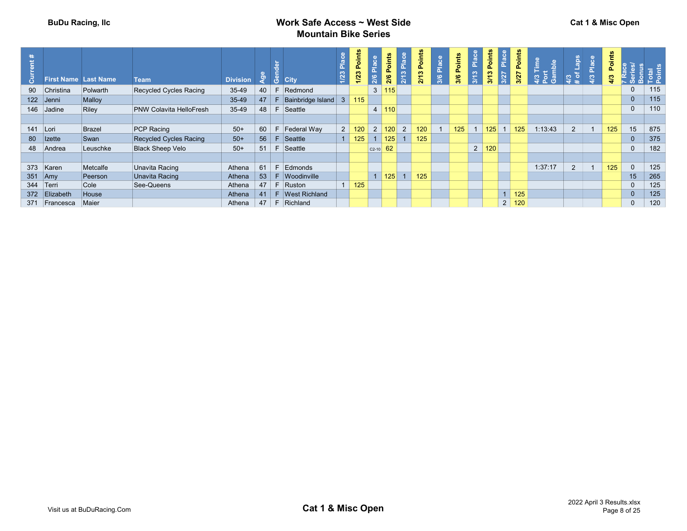| $\mathcal{E}$ | First Name Last Name |          | <b>Team</b>                    | <b>Division</b> | ల్లా | <b>8</b> City             | 1/23         | Points<br>1/23 | $\frac{1}{2}$<br>2/6 | oints<br>ő.<br>2/6 | 2/13 Plac      | oints<br>$\mathbf{a}$<br>$\frac{3}{2}$<br>ਨੋ | Place<br>3/6 | $\frac{1}{2}$<br>3/6 | $\frac{8}{2}$<br>$\overline{ }$ | oints<br>S<br>$\sim$ | _              | oints<br>o.<br>3/27 | aldr<br>ε | a              | Place | oints<br>o.<br>$\frac{2}{3}$ |              |     |
|---------------|----------------------|----------|--------------------------------|-----------------|------|---------------------------|--------------|----------------|----------------------|--------------------|----------------|----------------------------------------------|--------------|----------------------|---------------------------------|----------------------|----------------|---------------------|-----------|----------------|-------|------------------------------|--------------|-----|
|               | 90 Christina         | Polwarth | Recycled Cycles Racing         | 35-49           | 40   | Redmond                   |              |                |                      | 115                |                |                                              |              |                      |                                 |                      |                |                     |           |                |       |                              | $\mathbf{0}$ | 115 |
|               | 122 Jenni            | Malloy   |                                | 35-49           | 47   | Bainbridge Island         | $\mathbf{3}$ | 115            |                      |                    |                |                                              |              |                      |                                 |                      |                |                     |           |                |       |                              | $\mathbf 0$  | 115 |
|               | 146 Jadine           | Riley    | <b>PNW Colavita HelloFresh</b> | 35-49           | 48   | Seattle<br>F.             |              |                |                      | 110                |                |                                              |              |                      |                                 |                      |                |                     |           |                |       |                              | $\mathbf{0}$ | 110 |
|               |                      |          |                                |                 |      |                           |              |                |                      |                    |                |                                              |              |                      |                                 |                      |                |                     |           |                |       |                              |              |     |
| 141 Lori      |                      | Brazel   | PCP Racing                     | $50+$           | 60   | Federal Way               |              | $2 \mid 120$   |                      | 2   120            | $\overline{2}$ | 120                                          |              | 125                  |                                 | 125                  |                | 125                 | :13:43    | $\overline{2}$ |       | 125                          | 15           | 875 |
|               | 80 Izette            | Swan     | Recycled Cycles Racing         | $50+$           | 56   | Seattle                   |              | 125            |                      | 125                |                | 125                                          |              |                      |                                 |                      |                |                     |           |                |       |                              | $\Omega$     | 375 |
|               | 48 Andrea            | Leuschke | <b>Black Sheep Velo</b>        | $50+$           | 51   | Seattle                   |              |                | $C2-10$              | 62                 |                |                                              |              |                      | $\overline{2}$                  | 120                  |                |                     |           |                |       |                              | $\Omega$     | 182 |
|               |                      |          |                                |                 |      |                           |              |                |                      |                    |                |                                              |              |                      |                                 |                      |                |                     |           |                |       |                              |              |     |
|               | 373 Karen            | Metcalfe | Unavita Racing                 | Athena          | 61   | Edmonds                   |              |                |                      |                    |                |                                              |              |                      |                                 |                      |                |                     | 1:37:17   | $\overline{2}$ |       | 125                          | $\Omega$     | 125 |
| $351$ Amy     |                      | Peerson  | Unavita Racing                 | Athena          | 53   | F Woodinville             |              |                |                      | 125                |                | 125                                          |              |                      |                                 |                      |                |                     |           |                |       |                              | 15           | 265 |
|               | 344 Terri            | Cole     | See-Queens                     | Athena          |      | $47$ F Ruston             |              | 125            |                      |                    |                |                                              |              |                      |                                 |                      |                |                     |           |                |       |                              | $\Omega$     | 125 |
|               | 372 Elizabeth        | House    |                                | Athena          |      | 41   F   West Richland    |              |                |                      |                    |                |                                              |              |                      |                                 |                      | 1              | 125                 |           |                |       |                              | $\mathbf{0}$ | 125 |
|               | 371 Francesca        | Maier    |                                | Athena          |      | $47 \mid F \mid$ Richland |              |                |                      |                    |                |                                              |              |                      |                                 |                      | 2 <sup>1</sup> | 120                 |           |                |       |                              | $\mathbf{0}$ | 120 |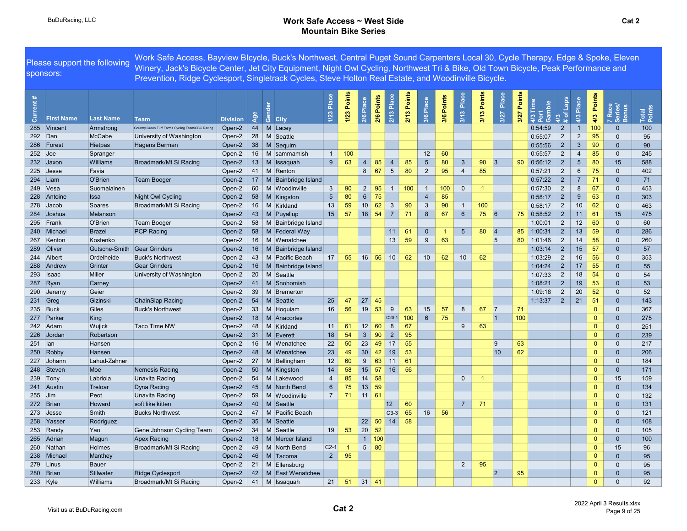#### BuDuRacing, LLC **Contract Contract Contract Contract Contract Contract Contract Contract Contract Contract Contract Contract Contract Contract Contract Contract Contract Contract Contract Contract Contract Contract Contrac** Mountain Bike Series

Current # First Name Last Name Team Division Age Gender City 1/23 Place 1/23 Points 2/6 Place 2/6 Points 2/13 Place 2/13 Points 3/6 Place 3/6 Points 3/13 Place 3/13 Points 3/27 Place 3/27 Points 4/3 Time Port Gamble 4/3 # of Laps 4/3 Place 4/3 Points 7 Race Series/ Bonus Total Points 285 Vincent Armstrong Country Green Turf Farms Cycling Team/CBC Racing Open-2 44 M Lacey 1:59 2 1 100 0 100 100 292 Dan McCabe University of Washington Open-2 28 M Seattle **1989 12 12 12 13 13 14 14 14 14 14 14 1**0:55:07 2 2 <mark>95</mark> 0 95 286 Forest Hietpas Hagens Berman Open-2 38 M Sequim 0:55:56 2 3 90 0 90 252 Joe Spranger Open-2 16 M sammamish 1 100 12 60 0:55:57 2 4 85 0 245 232 Jaxon Williams Broadmark/Mt Si Racing Open-2 13 M Issaquah 9 63 4 85 4 85 5 80 3 90 3 90 0:56:12 2 5 80 15 588 225 Jesse Favia Open-2 41 M Renton 8 67 5 80 2 95 4 85 0:57:21 2 6 75 0 402 294 Liam O'Brien Team Booger Open-2 17 M Bainbridge Island 1986 and 1988 and 1998 1999 2012 2 7 71 0 71 249 Vesa Suomalainen Open-2 60 M Woodinville 3 90 2 95 1 100 1 100 0 1 0:57:30 2 8 67 0 453 228 Antoine Issa Night Owl Cycling Open-2 58 M Kingston 5 80 6 75 4 85 0:58:17 2 9 63 0 303 278 Jacob Soares Broadmark/Mt Si Racing Open-2 16 M Kirkland 13 59 10 62 3 90 3 90 1 100 0:58:17 2 10 62 0 463 284 Joshua Melanson Open-2 43 M Puyallup 15 57 18 54 7 71 8 67 6 75 6 75 0:58:52 2 11 61 15 475 295 Frank O'Brien Team Booger Open-2 58 M Bainbridge Island 1:00:01 2 12 60 0 60 240 Michael Brazel PCP Racing 0pen-2 58 M Federal Way 11 61 0 1 5 80 4 85 1:00:31 2 13 59 0 286 267 Kenton Kostenko Open-2 16 M Wenatchee 13 59 9 63 5 80 1:01:46 2 14 58 0 260 289 Oliver Gutsche-Smith Gear Grinders **Open-2 16 M Bainbridge Island** 1:03:14 2 15 57 0 57 0 57 244 Albert Ordelheide Buck's Northwest Open-2 43 M Pacific Beach 17 55 16 56 10 62 10 62 10 62 1:03:29 2 16 56 0 353 288 Andrew Grinter Gear Grinders Open-2 16 M Bainbridge Island 1:04:24 2 17 55 0 55 293 Isaac Miller University of Washington Open-2 20 M Seattle 1:07:33 2 18 54 0 54 287 Ryan Carney Carney Open-2 41 M Snohomish 1:08:21 2 19 53 0 53 290 Jeremy Geier Open-2 39 M Bremerton 1:09:18 2 20 52 0 52 231 Greg Gizinski ChainSlap Racing Open-2 54 M Seattle 25 47 27 45 1:13:37 2 21 51 0 143 235 Buck Giles Buck's Northwest Open-2 33 M Hoquiam 16 56 19 53 9 63 15 57 8 67 7 71 0 0 0 367 277 Parker King | Note | C20-1 100 6 75 | 100 10 0 0 275 | 100 0 0 275 | 100 0 0 275 242 Adam Wujick Taco Time NW Open-2 48 M Kirkland 11 <mark> 61 12 60 8 67 9 63 0</mark> 0 251 226 Jordan Robertson **Robertson Copen-2 31 M** Everett 18 54 3 90 2 95 0 0 0 0 239 0 0 0 239 251 Ian Hansen Open-2 16 M Wenatchee 22 50 23 49 17 55 9 63 0 0 217 250 Robby Hansen **Depen-2 48 M Wenatchee 23 49 30 42 19 53** 10 10 62 10 0 0 206 227 Johann Lahud-Zahner Open-2 27 M Bellingham 12 60 9 63 11 61 0 0 0 184 248 Steven Moe Nemesis Racing Open-2 50 M Kingston 14 58 15 57 16 56 0 0 0 171 0 0 0 171 239 Tony Labriola Unavita Racing Open-2 54 M Lakewood 4 <mark>85 14 58 0 1 0 1 0 1</mark> 0 15 159 159 241 Austin Treloar Dyna Racing Open-2 45 M North Bend 6 75 13 59 0 0 0 134 255 Jim Peot Unavita Racing Open-2 59 M Woodinville 7 71 11 61 0 0 0 132 272 Brian Howard soft like kitten Open-2 40 M Seattle 12 60 7 7 71 0 0 0 131 273 Jesse Smith Bucks Northwest Open-2 47 M Pacific Beach C3-3 65 16 56 0 0 0 121 258 Yasser Rodriguez **Community Community Community Community Community Community Community Community Community Community Community Community Community Community Community Community Community Community Community Community** 253 Randy Yao Gene Johnson Cycling Team Open-2 34 M Seattle 19 53 20 52 0 0 0 0 105 265 Adrian Magun Apex Racing Open-2 18 M Mercer Island 1 100 0 0 0 0 0 0 0 100 0 0 100 260 Nathan Holmes Broadmark/Mt Si Racing Open-2 49 M North Bend C2-1 1 5 80 0 16 0 16 0 16 0 15 96 238 Michael Manthey Open-2 46 M Tacoma 2 95 0 0 95 279 Linus Bauer Open-2 21 M Ellensburg 2 95 0 0 95 280 Brian Stilwater Ridge Cyclesport Open-2 42 M East Wenatchee 2 95 2 95 0 0 95 233 Kyle Williams Broadmark/Mt Si Racing Open-2 41 M Issaquah 21 51 31 41 0 0 0 0 92 Please support the following sponsors: Work Safe Access, Bayview BIcycle, Buck's Northwest, Central Puget Sound Carpenters Local 30, Cycle Therapy, Edge & Spoke, Eleven Winery, Jack's Bicycle Center, Jet City Equipment, Night Owl Cycling, Northwest Tri & Bike, Old Town Bicycle, Peak Performance and Prevention, Ridge Cyclesport, Singletrack Cycles, Steve Holton Real Estate, and Woodinville Bicycle.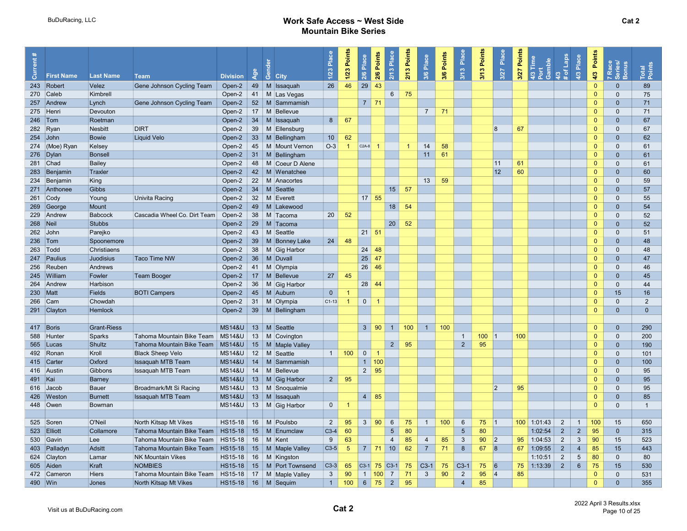#### BuDuRacing, LLC **Work Safe Access ~ West Side** Mountain Bike Series

| 26<br>46<br>29<br>43<br>49 M Issaquah<br>243 Robert<br>Velez<br>Gene Johnson Cycling Team<br>Open-2<br>$\Omega$<br>89<br>$\mathbf{0}$<br>$6\overline{6}$<br>75<br>75<br>270 Caleb<br>Open-2<br>41   M   Las Vegas<br>$\mathbf{0}$<br>Kimbrell<br>$\Omega$<br>52   M Sammamish<br>$7 \mid 71$<br>71<br>Gene Johnson Cycling Team<br>Open-2<br>$\Omega$<br>$\mathbf{0}$<br>257 Andrew<br>Lynch<br>275 Henri<br>17<br>M Bellevue<br>$\overline{7}$<br>71<br>$\mathbf 0$<br>71<br>Devouton<br>Open-2<br>$\mathbf{0}$<br>$34$ M Issaquah<br>8<br>67<br>$246$ Tom<br>Roetman<br>Open-2<br>$\Omega$<br>$\mathbf{0}$<br>67<br> 8<br><b>Nesbitt</b><br><b>DIRT</b><br>Open-2<br>39   M Ellensburg<br>67<br>282 Ryan<br>$\Omega$<br>$\Omega$<br>67<br>62<br>$254$ John<br>Liquid Velo<br>10 <sup>°</sup><br>$\Omega$<br>$\Omega$<br>62<br><b>Bowie</b><br>Open-2<br>33   M   Bellingham<br>14<br>$O-3$<br>58<br>$\Omega$<br>274 (Moe) Ryan<br>Kelsey<br>Open-2<br>45   M   Mount Vernon<br>$\overline{1}$<br>$C2A-8$<br>$\blacktriangleleft$<br>61<br>$\Omega$<br>11<br>61<br>276   Dylan<br>$\vert$ 31   M   Bellingham<br>$\Omega$<br>$\mathbf{0}$<br>61<br><b>Bonsell</b><br>Open-2<br>281 Chad<br>Bailey<br>Open-2<br>48   M Coeur D Alene<br> 11<br>61<br>$\Omega$<br>$\mathbf{0}$<br>61<br>12<br>60<br>283 Benjamin<br>42 M Wenatchee<br>$\Omega$<br>60<br>Traxler<br>Open-2<br>$\mathbf{0}$<br>$\Omega$<br>234 Benjamin<br>Open-2<br>22 M Anacortes<br>13<br>59<br>59<br>King<br>$\mathbf{0}$<br>34   M Seattle<br>15<br>57<br>57<br>271 Anthonee<br>Gibbs<br>Open-2<br>$\Omega$<br>$\mathbf{0}$<br>32 M Everett<br>$17 \vert 55$<br>55<br>$261$ Cody<br>Univita Racing<br>Open-2<br>$\Omega$<br>$\mathbf{0}$<br>Young<br>49<br>18<br>54<br>269 George<br>Open-2<br>M Lakewood<br>$\Omega$<br>$\mathbf{0}$<br>54<br>Mount<br>Open-2<br>38<br>M Tacoma<br>20<br>52<br>$\mathbf{0}$<br>52<br>229 Andrew<br>Cascadia Wheel Co. Dirt Team<br>$\Omega$<br>Babcock<br>20<br><b>Stubbs</b><br>29   M Tacoma<br>52<br>268 Neil<br>Open-2<br>$\Omega$<br>$\mathbf{0}$<br>52<br>Parejko<br>Open-2<br>43   M Seattle<br>$21 \mid 51$<br>$\mathbf{0}$<br>51<br>$262$ John<br>$\mathbf{0}$<br>24<br>48<br>39   M Bonney Lake<br>$\Omega$<br>$236$ Tom<br>Spoonemore<br>Open-2<br>$\Omega$<br>48<br>38   M   Gig Harbor<br>24<br>48<br>48<br>263 Todd<br>Christiaens<br>Open-2<br>$\Omega$<br>$\mathbf{0}$<br>$25 \mid 47$<br>36   M   Duvall<br>$\Omega$<br>$\mathbf{0}$<br>47<br>247 Paulius<br>Juodisius<br><b>Taco Time NW</b><br>Open-2<br>256 Reuben<br>41   M Olympia<br>26<br>46<br>$\mathbf{0}$<br>$\mathbf 0$<br>46<br>Andrews<br>Open-2<br>245 William<br>Fowler<br><b>Team Booger</b><br>Open-2<br>$17 \mid M$ Bellevue<br>27<br>45<br>$\Omega$<br>$\mathbf{0}$<br>45<br>264 Andrew<br>Harbison<br>Open-2<br>36   M   Gig Harbor<br>28<br>44<br>$\mathbf{0}$<br>$\mathbf{0}$<br>44<br>$\Omega$<br>230 Matt<br>Open-2<br>$45$ M Auburn<br>15<br>16<br><b>Fields</b><br><b>BOTI Campers</b><br>$\overline{0}$<br>31 M Olympia<br>$C1-13$<br>$\overline{0}$<br>$\overline{2}$<br>266 Cam<br>Chowdah<br>Open-2<br>$\overline{1}$<br>$\Omega$<br>$\overline{1}$<br>$\Omega$<br>$\overline{0}$<br>Open-2<br>39   M   Bellingham<br>$\Omega$<br>$\mathbf{0}$<br>291 Clayton<br>Hemlock<br><b>MS14&amp;U</b><br>13   M Seattle<br>100<br>1<br>100<br>417 Boris<br><b>Grant-Riess</b><br>$3 \mid 90$<br>$\vert$ 1 $\vert$<br>$\Omega$<br>$\mathbf{0}$<br>290<br>Tahoma Mountain Bike Team<br><b>MS14&amp;U</b><br>100<br>100<br>200<br>588 Hunter<br>Sparks<br>13   M   Covington<br>$\mathbf{1}$<br>$\vert$ 1<br>$\mathbf{0}$<br>$\Omega$<br>$\overline{2}$<br>95<br>$2\overline{ }$<br>95<br>Tahoma Mountain Bike Team<br><b>MS14&amp;U</b><br>15   M   Maple Valley<br>565 Lucas<br>Shultz<br>$\Omega$<br>$\mathbf{0}$<br>190<br><b>Black Sheep Velo</b><br><b>MS14&amp;U</b><br>12<br>M Seattle<br>$\overline{1}$<br>100<br>$\mathbf{0}$<br>$\mathbf{0}$<br>492 Ronan<br>Kroll<br>$\overline{1}$<br>$\Omega$<br>101<br>1   100<br>Oxford<br><b>Issaquah MTB Team</b><br><b>MS14&amp;U</b><br>$14 \mid M \mid$ Sammamish<br>$\Omega$<br>$\mathbf{0}$<br>415 Carter<br>100<br><b>MS14&amp;U</b><br>14<br>$2 \mid 95$<br>$\Omega$<br>Gibbons<br><b>Issaquah MTB Team</b><br>M Bellevue<br>$\mathbf{0}$<br>95<br>416 Austin<br><b>MS14&amp;U</b><br>$2^{\circ}$<br>95<br>491 Kai<br>Barney<br>13   M   Gig Harbor<br>$\Omega$<br>$\mathbf{0}$<br>95<br><b>MS14&amp;U</b><br>13   M Snoqualmie<br>$ 2\rangle$<br>95<br>$\Omega$<br>95<br>616 Jacob<br>Bauer<br>Broadmark/Mt Si Racing<br>$\mathbf{0}$<br>$13$ M Issaquah<br>$4 \mid 85$<br>426 Weston<br>Issaquah MTB Team<br><b>MS14&amp;U</b><br>$\Omega$<br>$\mathbf{0}$<br>85<br><b>Burnett</b><br>448 Owen<br><b>MS14&amp;U</b><br>13   M   Gig Harbor<br>$\overline{0}$<br>$\Omega$<br>$\mathbf{0}$<br>$\overline{1}$<br>Bowman<br>$\overline{1}$<br>North Kitsap Mt Vikes<br>HS15-18<br>16 M Poulsbo<br>$\overline{2}$<br>$3 \mid 90$<br>6<br>75<br>$\overline{1}$<br>100<br>$6\phantom{1}6$<br>$75$  1<br>$\overline{2}$<br>525 Soren<br>O'Neil<br>95<br>$100$ 1:01:43<br>$\mathbf{1}$<br>100<br>15<br>650<br>$5\phantom{1}$<br>80<br>$5\phantom{.0}$<br>80<br>$\overline{2}$<br>$\overline{2}$<br>95<br>523 Elliott<br>Collamore<br>Tahoma Mountain Bike Team   HS15-18  <br>15<br>M Enumclaw<br>$C3-4$<br>60<br>1:02:54<br>$\mathbf{0}$<br>315<br>85<br>85<br>3<br>90<br> 2 <br>$\mathbf{3}$<br>90<br>530 Gavin<br>Tahoma Mountain Bike Team<br>HS15-18<br>16   M   Kent<br>63<br>$\overline{4}$<br>$\overline{4}$<br>95<br>$\overline{2}$<br>Lee<br>9<br>1:04:53<br>15<br>523<br>62<br>$\bf{8}$<br> 8<br>$\overline{2}$<br>$C3-5$<br>$5\phantom{.0}$<br>$7$ 71 10<br>$\overline{7}$<br>71<br>67<br>$\overline{4}$<br>85<br>403 Palladyn<br>Adsitt<br>Tahoma Mountain Bike Team   HS15-18  <br>15   M   Maple Valley<br>67<br>1:09:55<br>15<br>443<br>$\overline{2}$<br>$\overline{5}$<br>80<br>624 Clayton<br><b>NK Mountain Vikes</b><br>$HS15-18$ 16 M Kingston<br>1:10:51<br>Lamar<br>$\Omega$<br>80<br>$\overline{2}$<br><b>NOMBIES</b><br>$HS15-18$<br>15   M   Port Townsend<br>$ C3-3 $<br>$ $ C3-1 75 C3-1<br>75<br>$ C3-1 $<br>$C3-1$<br> 6<br>75<br>1:13:39<br>$6\phantom{1}$<br>75<br>605 Aiden<br>Kraft<br>65<br>75<br>75<br>15<br>530<br>1 100 <br>$\overline{7}$<br>71<br>90<br>$\overline{2}$<br>95<br>85<br>472 Cameron<br>Tahoma Mountain Bike Team<br>$HS15-18$<br>17   M   Maple Valley<br>$\mathbf{3}$<br>90<br>$\mathbf{3}$<br> 4<br>$\Omega$<br>$\mathbf{0}$<br>531<br>Hiers<br>$HS15-18$ 16 M Sequim<br>$\overline{1}$<br>100<br>$\vert$ 2<br>95<br>$\overline{4}$<br>85<br>490 Win<br>Jones<br>North Kitsap Mt Vikes<br>$6 \mid 75$<br>$\Omega$<br>$\mathbf{0}$<br>355 | $\bar{5}$ | <b>First Name</b> | <b>Last Name</b> | <b>Team</b> | <b>Division</b> | ₫ĕ | $\overline{S}$ City | $\frac{a}{b}$<br>1/23 | Points<br>$1/23$ | 2/6 Place | 2/6 Points | Place<br>2/13 | 2/13 Points | 3/6 Place | 3/6 Points | Place<br>3/13 | Points<br>3/13 | Place<br>3/27 | Points<br>3/27 | 4/3<br># of Laps<br>Time<br>Gamble<br>43 | Place<br>4/3 | Points<br>4/3 | 7 Race<br>Series/<br>Bonus | Total<br>Points |
|--------------------------------------------------------------------------------------------------------------------------------------------------------------------------------------------------------------------------------------------------------------------------------------------------------------------------------------------------------------------------------------------------------------------------------------------------------------------------------------------------------------------------------------------------------------------------------------------------------------------------------------------------------------------------------------------------------------------------------------------------------------------------------------------------------------------------------------------------------------------------------------------------------------------------------------------------------------------------------------------------------------------------------------------------------------------------------------------------------------------------------------------------------------------------------------------------------------------------------------------------------------------------------------------------------------------------------------------------------------------------------------------------------------------------------------------------------------------------------------------------------------------------------------------------------------------------------------------------------------------------------------------------------------------------------------------------------------------------------------------------------------------------------------------------------------------------------------------------------------------------------------------------------------------------------------------------------------------------------------------------------------------------------------------------------------------------------------------------------------------------------------------------------------------------------------------------------------------------------------------------------------------------------------------------------------------------------------------------------------------------------------------------------------------------------------------------------------------------------------------------------------------------------------------------------------------------------------------------------------------------------------------------------------------------------------------------------------------------------------------------------------------------------------------------------------------------------------------------------------------------------------------------------------------------------------------------------------------------------------------------------------------------------------------------------------------------------------------------------------------------------------------------------------------------------------------------------------------------------------------------------------------------------------------------------------------------------------------------------------------------------------------------------------------------------------------------------------------------------------------------------------------------------------------------------------------------------------------------------------------------------------------------------------------------------------------------------------------------------------------------------------------------------------------------------------------------------------------------------------------------------------------------------------------------------------------------------------------------------------------------------------------------------------------------------------------------------------------------------------------------------------------------------------------------------------------------------------------------------------------------------------------------------------------------------------------------------------------------------------------------------------------------------------------------------------------------------------------------------------------------------------------------------------------------------------------------------------------------------------------------------------------------------------------------------------------------------------------------------------------------------------------------------------------------------------------------------------------------------------------------------------------------------------------------------------------------------------------------------------------------------------------------------------------------------------------------------------------------------------------------------------------------------------------------------------------------------------------------------------------------------------------------------------------------------------------------------------------------------------------------------------------------------------------------------------------------------------------------------------------------------------------------------------------------------------------------------------------------------------------------------------------------------------------------------------------------------------------------------------------------------------------------------------------------------------------------------------------------------------------------------------------------------------------------------------------------------------------------------------------------------------------------------------------------------------------------------------------------------------------------------------------------------------------------------------------------------------------------------------------------------------------------------------------------------------------------------------------------------------------------------------------------------------------------------------------------------------------------------------------------------------------------------------------------------------------------------------------------------------------------------------------------------------------------------------------------------------------------------------------|-----------|-------------------|------------------|-------------|-----------------|----|---------------------|-----------------------|------------------|-----------|------------|---------------|-------------|-----------|------------|---------------|----------------|---------------|----------------|------------------------------------------|--------------|---------------|----------------------------|-----------------|
|                                                                                                                                                                                                                                                                                                                                                                                                                                                                                                                                                                                                                                                                                                                                                                                                                                                                                                                                                                                                                                                                                                                                                                                                                                                                                                                                                                                                                                                                                                                                                                                                                                                                                                                                                                                                                                                                                                                                                                                                                                                                                                                                                                                                                                                                                                                                                                                                                                                                                                                                                                                                                                                                                                                                                                                                                                                                                                                                                                                                                                                                                                                                                                                                                                                                                                                                                                                                                                                                                                                                                                                                                                                                                                                                                                                                                                                                                                                                                                                                                                                                                                                                                                                                                                                                                                                                                                                                                                                                                                                                                                                                                                                                                                                                                                                                                                                                                                                                                                                                                                                                                                                                                                                                                                                                                                                                                                                                                                                                                                                                                                                                                                                                                                                                                                                                                                                                                                                                                                                                                                                                                                                                                                                                                                                                                                                                                                                                                                                                                                                                                                                                                                                                                                                                            |           |                   |                  |             |                 |    |                     |                       |                  |           |            |               |             |           |            |               |                |               |                |                                          |              |               |                            |                 |
|                                                                                                                                                                                                                                                                                                                                                                                                                                                                                                                                                                                                                                                                                                                                                                                                                                                                                                                                                                                                                                                                                                                                                                                                                                                                                                                                                                                                                                                                                                                                                                                                                                                                                                                                                                                                                                                                                                                                                                                                                                                                                                                                                                                                                                                                                                                                                                                                                                                                                                                                                                                                                                                                                                                                                                                                                                                                                                                                                                                                                                                                                                                                                                                                                                                                                                                                                                                                                                                                                                                                                                                                                                                                                                                                                                                                                                                                                                                                                                                                                                                                                                                                                                                                                                                                                                                                                                                                                                                                                                                                                                                                                                                                                                                                                                                                                                                                                                                                                                                                                                                                                                                                                                                                                                                                                                                                                                                                                                                                                                                                                                                                                                                                                                                                                                                                                                                                                                                                                                                                                                                                                                                                                                                                                                                                                                                                                                                                                                                                                                                                                                                                                                                                                                                                            |           |                   |                  |             |                 |    |                     |                       |                  |           |            |               |             |           |            |               |                |               |                |                                          |              |               |                            |                 |
|                                                                                                                                                                                                                                                                                                                                                                                                                                                                                                                                                                                                                                                                                                                                                                                                                                                                                                                                                                                                                                                                                                                                                                                                                                                                                                                                                                                                                                                                                                                                                                                                                                                                                                                                                                                                                                                                                                                                                                                                                                                                                                                                                                                                                                                                                                                                                                                                                                                                                                                                                                                                                                                                                                                                                                                                                                                                                                                                                                                                                                                                                                                                                                                                                                                                                                                                                                                                                                                                                                                                                                                                                                                                                                                                                                                                                                                                                                                                                                                                                                                                                                                                                                                                                                                                                                                                                                                                                                                                                                                                                                                                                                                                                                                                                                                                                                                                                                                                                                                                                                                                                                                                                                                                                                                                                                                                                                                                                                                                                                                                                                                                                                                                                                                                                                                                                                                                                                                                                                                                                                                                                                                                                                                                                                                                                                                                                                                                                                                                                                                                                                                                                                                                                                                                            |           |                   |                  |             |                 |    |                     |                       |                  |           |            |               |             |           |            |               |                |               |                |                                          |              |               |                            |                 |
|                                                                                                                                                                                                                                                                                                                                                                                                                                                                                                                                                                                                                                                                                                                                                                                                                                                                                                                                                                                                                                                                                                                                                                                                                                                                                                                                                                                                                                                                                                                                                                                                                                                                                                                                                                                                                                                                                                                                                                                                                                                                                                                                                                                                                                                                                                                                                                                                                                                                                                                                                                                                                                                                                                                                                                                                                                                                                                                                                                                                                                                                                                                                                                                                                                                                                                                                                                                                                                                                                                                                                                                                                                                                                                                                                                                                                                                                                                                                                                                                                                                                                                                                                                                                                                                                                                                                                                                                                                                                                                                                                                                                                                                                                                                                                                                                                                                                                                                                                                                                                                                                                                                                                                                                                                                                                                                                                                                                                                                                                                                                                                                                                                                                                                                                                                                                                                                                                                                                                                                                                                                                                                                                                                                                                                                                                                                                                                                                                                                                                                                                                                                                                                                                                                                                            |           |                   |                  |             |                 |    |                     |                       |                  |           |            |               |             |           |            |               |                |               |                |                                          |              |               |                            |                 |
|                                                                                                                                                                                                                                                                                                                                                                                                                                                                                                                                                                                                                                                                                                                                                                                                                                                                                                                                                                                                                                                                                                                                                                                                                                                                                                                                                                                                                                                                                                                                                                                                                                                                                                                                                                                                                                                                                                                                                                                                                                                                                                                                                                                                                                                                                                                                                                                                                                                                                                                                                                                                                                                                                                                                                                                                                                                                                                                                                                                                                                                                                                                                                                                                                                                                                                                                                                                                                                                                                                                                                                                                                                                                                                                                                                                                                                                                                                                                                                                                                                                                                                                                                                                                                                                                                                                                                                                                                                                                                                                                                                                                                                                                                                                                                                                                                                                                                                                                                                                                                                                                                                                                                                                                                                                                                                                                                                                                                                                                                                                                                                                                                                                                                                                                                                                                                                                                                                                                                                                                                                                                                                                                                                                                                                                                                                                                                                                                                                                                                                                                                                                                                                                                                                                                            |           |                   |                  |             |                 |    |                     |                       |                  |           |            |               |             |           |            |               |                |               |                |                                          |              |               |                            |                 |
|                                                                                                                                                                                                                                                                                                                                                                                                                                                                                                                                                                                                                                                                                                                                                                                                                                                                                                                                                                                                                                                                                                                                                                                                                                                                                                                                                                                                                                                                                                                                                                                                                                                                                                                                                                                                                                                                                                                                                                                                                                                                                                                                                                                                                                                                                                                                                                                                                                                                                                                                                                                                                                                                                                                                                                                                                                                                                                                                                                                                                                                                                                                                                                                                                                                                                                                                                                                                                                                                                                                                                                                                                                                                                                                                                                                                                                                                                                                                                                                                                                                                                                                                                                                                                                                                                                                                                                                                                                                                                                                                                                                                                                                                                                                                                                                                                                                                                                                                                                                                                                                                                                                                                                                                                                                                                                                                                                                                                                                                                                                                                                                                                                                                                                                                                                                                                                                                                                                                                                                                                                                                                                                                                                                                                                                                                                                                                                                                                                                                                                                                                                                                                                                                                                                                            |           |                   |                  |             |                 |    |                     |                       |                  |           |            |               |             |           |            |               |                |               |                |                                          |              |               |                            |                 |
|                                                                                                                                                                                                                                                                                                                                                                                                                                                                                                                                                                                                                                                                                                                                                                                                                                                                                                                                                                                                                                                                                                                                                                                                                                                                                                                                                                                                                                                                                                                                                                                                                                                                                                                                                                                                                                                                                                                                                                                                                                                                                                                                                                                                                                                                                                                                                                                                                                                                                                                                                                                                                                                                                                                                                                                                                                                                                                                                                                                                                                                                                                                                                                                                                                                                                                                                                                                                                                                                                                                                                                                                                                                                                                                                                                                                                                                                                                                                                                                                                                                                                                                                                                                                                                                                                                                                                                                                                                                                                                                                                                                                                                                                                                                                                                                                                                                                                                                                                                                                                                                                                                                                                                                                                                                                                                                                                                                                                                                                                                                                                                                                                                                                                                                                                                                                                                                                                                                                                                                                                                                                                                                                                                                                                                                                                                                                                                                                                                                                                                                                                                                                                                                                                                                                            |           |                   |                  |             |                 |    |                     |                       |                  |           |            |               |             |           |            |               |                |               |                |                                          |              |               |                            |                 |
|                                                                                                                                                                                                                                                                                                                                                                                                                                                                                                                                                                                                                                                                                                                                                                                                                                                                                                                                                                                                                                                                                                                                                                                                                                                                                                                                                                                                                                                                                                                                                                                                                                                                                                                                                                                                                                                                                                                                                                                                                                                                                                                                                                                                                                                                                                                                                                                                                                                                                                                                                                                                                                                                                                                                                                                                                                                                                                                                                                                                                                                                                                                                                                                                                                                                                                                                                                                                                                                                                                                                                                                                                                                                                                                                                                                                                                                                                                                                                                                                                                                                                                                                                                                                                                                                                                                                                                                                                                                                                                                                                                                                                                                                                                                                                                                                                                                                                                                                                                                                                                                                                                                                                                                                                                                                                                                                                                                                                                                                                                                                                                                                                                                                                                                                                                                                                                                                                                                                                                                                                                                                                                                                                                                                                                                                                                                                                                                                                                                                                                                                                                                                                                                                                                                                            |           |                   |                  |             |                 |    |                     |                       |                  |           |            |               |             |           |            |               |                |               |                |                                          |              |               |                            |                 |
|                                                                                                                                                                                                                                                                                                                                                                                                                                                                                                                                                                                                                                                                                                                                                                                                                                                                                                                                                                                                                                                                                                                                                                                                                                                                                                                                                                                                                                                                                                                                                                                                                                                                                                                                                                                                                                                                                                                                                                                                                                                                                                                                                                                                                                                                                                                                                                                                                                                                                                                                                                                                                                                                                                                                                                                                                                                                                                                                                                                                                                                                                                                                                                                                                                                                                                                                                                                                                                                                                                                                                                                                                                                                                                                                                                                                                                                                                                                                                                                                                                                                                                                                                                                                                                                                                                                                                                                                                                                                                                                                                                                                                                                                                                                                                                                                                                                                                                                                                                                                                                                                                                                                                                                                                                                                                                                                                                                                                                                                                                                                                                                                                                                                                                                                                                                                                                                                                                                                                                                                                                                                                                                                                                                                                                                                                                                                                                                                                                                                                                                                                                                                                                                                                                                                            |           |                   |                  |             |                 |    |                     |                       |                  |           |            |               |             |           |            |               |                |               |                |                                          |              |               |                            |                 |
|                                                                                                                                                                                                                                                                                                                                                                                                                                                                                                                                                                                                                                                                                                                                                                                                                                                                                                                                                                                                                                                                                                                                                                                                                                                                                                                                                                                                                                                                                                                                                                                                                                                                                                                                                                                                                                                                                                                                                                                                                                                                                                                                                                                                                                                                                                                                                                                                                                                                                                                                                                                                                                                                                                                                                                                                                                                                                                                                                                                                                                                                                                                                                                                                                                                                                                                                                                                                                                                                                                                                                                                                                                                                                                                                                                                                                                                                                                                                                                                                                                                                                                                                                                                                                                                                                                                                                                                                                                                                                                                                                                                                                                                                                                                                                                                                                                                                                                                                                                                                                                                                                                                                                                                                                                                                                                                                                                                                                                                                                                                                                                                                                                                                                                                                                                                                                                                                                                                                                                                                                                                                                                                                                                                                                                                                                                                                                                                                                                                                                                                                                                                                                                                                                                                                            |           |                   |                  |             |                 |    |                     |                       |                  |           |            |               |             |           |            |               |                |               |                |                                          |              |               |                            |                 |
|                                                                                                                                                                                                                                                                                                                                                                                                                                                                                                                                                                                                                                                                                                                                                                                                                                                                                                                                                                                                                                                                                                                                                                                                                                                                                                                                                                                                                                                                                                                                                                                                                                                                                                                                                                                                                                                                                                                                                                                                                                                                                                                                                                                                                                                                                                                                                                                                                                                                                                                                                                                                                                                                                                                                                                                                                                                                                                                                                                                                                                                                                                                                                                                                                                                                                                                                                                                                                                                                                                                                                                                                                                                                                                                                                                                                                                                                                                                                                                                                                                                                                                                                                                                                                                                                                                                                                                                                                                                                                                                                                                                                                                                                                                                                                                                                                                                                                                                                                                                                                                                                                                                                                                                                                                                                                                                                                                                                                                                                                                                                                                                                                                                                                                                                                                                                                                                                                                                                                                                                                                                                                                                                                                                                                                                                                                                                                                                                                                                                                                                                                                                                                                                                                                                                            |           |                   |                  |             |                 |    |                     |                       |                  |           |            |               |             |           |            |               |                |               |                |                                          |              |               |                            |                 |
|                                                                                                                                                                                                                                                                                                                                                                                                                                                                                                                                                                                                                                                                                                                                                                                                                                                                                                                                                                                                                                                                                                                                                                                                                                                                                                                                                                                                                                                                                                                                                                                                                                                                                                                                                                                                                                                                                                                                                                                                                                                                                                                                                                                                                                                                                                                                                                                                                                                                                                                                                                                                                                                                                                                                                                                                                                                                                                                                                                                                                                                                                                                                                                                                                                                                                                                                                                                                                                                                                                                                                                                                                                                                                                                                                                                                                                                                                                                                                                                                                                                                                                                                                                                                                                                                                                                                                                                                                                                                                                                                                                                                                                                                                                                                                                                                                                                                                                                                                                                                                                                                                                                                                                                                                                                                                                                                                                                                                                                                                                                                                                                                                                                                                                                                                                                                                                                                                                                                                                                                                                                                                                                                                                                                                                                                                                                                                                                                                                                                                                                                                                                                                                                                                                                                            |           |                   |                  |             |                 |    |                     |                       |                  |           |            |               |             |           |            |               |                |               |                |                                          |              |               |                            |                 |
|                                                                                                                                                                                                                                                                                                                                                                                                                                                                                                                                                                                                                                                                                                                                                                                                                                                                                                                                                                                                                                                                                                                                                                                                                                                                                                                                                                                                                                                                                                                                                                                                                                                                                                                                                                                                                                                                                                                                                                                                                                                                                                                                                                                                                                                                                                                                                                                                                                                                                                                                                                                                                                                                                                                                                                                                                                                                                                                                                                                                                                                                                                                                                                                                                                                                                                                                                                                                                                                                                                                                                                                                                                                                                                                                                                                                                                                                                                                                                                                                                                                                                                                                                                                                                                                                                                                                                                                                                                                                                                                                                                                                                                                                                                                                                                                                                                                                                                                                                                                                                                                                                                                                                                                                                                                                                                                                                                                                                                                                                                                                                                                                                                                                                                                                                                                                                                                                                                                                                                                                                                                                                                                                                                                                                                                                                                                                                                                                                                                                                                                                                                                                                                                                                                                                            |           |                   |                  |             |                 |    |                     |                       |                  |           |            |               |             |           |            |               |                |               |                |                                          |              |               |                            |                 |
|                                                                                                                                                                                                                                                                                                                                                                                                                                                                                                                                                                                                                                                                                                                                                                                                                                                                                                                                                                                                                                                                                                                                                                                                                                                                                                                                                                                                                                                                                                                                                                                                                                                                                                                                                                                                                                                                                                                                                                                                                                                                                                                                                                                                                                                                                                                                                                                                                                                                                                                                                                                                                                                                                                                                                                                                                                                                                                                                                                                                                                                                                                                                                                                                                                                                                                                                                                                                                                                                                                                                                                                                                                                                                                                                                                                                                                                                                                                                                                                                                                                                                                                                                                                                                                                                                                                                                                                                                                                                                                                                                                                                                                                                                                                                                                                                                                                                                                                                                                                                                                                                                                                                                                                                                                                                                                                                                                                                                                                                                                                                                                                                                                                                                                                                                                                                                                                                                                                                                                                                                                                                                                                                                                                                                                                                                                                                                                                                                                                                                                                                                                                                                                                                                                                                            |           |                   |                  |             |                 |    |                     |                       |                  |           |            |               |             |           |            |               |                |               |                |                                          |              |               |                            |                 |
|                                                                                                                                                                                                                                                                                                                                                                                                                                                                                                                                                                                                                                                                                                                                                                                                                                                                                                                                                                                                                                                                                                                                                                                                                                                                                                                                                                                                                                                                                                                                                                                                                                                                                                                                                                                                                                                                                                                                                                                                                                                                                                                                                                                                                                                                                                                                                                                                                                                                                                                                                                                                                                                                                                                                                                                                                                                                                                                                                                                                                                                                                                                                                                                                                                                                                                                                                                                                                                                                                                                                                                                                                                                                                                                                                                                                                                                                                                                                                                                                                                                                                                                                                                                                                                                                                                                                                                                                                                                                                                                                                                                                                                                                                                                                                                                                                                                                                                                                                                                                                                                                                                                                                                                                                                                                                                                                                                                                                                                                                                                                                                                                                                                                                                                                                                                                                                                                                                                                                                                                                                                                                                                                                                                                                                                                                                                                                                                                                                                                                                                                                                                                                                                                                                                                            |           |                   |                  |             |                 |    |                     |                       |                  |           |            |               |             |           |            |               |                |               |                |                                          |              |               |                            |                 |
|                                                                                                                                                                                                                                                                                                                                                                                                                                                                                                                                                                                                                                                                                                                                                                                                                                                                                                                                                                                                                                                                                                                                                                                                                                                                                                                                                                                                                                                                                                                                                                                                                                                                                                                                                                                                                                                                                                                                                                                                                                                                                                                                                                                                                                                                                                                                                                                                                                                                                                                                                                                                                                                                                                                                                                                                                                                                                                                                                                                                                                                                                                                                                                                                                                                                                                                                                                                                                                                                                                                                                                                                                                                                                                                                                                                                                                                                                                                                                                                                                                                                                                                                                                                                                                                                                                                                                                                                                                                                                                                                                                                                                                                                                                                                                                                                                                                                                                                                                                                                                                                                                                                                                                                                                                                                                                                                                                                                                                                                                                                                                                                                                                                                                                                                                                                                                                                                                                                                                                                                                                                                                                                                                                                                                                                                                                                                                                                                                                                                                                                                                                                                                                                                                                                                            |           |                   |                  |             |                 |    |                     |                       |                  |           |            |               |             |           |            |               |                |               |                |                                          |              |               |                            |                 |
|                                                                                                                                                                                                                                                                                                                                                                                                                                                                                                                                                                                                                                                                                                                                                                                                                                                                                                                                                                                                                                                                                                                                                                                                                                                                                                                                                                                                                                                                                                                                                                                                                                                                                                                                                                                                                                                                                                                                                                                                                                                                                                                                                                                                                                                                                                                                                                                                                                                                                                                                                                                                                                                                                                                                                                                                                                                                                                                                                                                                                                                                                                                                                                                                                                                                                                                                                                                                                                                                                                                                                                                                                                                                                                                                                                                                                                                                                                                                                                                                                                                                                                                                                                                                                                                                                                                                                                                                                                                                                                                                                                                                                                                                                                                                                                                                                                                                                                                                                                                                                                                                                                                                                                                                                                                                                                                                                                                                                                                                                                                                                                                                                                                                                                                                                                                                                                                                                                                                                                                                                                                                                                                                                                                                                                                                                                                                                                                                                                                                                                                                                                                                                                                                                                                                            |           |                   |                  |             |                 |    |                     |                       |                  |           |            |               |             |           |            |               |                |               |                |                                          |              |               |                            |                 |
|                                                                                                                                                                                                                                                                                                                                                                                                                                                                                                                                                                                                                                                                                                                                                                                                                                                                                                                                                                                                                                                                                                                                                                                                                                                                                                                                                                                                                                                                                                                                                                                                                                                                                                                                                                                                                                                                                                                                                                                                                                                                                                                                                                                                                                                                                                                                                                                                                                                                                                                                                                                                                                                                                                                                                                                                                                                                                                                                                                                                                                                                                                                                                                                                                                                                                                                                                                                                                                                                                                                                                                                                                                                                                                                                                                                                                                                                                                                                                                                                                                                                                                                                                                                                                                                                                                                                                                                                                                                                                                                                                                                                                                                                                                                                                                                                                                                                                                                                                                                                                                                                                                                                                                                                                                                                                                                                                                                                                                                                                                                                                                                                                                                                                                                                                                                                                                                                                                                                                                                                                                                                                                                                                                                                                                                                                                                                                                                                                                                                                                                                                                                                                                                                                                                                            |           |                   |                  |             |                 |    |                     |                       |                  |           |            |               |             |           |            |               |                |               |                |                                          |              |               |                            |                 |
|                                                                                                                                                                                                                                                                                                                                                                                                                                                                                                                                                                                                                                                                                                                                                                                                                                                                                                                                                                                                                                                                                                                                                                                                                                                                                                                                                                                                                                                                                                                                                                                                                                                                                                                                                                                                                                                                                                                                                                                                                                                                                                                                                                                                                                                                                                                                                                                                                                                                                                                                                                                                                                                                                                                                                                                                                                                                                                                                                                                                                                                                                                                                                                                                                                                                                                                                                                                                                                                                                                                                                                                                                                                                                                                                                                                                                                                                                                                                                                                                                                                                                                                                                                                                                                                                                                                                                                                                                                                                                                                                                                                                                                                                                                                                                                                                                                                                                                                                                                                                                                                                                                                                                                                                                                                                                                                                                                                                                                                                                                                                                                                                                                                                                                                                                                                                                                                                                                                                                                                                                                                                                                                                                                                                                                                                                                                                                                                                                                                                                                                                                                                                                                                                                                                                            |           |                   |                  |             |                 |    |                     |                       |                  |           |            |               |             |           |            |               |                |               |                |                                          |              |               |                            |                 |
|                                                                                                                                                                                                                                                                                                                                                                                                                                                                                                                                                                                                                                                                                                                                                                                                                                                                                                                                                                                                                                                                                                                                                                                                                                                                                                                                                                                                                                                                                                                                                                                                                                                                                                                                                                                                                                                                                                                                                                                                                                                                                                                                                                                                                                                                                                                                                                                                                                                                                                                                                                                                                                                                                                                                                                                                                                                                                                                                                                                                                                                                                                                                                                                                                                                                                                                                                                                                                                                                                                                                                                                                                                                                                                                                                                                                                                                                                                                                                                                                                                                                                                                                                                                                                                                                                                                                                                                                                                                                                                                                                                                                                                                                                                                                                                                                                                                                                                                                                                                                                                                                                                                                                                                                                                                                                                                                                                                                                                                                                                                                                                                                                                                                                                                                                                                                                                                                                                                                                                                                                                                                                                                                                                                                                                                                                                                                                                                                                                                                                                                                                                                                                                                                                                                                            |           |                   |                  |             |                 |    |                     |                       |                  |           |            |               |             |           |            |               |                |               |                |                                          |              |               |                            |                 |
|                                                                                                                                                                                                                                                                                                                                                                                                                                                                                                                                                                                                                                                                                                                                                                                                                                                                                                                                                                                                                                                                                                                                                                                                                                                                                                                                                                                                                                                                                                                                                                                                                                                                                                                                                                                                                                                                                                                                                                                                                                                                                                                                                                                                                                                                                                                                                                                                                                                                                                                                                                                                                                                                                                                                                                                                                                                                                                                                                                                                                                                                                                                                                                                                                                                                                                                                                                                                                                                                                                                                                                                                                                                                                                                                                                                                                                                                                                                                                                                                                                                                                                                                                                                                                                                                                                                                                                                                                                                                                                                                                                                                                                                                                                                                                                                                                                                                                                                                                                                                                                                                                                                                                                                                                                                                                                                                                                                                                                                                                                                                                                                                                                                                                                                                                                                                                                                                                                                                                                                                                                                                                                                                                                                                                                                                                                                                                                                                                                                                                                                                                                                                                                                                                                                                            |           |                   |                  |             |                 |    |                     |                       |                  |           |            |               |             |           |            |               |                |               |                |                                          |              |               |                            |                 |
|                                                                                                                                                                                                                                                                                                                                                                                                                                                                                                                                                                                                                                                                                                                                                                                                                                                                                                                                                                                                                                                                                                                                                                                                                                                                                                                                                                                                                                                                                                                                                                                                                                                                                                                                                                                                                                                                                                                                                                                                                                                                                                                                                                                                                                                                                                                                                                                                                                                                                                                                                                                                                                                                                                                                                                                                                                                                                                                                                                                                                                                                                                                                                                                                                                                                                                                                                                                                                                                                                                                                                                                                                                                                                                                                                                                                                                                                                                                                                                                                                                                                                                                                                                                                                                                                                                                                                                                                                                                                                                                                                                                                                                                                                                                                                                                                                                                                                                                                                                                                                                                                                                                                                                                                                                                                                                                                                                                                                                                                                                                                                                                                                                                                                                                                                                                                                                                                                                                                                                                                                                                                                                                                                                                                                                                                                                                                                                                                                                                                                                                                                                                                                                                                                                                                            |           |                   |                  |             |                 |    |                     |                       |                  |           |            |               |             |           |            |               |                |               |                |                                          |              |               |                            |                 |
|                                                                                                                                                                                                                                                                                                                                                                                                                                                                                                                                                                                                                                                                                                                                                                                                                                                                                                                                                                                                                                                                                                                                                                                                                                                                                                                                                                                                                                                                                                                                                                                                                                                                                                                                                                                                                                                                                                                                                                                                                                                                                                                                                                                                                                                                                                                                                                                                                                                                                                                                                                                                                                                                                                                                                                                                                                                                                                                                                                                                                                                                                                                                                                                                                                                                                                                                                                                                                                                                                                                                                                                                                                                                                                                                                                                                                                                                                                                                                                                                                                                                                                                                                                                                                                                                                                                                                                                                                                                                                                                                                                                                                                                                                                                                                                                                                                                                                                                                                                                                                                                                                                                                                                                                                                                                                                                                                                                                                                                                                                                                                                                                                                                                                                                                                                                                                                                                                                                                                                                                                                                                                                                                                                                                                                                                                                                                                                                                                                                                                                                                                                                                                                                                                                                                            |           |                   |                  |             |                 |    |                     |                       |                  |           |            |               |             |           |            |               |                |               |                |                                          |              |               |                            |                 |
|                                                                                                                                                                                                                                                                                                                                                                                                                                                                                                                                                                                                                                                                                                                                                                                                                                                                                                                                                                                                                                                                                                                                                                                                                                                                                                                                                                                                                                                                                                                                                                                                                                                                                                                                                                                                                                                                                                                                                                                                                                                                                                                                                                                                                                                                                                                                                                                                                                                                                                                                                                                                                                                                                                                                                                                                                                                                                                                                                                                                                                                                                                                                                                                                                                                                                                                                                                                                                                                                                                                                                                                                                                                                                                                                                                                                                                                                                                                                                                                                                                                                                                                                                                                                                                                                                                                                                                                                                                                                                                                                                                                                                                                                                                                                                                                                                                                                                                                                                                                                                                                                                                                                                                                                                                                                                                                                                                                                                                                                                                                                                                                                                                                                                                                                                                                                                                                                                                                                                                                                                                                                                                                                                                                                                                                                                                                                                                                                                                                                                                                                                                                                                                                                                                                                            |           |                   |                  |             |                 |    |                     |                       |                  |           |            |               |             |           |            |               |                |               |                |                                          |              |               |                            |                 |
|                                                                                                                                                                                                                                                                                                                                                                                                                                                                                                                                                                                                                                                                                                                                                                                                                                                                                                                                                                                                                                                                                                                                                                                                                                                                                                                                                                                                                                                                                                                                                                                                                                                                                                                                                                                                                                                                                                                                                                                                                                                                                                                                                                                                                                                                                                                                                                                                                                                                                                                                                                                                                                                                                                                                                                                                                                                                                                                                                                                                                                                                                                                                                                                                                                                                                                                                                                                                                                                                                                                                                                                                                                                                                                                                                                                                                                                                                                                                                                                                                                                                                                                                                                                                                                                                                                                                                                                                                                                                                                                                                                                                                                                                                                                                                                                                                                                                                                                                                                                                                                                                                                                                                                                                                                                                                                                                                                                                                                                                                                                                                                                                                                                                                                                                                                                                                                                                                                                                                                                                                                                                                                                                                                                                                                                                                                                                                                                                                                                                                                                                                                                                                                                                                                                                            |           |                   |                  |             |                 |    |                     |                       |                  |           |            |               |             |           |            |               |                |               |                |                                          |              |               |                            |                 |
|                                                                                                                                                                                                                                                                                                                                                                                                                                                                                                                                                                                                                                                                                                                                                                                                                                                                                                                                                                                                                                                                                                                                                                                                                                                                                                                                                                                                                                                                                                                                                                                                                                                                                                                                                                                                                                                                                                                                                                                                                                                                                                                                                                                                                                                                                                                                                                                                                                                                                                                                                                                                                                                                                                                                                                                                                                                                                                                                                                                                                                                                                                                                                                                                                                                                                                                                                                                                                                                                                                                                                                                                                                                                                                                                                                                                                                                                                                                                                                                                                                                                                                                                                                                                                                                                                                                                                                                                                                                                                                                                                                                                                                                                                                                                                                                                                                                                                                                                                                                                                                                                                                                                                                                                                                                                                                                                                                                                                                                                                                                                                                                                                                                                                                                                                                                                                                                                                                                                                                                                                                                                                                                                                                                                                                                                                                                                                                                                                                                                                                                                                                                                                                                                                                                                            |           |                   |                  |             |                 |    |                     |                       |                  |           |            |               |             |           |            |               |                |               |                |                                          |              |               |                            |                 |
|                                                                                                                                                                                                                                                                                                                                                                                                                                                                                                                                                                                                                                                                                                                                                                                                                                                                                                                                                                                                                                                                                                                                                                                                                                                                                                                                                                                                                                                                                                                                                                                                                                                                                                                                                                                                                                                                                                                                                                                                                                                                                                                                                                                                                                                                                                                                                                                                                                                                                                                                                                                                                                                                                                                                                                                                                                                                                                                                                                                                                                                                                                                                                                                                                                                                                                                                                                                                                                                                                                                                                                                                                                                                                                                                                                                                                                                                                                                                                                                                                                                                                                                                                                                                                                                                                                                                                                                                                                                                                                                                                                                                                                                                                                                                                                                                                                                                                                                                                                                                                                                                                                                                                                                                                                                                                                                                                                                                                                                                                                                                                                                                                                                                                                                                                                                                                                                                                                                                                                                                                                                                                                                                                                                                                                                                                                                                                                                                                                                                                                                                                                                                                                                                                                                                            |           |                   |                  |             |                 |    |                     |                       |                  |           |            |               |             |           |            |               |                |               |                |                                          |              |               |                            |                 |
|                                                                                                                                                                                                                                                                                                                                                                                                                                                                                                                                                                                                                                                                                                                                                                                                                                                                                                                                                                                                                                                                                                                                                                                                                                                                                                                                                                                                                                                                                                                                                                                                                                                                                                                                                                                                                                                                                                                                                                                                                                                                                                                                                                                                                                                                                                                                                                                                                                                                                                                                                                                                                                                                                                                                                                                                                                                                                                                                                                                                                                                                                                                                                                                                                                                                                                                                                                                                                                                                                                                                                                                                                                                                                                                                                                                                                                                                                                                                                                                                                                                                                                                                                                                                                                                                                                                                                                                                                                                                                                                                                                                                                                                                                                                                                                                                                                                                                                                                                                                                                                                                                                                                                                                                                                                                                                                                                                                                                                                                                                                                                                                                                                                                                                                                                                                                                                                                                                                                                                                                                                                                                                                                                                                                                                                                                                                                                                                                                                                                                                                                                                                                                                                                                                                                            |           |                   |                  |             |                 |    |                     |                       |                  |           |            |               |             |           |            |               |                |               |                |                                          |              |               |                            |                 |
|                                                                                                                                                                                                                                                                                                                                                                                                                                                                                                                                                                                                                                                                                                                                                                                                                                                                                                                                                                                                                                                                                                                                                                                                                                                                                                                                                                                                                                                                                                                                                                                                                                                                                                                                                                                                                                                                                                                                                                                                                                                                                                                                                                                                                                                                                                                                                                                                                                                                                                                                                                                                                                                                                                                                                                                                                                                                                                                                                                                                                                                                                                                                                                                                                                                                                                                                                                                                                                                                                                                                                                                                                                                                                                                                                                                                                                                                                                                                                                                                                                                                                                                                                                                                                                                                                                                                                                                                                                                                                                                                                                                                                                                                                                                                                                                                                                                                                                                                                                                                                                                                                                                                                                                                                                                                                                                                                                                                                                                                                                                                                                                                                                                                                                                                                                                                                                                                                                                                                                                                                                                                                                                                                                                                                                                                                                                                                                                                                                                                                                                                                                                                                                                                                                                                            |           |                   |                  |             |                 |    |                     |                       |                  |           |            |               |             |           |            |               |                |               |                |                                          |              |               |                            |                 |
|                                                                                                                                                                                                                                                                                                                                                                                                                                                                                                                                                                                                                                                                                                                                                                                                                                                                                                                                                                                                                                                                                                                                                                                                                                                                                                                                                                                                                                                                                                                                                                                                                                                                                                                                                                                                                                                                                                                                                                                                                                                                                                                                                                                                                                                                                                                                                                                                                                                                                                                                                                                                                                                                                                                                                                                                                                                                                                                                                                                                                                                                                                                                                                                                                                                                                                                                                                                                                                                                                                                                                                                                                                                                                                                                                                                                                                                                                                                                                                                                                                                                                                                                                                                                                                                                                                                                                                                                                                                                                                                                                                                                                                                                                                                                                                                                                                                                                                                                                                                                                                                                                                                                                                                                                                                                                                                                                                                                                                                                                                                                                                                                                                                                                                                                                                                                                                                                                                                                                                                                                                                                                                                                                                                                                                                                                                                                                                                                                                                                                                                                                                                                                                                                                                                                            |           |                   |                  |             |                 |    |                     |                       |                  |           |            |               |             |           |            |               |                |               |                |                                          |              |               |                            |                 |
|                                                                                                                                                                                                                                                                                                                                                                                                                                                                                                                                                                                                                                                                                                                                                                                                                                                                                                                                                                                                                                                                                                                                                                                                                                                                                                                                                                                                                                                                                                                                                                                                                                                                                                                                                                                                                                                                                                                                                                                                                                                                                                                                                                                                                                                                                                                                                                                                                                                                                                                                                                                                                                                                                                                                                                                                                                                                                                                                                                                                                                                                                                                                                                                                                                                                                                                                                                                                                                                                                                                                                                                                                                                                                                                                                                                                                                                                                                                                                                                                                                                                                                                                                                                                                                                                                                                                                                                                                                                                                                                                                                                                                                                                                                                                                                                                                                                                                                                                                                                                                                                                                                                                                                                                                                                                                                                                                                                                                                                                                                                                                                                                                                                                                                                                                                                                                                                                                                                                                                                                                                                                                                                                                                                                                                                                                                                                                                                                                                                                                                                                                                                                                                                                                                                                            |           |                   |                  |             |                 |    |                     |                       |                  |           |            |               |             |           |            |               |                |               |                |                                          |              |               |                            |                 |
|                                                                                                                                                                                                                                                                                                                                                                                                                                                                                                                                                                                                                                                                                                                                                                                                                                                                                                                                                                                                                                                                                                                                                                                                                                                                                                                                                                                                                                                                                                                                                                                                                                                                                                                                                                                                                                                                                                                                                                                                                                                                                                                                                                                                                                                                                                                                                                                                                                                                                                                                                                                                                                                                                                                                                                                                                                                                                                                                                                                                                                                                                                                                                                                                                                                                                                                                                                                                                                                                                                                                                                                                                                                                                                                                                                                                                                                                                                                                                                                                                                                                                                                                                                                                                                                                                                                                                                                                                                                                                                                                                                                                                                                                                                                                                                                                                                                                                                                                                                                                                                                                                                                                                                                                                                                                                                                                                                                                                                                                                                                                                                                                                                                                                                                                                                                                                                                                                                                                                                                                                                                                                                                                                                                                                                                                                                                                                                                                                                                                                                                                                                                                                                                                                                                                            |           |                   |                  |             |                 |    |                     |                       |                  |           |            |               |             |           |            |               |                |               |                |                                          |              |               |                            |                 |
|                                                                                                                                                                                                                                                                                                                                                                                                                                                                                                                                                                                                                                                                                                                                                                                                                                                                                                                                                                                                                                                                                                                                                                                                                                                                                                                                                                                                                                                                                                                                                                                                                                                                                                                                                                                                                                                                                                                                                                                                                                                                                                                                                                                                                                                                                                                                                                                                                                                                                                                                                                                                                                                                                                                                                                                                                                                                                                                                                                                                                                                                                                                                                                                                                                                                                                                                                                                                                                                                                                                                                                                                                                                                                                                                                                                                                                                                                                                                                                                                                                                                                                                                                                                                                                                                                                                                                                                                                                                                                                                                                                                                                                                                                                                                                                                                                                                                                                                                                                                                                                                                                                                                                                                                                                                                                                                                                                                                                                                                                                                                                                                                                                                                                                                                                                                                                                                                                                                                                                                                                                                                                                                                                                                                                                                                                                                                                                                                                                                                                                                                                                                                                                                                                                                                            |           |                   |                  |             |                 |    |                     |                       |                  |           |            |               |             |           |            |               |                |               |                |                                          |              |               |                            |                 |
|                                                                                                                                                                                                                                                                                                                                                                                                                                                                                                                                                                                                                                                                                                                                                                                                                                                                                                                                                                                                                                                                                                                                                                                                                                                                                                                                                                                                                                                                                                                                                                                                                                                                                                                                                                                                                                                                                                                                                                                                                                                                                                                                                                                                                                                                                                                                                                                                                                                                                                                                                                                                                                                                                                                                                                                                                                                                                                                                                                                                                                                                                                                                                                                                                                                                                                                                                                                                                                                                                                                                                                                                                                                                                                                                                                                                                                                                                                                                                                                                                                                                                                                                                                                                                                                                                                                                                                                                                                                                                                                                                                                                                                                                                                                                                                                                                                                                                                                                                                                                                                                                                                                                                                                                                                                                                                                                                                                                                                                                                                                                                                                                                                                                                                                                                                                                                                                                                                                                                                                                                                                                                                                                                                                                                                                                                                                                                                                                                                                                                                                                                                                                                                                                                                                                            |           |                   |                  |             |                 |    |                     |                       |                  |           |            |               |             |           |            |               |                |               |                |                                          |              |               |                            |                 |
|                                                                                                                                                                                                                                                                                                                                                                                                                                                                                                                                                                                                                                                                                                                                                                                                                                                                                                                                                                                                                                                                                                                                                                                                                                                                                                                                                                                                                                                                                                                                                                                                                                                                                                                                                                                                                                                                                                                                                                                                                                                                                                                                                                                                                                                                                                                                                                                                                                                                                                                                                                                                                                                                                                                                                                                                                                                                                                                                                                                                                                                                                                                                                                                                                                                                                                                                                                                                                                                                                                                                                                                                                                                                                                                                                                                                                                                                                                                                                                                                                                                                                                                                                                                                                                                                                                                                                                                                                                                                                                                                                                                                                                                                                                                                                                                                                                                                                                                                                                                                                                                                                                                                                                                                                                                                                                                                                                                                                                                                                                                                                                                                                                                                                                                                                                                                                                                                                                                                                                                                                                                                                                                                                                                                                                                                                                                                                                                                                                                                                                                                                                                                                                                                                                                                            |           |                   |                  |             |                 |    |                     |                       |                  |           |            |               |             |           |            |               |                |               |                |                                          |              |               |                            |                 |
|                                                                                                                                                                                                                                                                                                                                                                                                                                                                                                                                                                                                                                                                                                                                                                                                                                                                                                                                                                                                                                                                                                                                                                                                                                                                                                                                                                                                                                                                                                                                                                                                                                                                                                                                                                                                                                                                                                                                                                                                                                                                                                                                                                                                                                                                                                                                                                                                                                                                                                                                                                                                                                                                                                                                                                                                                                                                                                                                                                                                                                                                                                                                                                                                                                                                                                                                                                                                                                                                                                                                                                                                                                                                                                                                                                                                                                                                                                                                                                                                                                                                                                                                                                                                                                                                                                                                                                                                                                                                                                                                                                                                                                                                                                                                                                                                                                                                                                                                                                                                                                                                                                                                                                                                                                                                                                                                                                                                                                                                                                                                                                                                                                                                                                                                                                                                                                                                                                                                                                                                                                                                                                                                                                                                                                                                                                                                                                                                                                                                                                                                                                                                                                                                                                                                            |           |                   |                  |             |                 |    |                     |                       |                  |           |            |               |             |           |            |               |                |               |                |                                          |              |               |                            |                 |
|                                                                                                                                                                                                                                                                                                                                                                                                                                                                                                                                                                                                                                                                                                                                                                                                                                                                                                                                                                                                                                                                                                                                                                                                                                                                                                                                                                                                                                                                                                                                                                                                                                                                                                                                                                                                                                                                                                                                                                                                                                                                                                                                                                                                                                                                                                                                                                                                                                                                                                                                                                                                                                                                                                                                                                                                                                                                                                                                                                                                                                                                                                                                                                                                                                                                                                                                                                                                                                                                                                                                                                                                                                                                                                                                                                                                                                                                                                                                                                                                                                                                                                                                                                                                                                                                                                                                                                                                                                                                                                                                                                                                                                                                                                                                                                                                                                                                                                                                                                                                                                                                                                                                                                                                                                                                                                                                                                                                                                                                                                                                                                                                                                                                                                                                                                                                                                                                                                                                                                                                                                                                                                                                                                                                                                                                                                                                                                                                                                                                                                                                                                                                                                                                                                                                            |           |                   |                  |             |                 |    |                     |                       |                  |           |            |               |             |           |            |               |                |               |                |                                          |              |               |                            |                 |
|                                                                                                                                                                                                                                                                                                                                                                                                                                                                                                                                                                                                                                                                                                                                                                                                                                                                                                                                                                                                                                                                                                                                                                                                                                                                                                                                                                                                                                                                                                                                                                                                                                                                                                                                                                                                                                                                                                                                                                                                                                                                                                                                                                                                                                                                                                                                                                                                                                                                                                                                                                                                                                                                                                                                                                                                                                                                                                                                                                                                                                                                                                                                                                                                                                                                                                                                                                                                                                                                                                                                                                                                                                                                                                                                                                                                                                                                                                                                                                                                                                                                                                                                                                                                                                                                                                                                                                                                                                                                                                                                                                                                                                                                                                                                                                                                                                                                                                                                                                                                                                                                                                                                                                                                                                                                                                                                                                                                                                                                                                                                                                                                                                                                                                                                                                                                                                                                                                                                                                                                                                                                                                                                                                                                                                                                                                                                                                                                                                                                                                                                                                                                                                                                                                                                            |           |                   |                  |             |                 |    |                     |                       |                  |           |            |               |             |           |            |               |                |               |                |                                          |              |               |                            |                 |
|                                                                                                                                                                                                                                                                                                                                                                                                                                                                                                                                                                                                                                                                                                                                                                                                                                                                                                                                                                                                                                                                                                                                                                                                                                                                                                                                                                                                                                                                                                                                                                                                                                                                                                                                                                                                                                                                                                                                                                                                                                                                                                                                                                                                                                                                                                                                                                                                                                                                                                                                                                                                                                                                                                                                                                                                                                                                                                                                                                                                                                                                                                                                                                                                                                                                                                                                                                                                                                                                                                                                                                                                                                                                                                                                                                                                                                                                                                                                                                                                                                                                                                                                                                                                                                                                                                                                                                                                                                                                                                                                                                                                                                                                                                                                                                                                                                                                                                                                                                                                                                                                                                                                                                                                                                                                                                                                                                                                                                                                                                                                                                                                                                                                                                                                                                                                                                                                                                                                                                                                                                                                                                                                                                                                                                                                                                                                                                                                                                                                                                                                                                                                                                                                                                                                            |           |                   |                  |             |                 |    |                     |                       |                  |           |            |               |             |           |            |               |                |               |                |                                          |              |               |                            |                 |
|                                                                                                                                                                                                                                                                                                                                                                                                                                                                                                                                                                                                                                                                                                                                                                                                                                                                                                                                                                                                                                                                                                                                                                                                                                                                                                                                                                                                                                                                                                                                                                                                                                                                                                                                                                                                                                                                                                                                                                                                                                                                                                                                                                                                                                                                                                                                                                                                                                                                                                                                                                                                                                                                                                                                                                                                                                                                                                                                                                                                                                                                                                                                                                                                                                                                                                                                                                                                                                                                                                                                                                                                                                                                                                                                                                                                                                                                                                                                                                                                                                                                                                                                                                                                                                                                                                                                                                                                                                                                                                                                                                                                                                                                                                                                                                                                                                                                                                                                                                                                                                                                                                                                                                                                                                                                                                                                                                                                                                                                                                                                                                                                                                                                                                                                                                                                                                                                                                                                                                                                                                                                                                                                                                                                                                                                                                                                                                                                                                                                                                                                                                                                                                                                                                                                            |           |                   |                  |             |                 |    |                     |                       |                  |           |            |               |             |           |            |               |                |               |                |                                          |              |               |                            |                 |
|                                                                                                                                                                                                                                                                                                                                                                                                                                                                                                                                                                                                                                                                                                                                                                                                                                                                                                                                                                                                                                                                                                                                                                                                                                                                                                                                                                                                                                                                                                                                                                                                                                                                                                                                                                                                                                                                                                                                                                                                                                                                                                                                                                                                                                                                                                                                                                                                                                                                                                                                                                                                                                                                                                                                                                                                                                                                                                                                                                                                                                                                                                                                                                                                                                                                                                                                                                                                                                                                                                                                                                                                                                                                                                                                                                                                                                                                                                                                                                                                                                                                                                                                                                                                                                                                                                                                                                                                                                                                                                                                                                                                                                                                                                                                                                                                                                                                                                                                                                                                                                                                                                                                                                                                                                                                                                                                                                                                                                                                                                                                                                                                                                                                                                                                                                                                                                                                                                                                                                                                                                                                                                                                                                                                                                                                                                                                                                                                                                                                                                                                                                                                                                                                                                                                            |           |                   |                  |             |                 |    |                     |                       |                  |           |            |               |             |           |            |               |                |               |                |                                          |              |               |                            |                 |
|                                                                                                                                                                                                                                                                                                                                                                                                                                                                                                                                                                                                                                                                                                                                                                                                                                                                                                                                                                                                                                                                                                                                                                                                                                                                                                                                                                                                                                                                                                                                                                                                                                                                                                                                                                                                                                                                                                                                                                                                                                                                                                                                                                                                                                                                                                                                                                                                                                                                                                                                                                                                                                                                                                                                                                                                                                                                                                                                                                                                                                                                                                                                                                                                                                                                                                                                                                                                                                                                                                                                                                                                                                                                                                                                                                                                                                                                                                                                                                                                                                                                                                                                                                                                                                                                                                                                                                                                                                                                                                                                                                                                                                                                                                                                                                                                                                                                                                                                                                                                                                                                                                                                                                                                                                                                                                                                                                                                                                                                                                                                                                                                                                                                                                                                                                                                                                                                                                                                                                                                                                                                                                                                                                                                                                                                                                                                                                                                                                                                                                                                                                                                                                                                                                                                            |           |                   |                  |             |                 |    |                     |                       |                  |           |            |               |             |           |            |               |                |               |                |                                          |              |               |                            |                 |
|                                                                                                                                                                                                                                                                                                                                                                                                                                                                                                                                                                                                                                                                                                                                                                                                                                                                                                                                                                                                                                                                                                                                                                                                                                                                                                                                                                                                                                                                                                                                                                                                                                                                                                                                                                                                                                                                                                                                                                                                                                                                                                                                                                                                                                                                                                                                                                                                                                                                                                                                                                                                                                                                                                                                                                                                                                                                                                                                                                                                                                                                                                                                                                                                                                                                                                                                                                                                                                                                                                                                                                                                                                                                                                                                                                                                                                                                                                                                                                                                                                                                                                                                                                                                                                                                                                                                                                                                                                                                                                                                                                                                                                                                                                                                                                                                                                                                                                                                                                                                                                                                                                                                                                                                                                                                                                                                                                                                                                                                                                                                                                                                                                                                                                                                                                                                                                                                                                                                                                                                                                                                                                                                                                                                                                                                                                                                                                                                                                                                                                                                                                                                                                                                                                                                            |           |                   |                  |             |                 |    |                     |                       |                  |           |            |               |             |           |            |               |                |               |                |                                          |              |               |                            |                 |
|                                                                                                                                                                                                                                                                                                                                                                                                                                                                                                                                                                                                                                                                                                                                                                                                                                                                                                                                                                                                                                                                                                                                                                                                                                                                                                                                                                                                                                                                                                                                                                                                                                                                                                                                                                                                                                                                                                                                                                                                                                                                                                                                                                                                                                                                                                                                                                                                                                                                                                                                                                                                                                                                                                                                                                                                                                                                                                                                                                                                                                                                                                                                                                                                                                                                                                                                                                                                                                                                                                                                                                                                                                                                                                                                                                                                                                                                                                                                                                                                                                                                                                                                                                                                                                                                                                                                                                                                                                                                                                                                                                                                                                                                                                                                                                                                                                                                                                                                                                                                                                                                                                                                                                                                                                                                                                                                                                                                                                                                                                                                                                                                                                                                                                                                                                                                                                                                                                                                                                                                                                                                                                                                                                                                                                                                                                                                                                                                                                                                                                                                                                                                                                                                                                                                            |           |                   |                  |             |                 |    |                     |                       |                  |           |            |               |             |           |            |               |                |               |                |                                          |              |               |                            |                 |
|                                                                                                                                                                                                                                                                                                                                                                                                                                                                                                                                                                                                                                                                                                                                                                                                                                                                                                                                                                                                                                                                                                                                                                                                                                                                                                                                                                                                                                                                                                                                                                                                                                                                                                                                                                                                                                                                                                                                                                                                                                                                                                                                                                                                                                                                                                                                                                                                                                                                                                                                                                                                                                                                                                                                                                                                                                                                                                                                                                                                                                                                                                                                                                                                                                                                                                                                                                                                                                                                                                                                                                                                                                                                                                                                                                                                                                                                                                                                                                                                                                                                                                                                                                                                                                                                                                                                                                                                                                                                                                                                                                                                                                                                                                                                                                                                                                                                                                                                                                                                                                                                                                                                                                                                                                                                                                                                                                                                                                                                                                                                                                                                                                                                                                                                                                                                                                                                                                                                                                                                                                                                                                                                                                                                                                                                                                                                                                                                                                                                                                                                                                                                                                                                                                                                            |           |                   |                  |             |                 |    |                     |                       |                  |           |            |               |             |           |            |               |                |               |                |                                          |              |               |                            |                 |
|                                                                                                                                                                                                                                                                                                                                                                                                                                                                                                                                                                                                                                                                                                                                                                                                                                                                                                                                                                                                                                                                                                                                                                                                                                                                                                                                                                                                                                                                                                                                                                                                                                                                                                                                                                                                                                                                                                                                                                                                                                                                                                                                                                                                                                                                                                                                                                                                                                                                                                                                                                                                                                                                                                                                                                                                                                                                                                                                                                                                                                                                                                                                                                                                                                                                                                                                                                                                                                                                                                                                                                                                                                                                                                                                                                                                                                                                                                                                                                                                                                                                                                                                                                                                                                                                                                                                                                                                                                                                                                                                                                                                                                                                                                                                                                                                                                                                                                                                                                                                                                                                                                                                                                                                                                                                                                                                                                                                                                                                                                                                                                                                                                                                                                                                                                                                                                                                                                                                                                                                                                                                                                                                                                                                                                                                                                                                                                                                                                                                                                                                                                                                                                                                                                                                            |           |                   |                  |             |                 |    |                     |                       |                  |           |            |               |             |           |            |               |                |               |                |                                          |              |               |                            |                 |
|                                                                                                                                                                                                                                                                                                                                                                                                                                                                                                                                                                                                                                                                                                                                                                                                                                                                                                                                                                                                                                                                                                                                                                                                                                                                                                                                                                                                                                                                                                                                                                                                                                                                                                                                                                                                                                                                                                                                                                                                                                                                                                                                                                                                                                                                                                                                                                                                                                                                                                                                                                                                                                                                                                                                                                                                                                                                                                                                                                                                                                                                                                                                                                                                                                                                                                                                                                                                                                                                                                                                                                                                                                                                                                                                                                                                                                                                                                                                                                                                                                                                                                                                                                                                                                                                                                                                                                                                                                                                                                                                                                                                                                                                                                                                                                                                                                                                                                                                                                                                                                                                                                                                                                                                                                                                                                                                                                                                                                                                                                                                                                                                                                                                                                                                                                                                                                                                                                                                                                                                                                                                                                                                                                                                                                                                                                                                                                                                                                                                                                                                                                                                                                                                                                                                            |           |                   |                  |             |                 |    |                     |                       |                  |           |            |               |             |           |            |               |                |               |                |                                          |              |               |                            |                 |
|                                                                                                                                                                                                                                                                                                                                                                                                                                                                                                                                                                                                                                                                                                                                                                                                                                                                                                                                                                                                                                                                                                                                                                                                                                                                                                                                                                                                                                                                                                                                                                                                                                                                                                                                                                                                                                                                                                                                                                                                                                                                                                                                                                                                                                                                                                                                                                                                                                                                                                                                                                                                                                                                                                                                                                                                                                                                                                                                                                                                                                                                                                                                                                                                                                                                                                                                                                                                                                                                                                                                                                                                                                                                                                                                                                                                                                                                                                                                                                                                                                                                                                                                                                                                                                                                                                                                                                                                                                                                                                                                                                                                                                                                                                                                                                                                                                                                                                                                                                                                                                                                                                                                                                                                                                                                                                                                                                                                                                                                                                                                                                                                                                                                                                                                                                                                                                                                                                                                                                                                                                                                                                                                                                                                                                                                                                                                                                                                                                                                                                                                                                                                                                                                                                                                            |           |                   |                  |             |                 |    |                     |                       |                  |           |            |               |             |           |            |               |                |               |                |                                          |              |               |                            |                 |
|                                                                                                                                                                                                                                                                                                                                                                                                                                                                                                                                                                                                                                                                                                                                                                                                                                                                                                                                                                                                                                                                                                                                                                                                                                                                                                                                                                                                                                                                                                                                                                                                                                                                                                                                                                                                                                                                                                                                                                                                                                                                                                                                                                                                                                                                                                                                                                                                                                                                                                                                                                                                                                                                                                                                                                                                                                                                                                                                                                                                                                                                                                                                                                                                                                                                                                                                                                                                                                                                                                                                                                                                                                                                                                                                                                                                                                                                                                                                                                                                                                                                                                                                                                                                                                                                                                                                                                                                                                                                                                                                                                                                                                                                                                                                                                                                                                                                                                                                                                                                                                                                                                                                                                                                                                                                                                                                                                                                                                                                                                                                                                                                                                                                                                                                                                                                                                                                                                                                                                                                                                                                                                                                                                                                                                                                                                                                                                                                                                                                                                                                                                                                                                                                                                                                            |           |                   |                  |             |                 |    |                     |                       |                  |           |            |               |             |           |            |               |                |               |                |                                          |              |               |                            |                 |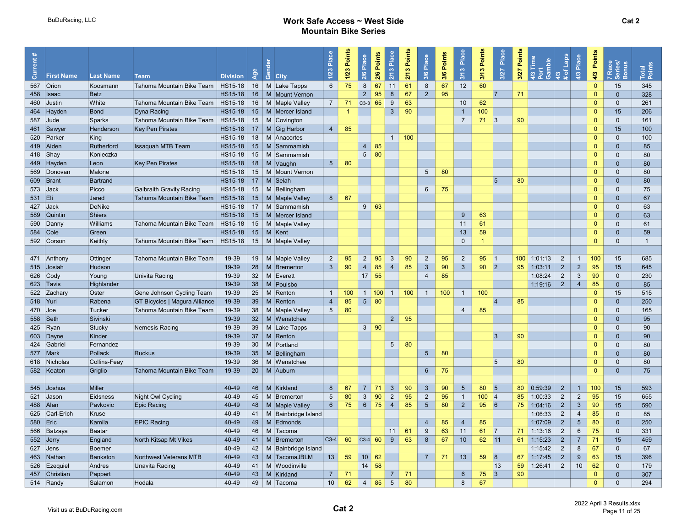| $\bar{c}$  | <b>First Name</b>        | <b>Last Name</b>   | <b>Team</b>                         | <b>Division</b>           | ই               | $\frac{1}{\sigma}$ City      | Ρã.<br>1/23     | Points<br>$1/23$ | Place<br>2/6                                                                   | 2/6 Points  | Place<br>2/13   | Points<br>2/13   | Place<br>3/6    | Points<br>3/6 | Place<br>3/13        | Points<br>3/13 | Place<br>3/27        | Points<br>3/27   | Time<br>Gamble<br>4/3 | 4/3<br># of Laps | Place<br>4/3    | Points<br>4/3 | Race<br>eries/<br>7 Race<br>Series/<br>Bonus | Total<br>Points |  |
|------------|--------------------------|--------------------|-------------------------------------|---------------------------|-----------------|------------------------------|-----------------|------------------|--------------------------------------------------------------------------------|-------------|-----------------|------------------|-----------------|---------------|----------------------|----------------|----------------------|------------------|-----------------------|------------------|-----------------|---------------|----------------------------------------------|-----------------|--|
|            | 567 Orion                | Koosmann           | Tahoma Mountain Bike Team   HS15-18 |                           |                 | 16 M Lake Tapps              | $6\overline{6}$ | 75               | 8                                                                              | 67          | 11              | 61               | 8               | 67            | 12                   | 60             |                      |                  |                       |                  |                 | $\Omega$      | 15                                           | 345             |  |
|            | 458   Isaac              | <b>Betz</b>        |                                     | $HS15-18$                 | 16              | M   Mount Vernon             |                 |                  | 2                                                                              | 95          | 8               | 67               | $\overline{2}$  | 95            |                      |                | 17                   | 71               |                       |                  |                 | $\Omega$      | $\mathbf{0}$                                 | 328             |  |
|            | 460 Justin               | White              | Tahoma Mountain Bike Team   HS15-18 |                           |                 | 16   M   Maple Valley        | $\overline{7}$  | 71               | $\begin{array}{ c c c c c } \hline \text{C3-3} & \text{65} \hline \end{array}$ |             | 9               | 63               |                 |               | 10                   | 62             |                      |                  |                       |                  |                 | $\Omega$      | $\mathbf 0$                                  | 261             |  |
|            | 464 Hayden               | Bond               | Dyna Racing                         |                           |                 | $HS15-18$ 15 M Mercer Island |                 | $\overline{1}$   |                                                                                |             | $\mathbf{3}$    | 90               |                 |               | $\mathbf{1}$         | 100            |                      |                  |                       |                  |                 | $\Omega$      | 15                                           | 206             |  |
|            | 587 Jude                 | Sparks             | Tahoma Mountain Bike Team   HS15-18 |                           |                 | 15   M Covington             |                 |                  |                                                                                |             |                 |                  |                 |               | $\overline{7}$       | $71 \quad  3$  |                      | 90               |                       |                  |                 | $\Omega$      | $\mathbf{0}$                                 | 161             |  |
|            |                          | Henderson          | <b>Key Pen Pirates</b>              | HS15-18                   | 17              | M Gig Harbor                 | $\overline{4}$  | 85               |                                                                                |             |                 |                  |                 |               |                      |                |                      |                  |                       |                  |                 | $\Omega$      | 15                                           | 100             |  |
|            | 461 Sawyer<br>520 Parker |                    |                                     |                           |                 | 18   M Anacortes             |                 |                  |                                                                                |             | $\overline{1}$  | 100              |                 |               |                      |                |                      |                  |                       |                  |                 | $\Omega$      | $\Omega$                                     | 100             |  |
|            | 419 Aiden                | King<br>Rutherford | <b>Issaquah MTB Team</b>            | HS15-18<br><b>HS15-18</b> | 15              | M Sammamish                  |                 |                  | $\overline{4}$                                                                 | 85          |                 |                  |                 |               |                      |                |                      |                  |                       |                  |                 | $\mathbf{0}$  | $\Omega$                                     | 85              |  |
|            | 418 Shay                 | Konieczka          |                                     | HS15-18                   | 15              | M Sammamish                  |                 |                  |                                                                                | $5 \mid 80$ |                 |                  |                 |               |                      |                |                      |                  |                       |                  |                 | $\Omega$      | $\mathbf{0}$                                 | 80              |  |
|            | 449 Hayden               |                    | <b>Key Pen Pirates</b>              | HS15-18                   | 18              | M Vaughn                     | 5 <sup>5</sup>  | 80               |                                                                                |             |                 |                  |                 |               |                      |                |                      |                  |                       |                  |                 | $\Omega$      | $\Omega$                                     | 80              |  |
|            |                          | Leon               |                                     |                           |                 |                              |                 |                  |                                                                                |             |                 |                  |                 |               |                      |                |                      |                  |                       |                  |                 | $\Omega$      | $\Omega$                                     |                 |  |
|            | 569 Donovan              | Malone             |                                     | $HS15-18$                 | 15              | M   Mount Vernon             |                 |                  |                                                                                |             |                 |                  | $5\overline{)}$ | 80            |                      |                |                      |                  |                       |                  |                 |               |                                              | 80              |  |
|            | 609 Brant                | Bartrand           |                                     | <b>HS15-18</b>            | 17              | M Selah                      |                 |                  |                                                                                |             |                 |                  |                 |               |                      |                | $\overline{5}$       | 80               |                       |                  |                 | $\Omega$      | $\mathbf{0}$                                 | 80              |  |
| 573 Jack   |                          | Picco              | <b>Galbraith Gravity Racing</b>     | HS15-18                   | 15              | M Bellingham                 |                 |                  |                                                                                |             |                 |                  | $6\overline{6}$ | 75            |                      |                |                      |                  |                       |                  |                 | $\Omega$      | $\mathbf{0}$                                 | 75              |  |
| 531 Eli    |                          | Jared              | Tahoma Mountain Bike Team   HS15-18 |                           |                 | 15   M   Maple Valley        | 8               | 67               |                                                                                |             |                 |                  |                 |               |                      |                |                      |                  |                       |                  |                 | $\Omega$      | $\mathbf{0}$                                 | 67              |  |
| 427 Jack   |                          | DeNike             |                                     | HS15-18                   |                 | 17   M Sammamish             |                 |                  | 9                                                                              | 63          |                 |                  |                 |               |                      |                |                      |                  |                       |                  |                 | $\Omega$      | $\mathbf 0$                                  | 63              |  |
|            | 589 Quintin              | Shiers             |                                     | HS15-18                   |                 | 15   M   Mercer Island       |                 |                  |                                                                                |             |                 |                  |                 |               | 9                    | 63             |                      |                  |                       |                  |                 | $\Omega$      | $\mathbf{0}$                                 | 63              |  |
|            | 590 Danny                | Williams           | Tahoma Mountain Bike Team   HS15-18 |                           |                 | 15   M   Maple Valley        |                 |                  |                                                                                |             |                 |                  |                 |               | 11                   | 61             |                      |                  |                       |                  |                 | $\Omega$      | $\Omega$                                     | 61              |  |
| 584 Cole   |                          | Green              |                                     | HS15-18                   |                 | $15$ M Kent                  |                 |                  |                                                                                |             |                 |                  |                 |               | 13                   | 59             |                      |                  |                       |                  |                 | $\Omega$      | $\Omega$                                     | 59              |  |
|            | 592 Corson               | Keithly            | Tahoma Mountain Bike Team   HS15-18 |                           |                 | 15   M   Maple Valley        |                 |                  |                                                                                |             |                 |                  |                 |               | $\mathbf{0}$         | 1              |                      |                  |                       |                  |                 | $\Omega$      | $\Omega$                                     | $\overline{1}$  |  |
|            | 471 Anthony              | Ottinger           | Tahoma Mountain Bike Team           | 19-39                     |                 | 19   M   Maple Valley        | $\overline{2}$  | 95               | $\overline{2}$                                                                 | 95          | $\mathbf{3}$    | 90               | $\overline{2}$  | 95            | $\overline{2}$       | 95             | 1                    | 100 <sub>1</sub> | 1:01:13               | $\overline{2}$   | $\mathbf{1}$    | 100           | 15                                           | 685             |  |
|            | 515 Josiah               | Hudson             |                                     | 19-39                     | 28              | M Bremerton                  | $\overline{3}$  | 90               | $\overline{4}$                                                                 | 85          | $\overline{4}$  | 85               | $\mathbf{3}$    | 90            | 3 <sup>1</sup>       | 90             | 2                    | 95               | 1:03:11               | $\overline{2}$   | $2^{\circ}$     | 95            | 15                                           | 645             |  |
|            | 626 Cody                 | Young              | Univita Racing                      | 19-39                     | 32              | M Everett                    |                 |                  | $17 \vert 55$                                                                  |             |                 |                  | $\overline{4}$  | 85            |                      |                |                      |                  | 1:08:24               | 2                | $\mathbf{3}$    | 90            | $\mathbf{0}$                                 | 230             |  |
|            | 623 Tavis                | Highlander         |                                     | 19-39                     | 38              | M Poulsbo                    |                 |                  |                                                                                |             |                 |                  |                 |               |                      |                |                      |                  | 1:19:16               | $\overline{2}$   | $\overline{4}$  | 85            | $\mathbf{0}$                                 | 85              |  |
|            | 522 Zachary              | Oster              | Gene Johnson Cycling Team           | 19-39                     | 25              | M Renton                     | $\mathbf{1}$    | 100              |                                                                                | 1   100     | $\overline{1}$  | 100 <sub>1</sub> | $\overline{1}$  | 100           | $\mathbf{1}$         | 100            |                      |                  |                       |                  |                 | $\Omega$      | 15                                           | 515             |  |
| 518 Yuri   |                          | Rabena             | GT Bicycles   Magura Alliance       | 19-39                     | 39              | $M$ Renton                   | $\overline{4}$  | 85               |                                                                                | $5 \mid 80$ |                 |                  |                 |               |                      |                | $\overline{A}$       | 85               |                       |                  |                 | $\Omega$      | $\mathbf{0}$                                 | 250             |  |
| $470$ Joe  |                          | Tucker             | Tahoma Mountain Bike Team           | 19-39                     | 38              | M Maple Valley               | $5\overline{)}$ | 80               |                                                                                |             |                 |                  |                 |               | $\overline{4}$       | 85             |                      |                  |                       |                  |                 | $\Omega$      | $\mathbf{0}$                                 | 165             |  |
| 558 Seth   |                          | Sivinski           |                                     | 19-39                     | 32 <sup>2</sup> | M Wenatchee                  |                 |                  |                                                                                |             | $2^{\circ}$     | 95               |                 |               |                      |                |                      |                  |                       |                  |                 | $\Omega$      | $\mathbf{0}$                                 | 95              |  |
|            | 425 Ryan                 | Stucky             | Nemesis Racing                      | 19-39                     |                 | 39   M   Lake Tapps          |                 |                  |                                                                                | $3 \mid 90$ |                 |                  |                 |               |                      |                |                      |                  |                       |                  |                 | $\Omega$      | $\Omega$                                     | 90              |  |
|            | 603 Dayne                | Kinder             |                                     | 19-39                     | 37              | M Renton                     |                 |                  |                                                                                |             |                 |                  |                 |               |                      |                | 3                    | 90               |                       |                  |                 | $\Omega$      | $\Omega$                                     | 90              |  |
|            | 424 Gabriel              | Fernandez          |                                     | 19-39                     | 30              | M Portland                   |                 |                  |                                                                                |             | $5\overline{)}$ | 80               |                 |               |                      |                |                      |                  |                       |                  |                 | $\Omega$      | $\mathbf{0}$                                 | 80              |  |
|            | 577 Mark                 | Pollack            | <b>Ruckus</b>                       | 19-39                     | 35              | M Bellingham                 |                 |                  |                                                                                |             |                 |                  | 5 <sup>5</sup>  | 80            |                      |                |                      |                  |                       |                  |                 | $\Omega$      | $\Omega$                                     | 80              |  |
|            | 618 Nicholas             | Collins-Feay       |                                     | 19-39                     | 36              | M Wenatchee                  |                 |                  |                                                                                |             |                 |                  |                 |               |                      |                | $\overline{5}$       | 80               |                       |                  |                 | $\Omega$      | $\Omega$                                     | 80              |  |
|            | 582 Keaton               | Griglio            | Tahoma Mountain Bike Team           | 19-39                     | 20              | M Auburn                     |                 |                  |                                                                                |             |                 |                  | $6\overline{6}$ | 75            |                      |                |                      |                  |                       |                  |                 | $\Omega$      | $\mathbf{0}$                                 | 75              |  |
|            |                          |                    |                                     |                           |                 |                              |                 |                  |                                                                                |             |                 |                  |                 |               |                      |                |                      |                  |                       |                  |                 |               |                                              |                 |  |
|            | 545 Joshua               | Miller             |                                     | 40-49                     | 46              | M Kirkland                   | 8               | 67               | $\overline{7}$                                                                 | $\vert$ 71  | $\mathbf{3}$    | 90               | $\mathbf{3}$    | 90            | $5\overline{)}$      | 80             | $\vert$ <sub>5</sub> | 80               | 0:59:39               | 2                | $\overline{1}$  | 100           | 15                                           | 593             |  |
|            | 521 Jason                | Eidsness           | Night Owl Cycling                   | 40-49                     |                 | 45   M   Bremerton           | 5               | 80               | 3                                                                              | 90          | $\overline{2}$  | 95               | $\overline{2}$  | 95            | $\mathbf{1}$         | 100            | 4                    | 85               | 1:00:33               | 2                | $\overline{2}$  | 95            | 15                                           | 655             |  |
| 488 Alan   |                          | Pavkovic           | Epic Racing                         | 40-49                     |                 | 48   M   Maple Valley        | 6 <sup>1</sup>  | 75               |                                                                                | $6 \mid 75$ | $\overline{4}$  | 85               | $5\overline{)}$ | 80            | $2^{\circ}$          | 95             | 6                    | 75               | 1:04:16               | $\overline{2}$   | $\mathbf{3}$    | 90            | 15                                           | 590             |  |
|            | 625 Carl-Erich           | Kruse              |                                     | 40-49                     | 41              | M Bainbridge Island          |                 |                  |                                                                                |             |                 |                  |                 |               |                      |                |                      |                  | 1:06:33               | $\overline{2}$   | $\overline{4}$  | 85            | $\mathbf{0}$                                 | 85              |  |
| 580   Eric |                          | Kamila             | <b>EPIC Racing</b>                  | 40-49                     |                 | 49 M Edmonds                 |                 |                  |                                                                                |             |                 |                  | $\overline{4}$  | 85            | $\overline{4}$       | 85             |                      |                  | 1:07:09               | $\overline{2}$   | $5\phantom{.0}$ | 80            | $\mathbf{0}$                                 | 250             |  |
|            | 566 Batzaya              | Baatar             |                                     | 40-49                     | 46              | M Tacoma                     |                 |                  |                                                                                |             | 11              | 61               | 9               | 63            | 11                   | 61             | 7                    | 71               | 1:13:16               | 2                | 6               | 75            | $\Omega$                                     | 331             |  |
|            | 552 Jerry                | England            | North Kitsap Mt Vikes               | 40-49                     |                 | 41   M   Bremerton           | $C3-4$          | 60               | $\begin{array}{ c c c }\n\hline\n\text{C3-4} & \text{60}\n\end{array}$         |             | 9               | 63               | 8               | 67            | 10                   | 62             | 11                   | 61               | 1:15:23               | $\overline{2}$   | $\overline{7}$  | 71            | 15                                           | 459             |  |
|            | 627 Jens                 | Boemer             |                                     | 40-49                     | 42              | M Bainbridge Island          |                 |                  |                                                                                |             |                 |                  |                 |               |                      |                |                      |                  | 1:15:42               | 2                | 8               | 67            | $\mathbf{0}$                                 | 67              |  |
|            | 463 Nathan               | Bankston           | Northwest Veterans MTB              | 40-49                     |                 | 43   M TacomaJBLM            | 13              | 59               | $10 \mid 62$                                                                   |             |                 |                  | $\overline{7}$  | 71            | 13                   | 59             | 8                    | 67               | 1:17:45               | $\overline{2}$   | 9               | 63            | 15                                           | 396             |  |
|            | 526 Ezequiel             | Andres             | Unavita Racing                      | 40-49                     | 41              | M Woodinville                |                 |                  | 14                                                                             | 58          |                 |                  |                 |               |                      |                | 13                   | 59               | 1:26:41               | 2                | 10              | 62            | $\mathbf{0}$                                 | 179             |  |
|            |                          |                    |                                     |                           | 43              |                              |                 | 71               |                                                                                |             | $\overline{7}$  |                  |                 |               |                      |                | <sub>3</sub>         | 90               |                       |                  |                 | $\Omega$      |                                              |                 |  |
|            | 457 Christian            | Pappert            |                                     | 40-49                     |                 | M Kirkland                   | $\overline{7}$  |                  |                                                                                |             |                 | 71               |                 |               | $6\phantom{.}6$<br>8 | 75             |                      |                  |                       |                  |                 | $\Omega$      | $\mathbf{0}$<br>$\mathbf{0}$                 | 307             |  |
|            | 514 Randy                | Salamon            | Hodala                              | 40-49                     |                 | 49   M Tacoma                | 10              | 62               | $4 \mid 85$                                                                    |             | $5\phantom{.0}$ | 80               |                 |               |                      | 67             |                      |                  |                       |                  |                 |               |                                              | 294             |  |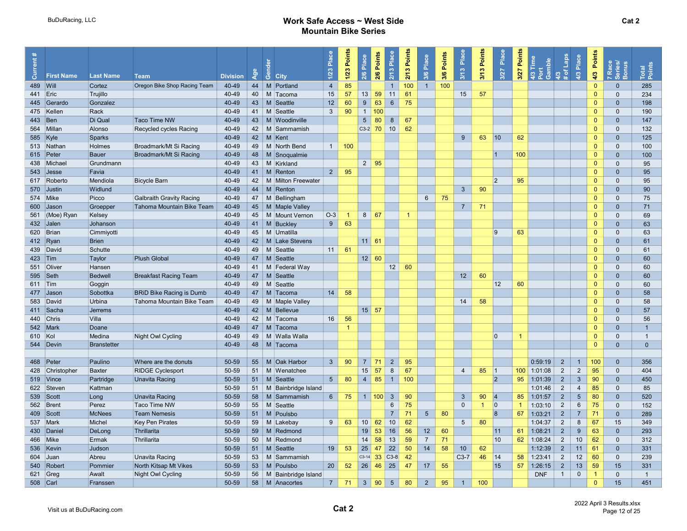| $\bar{\delta}$ | <b>First Name</b> | <b>Last Name</b> | <b>Team</b>                     | <b>Division</b> | ళ్లే | ්රී<br><b>City</b>   | Place<br>1/23   | Points<br>$1/23$ | 2/6 Place       | 2/6 Points | Place<br>2/13   | 2/13 Points | Place<br>3/6    | 3/6 Points | Place<br>3/13   | Points<br>3/13 | Place<br>3/27 | Points<br>3/27 | Time<br>Gamble<br>$\frac{2}{3}$ | 4/3<br># of Laps | Place<br>4/3            | Points<br>4/3        | 7 Race<br>Series/<br>Bonus | Total<br>Points |  |
|----------------|-------------------|------------------|---------------------------------|-----------------|------|----------------------|-----------------|------------------|-----------------|------------|-----------------|-------------|-----------------|------------|-----------------|----------------|---------------|----------------|---------------------------------|------------------|-------------------------|----------------------|----------------------------|-----------------|--|
| 489 Will       |                   | Cortez           | Oregon Bike Shop Racing Team    | 40-49           | 44   | M Portland           | $\overline{4}$  | 85               |                 |            | 1               | 100         | $\overline{1}$  | 100        |                 |                |               |                |                                 |                  |                         | $\Omega$             | $\mathbf{0}$               | 285             |  |
| 441 Eric       |                   | Trujillo         |                                 | 40-49           | 40   | M Tacoma             | 15              | 57               | 13              | 59         | 11              | 61          |                 |            | 15              | 57             |               |                |                                 |                  |                         | $\Omega$             | $\mathbf{0}$               | 234             |  |
|                | 445 Gerardo       | Gonzalez         |                                 | 40-49           | 43   | M Seattle            | 12              | 60               | 9               | 63         | $6\phantom{1}$  | 75          |                 |            |                 |                |               |                |                                 |                  |                         | $\Omega$             | $\mathbf{0}$               | 198             |  |
|                | 475 Kellen        | Rack             |                                 | 40-49           | 41   | M Seattle            | $\mathbf{3}$    | 90               | $\overline{1}$  | 100        |                 |             |                 |            |                 |                |               |                |                                 |                  |                         | $\mathbf{0}$         | $\mathbf 0$                | 190             |  |
| 443 Ben        |                   | Di Qual          | <b>Taco Time NW</b>             | 40-49           |      | 43   M   Woodinville |                 |                  | $5\phantom{.0}$ | 80         | $\delta$        | 67          |                 |            |                 |                |               |                |                                 |                  |                         | $\Omega$             | $\mathbf{0}$               | 147             |  |
|                |                   | Alonso           |                                 | 40-49           |      |                      |                 |                  | $C3-2$ 70       |            | 10              | 62          |                 |            |                 |                |               |                |                                 |                  |                         | $\Omega$             |                            |                 |  |
|                | 564 Millan        |                  | Recycled cycles Racing          |                 | 42   | M Sammamish          |                 |                  |                 |            |                 |             |                 |            |                 |                |               |                |                                 |                  |                         |                      | $\mathbf{0}$               | 132             |  |
| 585 Kyle       |                   | <b>Sparks</b>    |                                 | 40-49           | 42   | M Kent               |                 |                  |                 |            |                 |             |                 |            | 9               | 63             | $ 10\rangle$  | 62             |                                 |                  |                         | $\Omega$<br>$\Omega$ | $\mathbf{0}$               | 125             |  |
|                | 513 Nathan        | Holmes           | Broadmark/Mt Si Racing          | 40-49           | 49   | M North Bend         | $\overline{1}$  | 100              |                 |            |                 |             |                 |            |                 |                |               |                |                                 |                  |                         |                      | $\Omega$                   | 100             |  |
|                | 615 Peter         | Bauer            | Broadmark/Mt Si Racing          | 40-49           | 48   | M Snoqualmie         |                 |                  |                 |            |                 |             |                 |            |                 |                | $\vert$ 1     | 100            |                                 |                  |                         | $\Omega$             | $\mathbf{0}$               | 100             |  |
|                | 438 Michael       | Grundmann        |                                 | 40-49           | 43   | M Kirkland           |                 |                  | $2 \mid 95$     |            |                 |             |                 |            |                 |                |               |                |                                 |                  |                         | $\Omega$             | $\mathbf{0}$               | 95              |  |
|                | 543 Jesse         | Favia            |                                 | 40-49           | 41   | M Renton             | $2^{\circ}$     | 95               |                 |            |                 |             |                 |            |                 |                |               |                |                                 |                  |                         | $\Omega$             | $\mathbf{0}$               | 95              |  |
|                | 617 Roberto       | Mendiola         | <b>Bicycle Barn</b>             | 40-49           | 42   | M Milton Freewater   |                 |                  |                 |            |                 |             |                 |            |                 |                | $ 2\rangle$   | 95             |                                 |                  |                         | $\Omega$             | $\mathbf{0}$               | 95              |  |
|                | 570 Justin        | Widlund          |                                 | 40-49           | 44   | M Renton             |                 |                  |                 |            |                 |             |                 |            | $\mathbf{3}$    | 90             |               |                |                                 |                  |                         | $\Omega$             | $\mathbf{0}$               | 90              |  |
|                | 574 Mike          | Picco            | <b>Galbraith Gravity Racing</b> | 40-49           | 47   | M Bellingham         |                 |                  |                 |            |                 |             | $6\overline{6}$ | 75         |                 |                |               |                |                                 |                  |                         | $\Omega$             | $\mathbf{0}$               | 75              |  |
|                | 600 Jason         | Groepper         | Tahoma Mountain Bike Team       | 40-49           | 45   | M Maple Valley       |                 |                  |                 |            |                 |             |                 |            | $\overline{7}$  | 71             |               |                |                                 |                  |                         | $\Omega$             | $\mathbf{0}$               | 71              |  |
|                | 561 (Moe) Ryan    | Kelsey           |                                 | 40-49           | 45   | M Mount Vernon       | $O-3$           | $\overline{1}$   | $8 \mid 67$     |            |                 | -1          |                 |            |                 |                |               |                |                                 |                  |                         | $\Omega$             | $\mathbf{0}$               | 69              |  |
|                | 432 Jalen         | Johanson         |                                 | 40-49           |      | 41   M   Buckley     | 9               | 63               |                 |            |                 |             |                 |            |                 |                |               |                |                                 |                  |                         | $\Omega$             | $\mathbf{0}$               | 63              |  |
|                | 620 Brian         | Cimmiyotti       |                                 | 40-49           |      | 45   M   Umatilla    |                 |                  |                 |            |                 |             |                 |            |                 |                | 9             | 63             |                                 |                  |                         | $\mathbf{0}$         | $\mathbf{0}$               | 63              |  |
|                | 412 $\sqrt{R}$    | <b>Brien</b>     |                                 | 40-49           | 42   | M Lake Stevens       |                 |                  | $11 \ 61$       |            |                 |             |                 |            |                 |                |               |                |                                 |                  |                         | $\Omega$             | $\Omega$                   | 61              |  |
|                | 439 David         | Schutte          |                                 | 40-49           | 49   | M Seattle            | 11              | 61               |                 |            |                 |             |                 |            |                 |                |               |                |                                 |                  |                         | $\Omega$             | $\mathbf{0}$               | 61              |  |
| 423 Tim        |                   | Taylor           | <b>Plush Global</b>             | 40-49           | 47   | M Seattle            |                 |                  | $12 \mid 60$    |            |                 |             |                 |            |                 |                |               |                |                                 |                  |                         | $\Omega$             | $\mathbf{0}$               | 60              |  |
|                | 551 Oliver        | Hansen           |                                 | 40-49           | 41   | M Federal Way        |                 |                  |                 |            | 12              | 60          |                 |            |                 |                |               |                |                                 |                  |                         | $\mathbf{0}$         | $\mathbf 0$                | 60              |  |
|                | $595$ Seth        | <b>Bedwell</b>   | <b>Breakfast Racing Team</b>    | 40-49           | 47   | M Seattle            |                 |                  |                 |            |                 |             |                 |            | 12              | 60             |               |                |                                 |                  |                         | $\Omega$             | $\mathbf{0}$               | 60              |  |
| 611 Tim        |                   | Goggin           |                                 | 40-49           | 49   | M Seattle            |                 |                  |                 |            |                 |             |                 |            |                 |                | 12            | 60             |                                 |                  |                         | $\mathbf{0}$         | $\mathbf{0}$               | 60              |  |
|                | 477 Jason         | Sobottka         | <b>BRID Bike Racing is Dumb</b> | 40-49           | 47   | M Tacoma             | 14              | 58               |                 |            |                 |             |                 |            |                 |                |               |                |                                 |                  |                         | $\Omega$             | $\mathbf{0}$               | 58              |  |
|                | 583 David         | Urbina           | Tahoma Mountain Bike Team       | 40-49           | 49   | M Maple Valley       |                 |                  |                 |            |                 |             |                 |            | 14              | 58             |               |                |                                 |                  |                         | $\Omega$             | $\Omega$                   | 58              |  |
|                | 411 Sacha         | <b>Jerrems</b>   |                                 | 40-49           |      | 42   M   Bellevue    |                 |                  | $15 \mid 57$    |            |                 |             |                 |            |                 |                |               |                |                                 |                  |                         | $\Omega$             | $\mathbf{0}$               | 57              |  |
|                | 440 Chris         | Villa            |                                 | 40-49           | 42   | M Tacoma             | 16              | 56               |                 |            |                 |             |                 |            |                 |                |               |                |                                 |                  |                         | $\Omega$             | $\mathbf{0}$               | 56              |  |
|                | 542 Mark          | Doane            |                                 | 40-49           |      | 47   M Tacoma        |                 | -1               |                 |            |                 |             |                 |            |                 |                |               |                |                                 |                  |                         | $\Omega$             | $\mathbf{0}$               | $\overline{1}$  |  |
| 610 Kol        |                   | Medina           | Night Owl Cycling               | 40-49           | 49   | M Walla Walla        |                 |                  |                 |            |                 |             |                 |            |                 |                | $ 0\rangle$   | $\mathbf 1$    |                                 |                  |                         | $\Omega$             | $\mathbf{0}$               | $\overline{1}$  |  |
|                | 544 Devin         | Branstetter      |                                 | 40-49           |      | 48   M Tacoma        |                 |                  |                 |            |                 |             |                 |            |                 |                |               |                |                                 |                  |                         | $\Omega$             | $\mathbf{0}$               | $\mathbf{0}$    |  |
|                |                   |                  |                                 |                 |      |                      |                 |                  |                 |            |                 |             |                 |            |                 |                |               |                |                                 |                  |                         |                      |                            |                 |  |
|                | 468 Peter         | Paulino          | Where are the donuts            | 50-59           | 55   | M Oak Harbor         | $\mathbf{3}$    | 90               | $7 \mid 71$     |            | $\overline{2}$  | 95          |                 |            |                 |                |               |                | 0:59:19                         | $\overline{2}$   | $\overline{1}$          | 100                  | $\mathbf{0}$               | 356             |  |
|                | 428 Christopher   | <b>Baxter</b>    | <b>RIDGE Cyclesport</b>         | 50-59           | 51   | M Wenatchee          |                 |                  | 15              | 57         | 8               | 67          |                 |            | $\overline{4}$  | 85             | 1             | 100            | 1:01:08                         | $\overline{2}$   | $\overline{2}$          | 95                   | $\mathbf{0}$               | 404             |  |
|                | 519 Vince         | Partridge        | <b>Unavita Racing</b>           | 50-59           | 51   | M Seattle            | $5\overline{)}$ | 80               | 4               | 85         | $\mathbf{1}$    | 100         |                 |            |                 |                | 2             | 95             | 1:01:39                         | 2                | $\mathbf{3}$            | 90                   | $\mathbf{0}$               | 450             |  |
|                | 622 Steven        | Kattman          |                                 | 50-59           | 51   | M Bainbridge Island  |                 |                  |                 |            |                 |             |                 |            |                 |                |               |                | 1:01:46                         | 2                | $\overline{\mathbf{4}}$ | 85                   | $\mathbf 0$                | 85              |  |
|                | 539 Scott         | Long             | <b>Unavita Racing</b>           | 50-59           | 58   | M Sammamish          | 6 <sup>1</sup>  | 75               | 1   100         |            | $\mathbf{3}$    | 90          |                 |            | 3 <sup>5</sup>  | 90             | 4             | 85             | 1:01:57                         | $\overline{2}$   | $5\phantom{.0}$         | 80                   | $\mathbf{0}$               | 520             |  |
|                | 562 Brent         | Perez            | <b>Taco Time NW</b>             | 50-59           | 55   | M Seattle            |                 |                  |                 |            | $6\overline{6}$ | 75          |                 |            | $\mathbf{0}$    | $\overline{1}$ | $ 0\rangle$   | $\overline{1}$ | 1:03:10                         | $\overline{2}$   | $6\phantom{.}$          | 75                   | $\mathbf{0}$               | 152             |  |
|                |                   |                  |                                 |                 |      |                      |                 |                  |                 |            | $\overline{7}$  |             |                 |            |                 |                |               |                |                                 |                  |                         |                      |                            |                 |  |
|                | 409 Scott         | <b>McNees</b>    | <b>Team Nemesis</b>             | 50-59           | 51   | M Poulsbo            |                 |                  |                 |            |                 | 71          | $5\phantom{.0}$ | 80         |                 |                | 8             | 67             | 1:03:21                         | $\overline{2}$   | $\overline{7}$          | 71                   | $\mathbf{0}$               | 289             |  |
|                | 537 Mark          | Michel           | <b>Key Pen Pirates</b>          | 50-59           | 59   | M Lakebay            | 9               | 63               | 10 <sup>1</sup> | 62         | 10              | 62          |                 |            | $5\overline{)}$ | 80             |               |                | 1:04:37                         | $\overline{2}$   | 8                       | 67                   | 15                         | 349             |  |
|                | 430 Daniel        | DeLong           | Thrillarita                     | 50-59           | 59   | M Redmond            |                 |                  | 19              | 53         | 16              | 56          | 12              | 60         |                 |                | 11            | 61             | 1:08:21                         | $\overline{2}$   | 9                       | 63                   | $\mathbf{0}$               | 293             |  |
|                | 466 Mike          | Ermak            | Thrillarita                     | 50-59           | 50   | M Redmond            |                 |                  | 14              | 58         | 13              | 59          | $\overline{7}$  | 71         |                 |                | 10            | 62             | 1:08:24                         | $\overline{2}$   | 10 <sup>°</sup>         | 62                   | $\mathbf{0}$               | 312             |  |
|                | 536 Kevin         | Judson           |                                 | 50-59           | 51   | M Seattle            | 19              | 53               | 25              | 47         | 22              | 50          | 14              | 58         | 10              | 62             |               |                | 1:12:39                         | $2^{\circ}$      | 11                      | 61                   | $\mathbf{0}$               | 331             |  |
|                | 604 Juan          | Abreu            | Unavita Racing                  | 50-59           |      | 53   M Sammamish     |                 |                  | $C3-14$         | 33         | $C3-8$          | 42          |                 |            | $C3-7$          | 46             | 14            | 58             | 1:23:41                         | $\overline{2}$   | 12                      | 60                   | $\Omega$                   | 239             |  |
|                | 540 Robert        | Pommier          | North Kitsap Mt Vikes           | 50-59           | 53   | M Poulsbo            | 20              | 52               |                 |            | 25              | 47          | 17              | 55         |                 |                | 15            | 57             | 1:26:15                         | $\overline{2}$   | 13                      | 59                   | 15                         | 331             |  |
|                | 621 Greg          | Awalt            | Night Owl Cycling               | 50-59           | 56   | M Bainbridge Island  |                 |                  |                 |            |                 |             |                 |            |                 |                |               |                | <b>DNF</b>                      | $\overline{1}$   | $\mathbf 0$             | $\overline{1}$       | $\mathbf{0}$               | $\overline{1}$  |  |
| 508 Carl       |                   | Franssen         |                                 | 50-59           |      | 58   M   Anacortes   | $7\overline{ }$ | 71               | $3 \mid 90$     |            | 5 <sup>5</sup>  | 80          | $\overline{2}$  | 95         | $\mathbf{1}$    | 100            |               |                |                                 |                  |                         | $\Omega$             | 15                         | 451             |  |
|                |                   |                  |                                 |                 |      |                      |                 |                  |                 |            |                 |             |                 |            |                 |                |               |                |                                 |                  |                         |                      |                            |                 |  |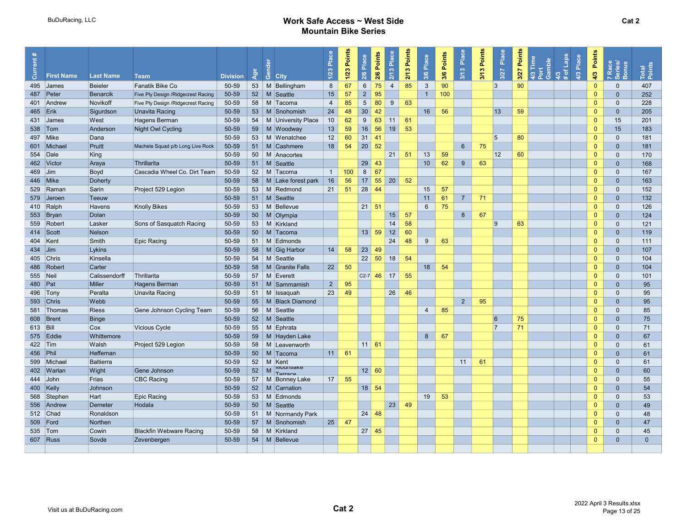| ent:      |                   |                  |                                     |                 |     |                                         | Place          | Points | Place                |            | Place          | 2/13 Points | Place           |            | Place           | Points | Place        | Points | Time                                        | Place | 4/3 Points   |                            |                 |
|-----------|-------------------|------------------|-------------------------------------|-----------------|-----|-----------------------------------------|----------------|--------|----------------------|------------|----------------|-------------|-----------------|------------|-----------------|--------|--------------|--------|---------------------------------------------|-------|--------------|----------------------------|-----------------|
| ā         | <b>First Name</b> | <b>Last Name</b> | <b>Team</b>                         | <b>Division</b> | Age | ්රී<br><b>City</b>                      | 1/23           | 1/23   | 2/6                  | 2/6 Points | 2/13           |             | 3/6             | 3/6 Points | 3/13            | 3/13   | 3/27         | 3/27   | $4/3$<br># of Laps<br>Port<br>Gamble<br>4/3 | 4/3   |              | 7 Race<br>Series/<br>Bonus | Total<br>Points |
|           | 495 James         | <b>Beieler</b>   | Fanatik Bike Co                     | 50-59           |     | 53   M   Bellingham                     | 8              | 67     | 6                    | 75         | $\overline{4}$ | 85          | $\mathbf{3}$    | 90         |                 |        | $ 3\rangle$  | 90     |                                             |       | $\Omega$     | $\mathbf{0}$               | 407             |
|           | 487 Peter         | <b>Benarcik</b>  | Five Ply Design / Ridgecrest Racing | 50-59           |     | 52   M Seattle                          | 15             | 57     | $\overline{2}$       | 95         |                |             | $\overline{1}$  | 100        |                 |        |              |        |                                             |       | $\Omega$     | $\mathbf{0}$               | 252             |
|           | 401 Andrew        | Novikoff         | Five Ply Design / Ridgecrest Racing | 50-59           |     | 58   M Tacoma                           | $\overline{4}$ | 85     | $5\overline{)}$      | 80         | 9              | 63          |                 |            |                 |        |              |        |                                             |       | $\Omega$     | $\mathbf 0$                | 228             |
| 465 Erik  |                   | Sigurdson        | Unavita Racing                      | 50-59           |     | 53   M Snohomish                        | 24             | 48     | 30 <sup>°</sup>      | 42         |                |             | 16              | 56         |                 |        | $ 13\rangle$ | 59     |                                             |       | $\Omega$     | $\mathbf{0}$               | 205             |
|           | 431 James         | West             | Hagens Berman                       | 50-59           | 54  | M University Place                      | 10             | 62     | 9                    | 63         | 11             | 61          |                 |            |                 |        |              |        |                                             |       | $\Omega$     | 15                         | 201             |
|           | 538 Tom           | Anderson         | Night Owl Cycling                   | 50-59           |     | 59   M Woodway                          | 13             | 59     | 16                   | 56         | 19             | 53          |                 |            |                 |        |              |        |                                             |       | $\Omega$     | 15                         | 183             |
|           | 497 Mike          | Dana             |                                     | 50-59           | 53  | M Wenatchee                             | 12             | 60     | $31 \mid 41$         |            |                |             |                 |            |                 |        | $\sqrt{5}$   | 80     |                                             |       | $\Omega$     | $\Omega$                   | 181             |
|           | 601 Michael       | Pruitt           | Machete Squad p/b Long Live Rock    | 50-59           |     | 51   M Cashmere                         | 18             | 54     | $20 \mid 52$         |            |                |             |                 |            | $6\overline{6}$ | 75     |              |        |                                             |       | $\Omega$     | $\mathbf{0}$               | 181             |
|           | 554 Dale          | King             |                                     | 50-59           | 50  | M Anacortes                             |                |        |                      |            | 21             | 51          | 13              | 59         |                 |        | 12           | 60     |                                             |       | $\mathbf{0}$ | $\mathbf 0$                | 170             |
|           | 462 Victor        | Araya            | Thrillarita                         | 50-59           |     | 51   M Seattle                          |                |        | 29                   | 43         |                |             | 10 <sup>°</sup> | 62         | 9               | 63     |              |        |                                             |       | $\Omega$     | $\mathbf{0}$               | 168             |
| 469 Jim   |                   | Boyd             | Cascadia Wheel Co. Dirt Team        | 50-59           | 52  | M Tacoma                                | $\overline{1}$ | 100    | 8                    | 67         |                |             |                 |            |                 |        |              |        |                                             |       | $\Omega$     | $\mathbf{0}$               | 167             |
|           | 446 Mike          | Doherty          |                                     | 50-59           | 58  | M Lake forest park                      | 16             | 56     | $17 \mid 55$         |            | 20             | 52          |                 |            |                 |        |              |        |                                             |       | $\Omega$     | $\mathbf{0}$               | 163             |
|           | 529 Raman         | Sarin            | Project 529 Legion                  | 50-59           |     | 53   M   Redmond                        | 21             | 51     | $28 \mid 44$         |            |                |             | 15              | 57         |                 |        |              |        |                                             |       | $\mathbf{0}$ | $\mathbf 0$                | 152             |
|           | 579 Jeroen        | Teeuw            |                                     | 50-59           |     | 51   M Seattle                          |                |        |                      |            |                |             | 11              | 61         | $\overline{7}$  | 71     |              |        |                                             |       | $\Omega$     | $\mathbf{0}$               | 132             |
|           | 410 Ralph         | Havens           | <b>Knolly Bikes</b>                 | 50-59           |     | 53 M Bellevue                           |                |        | $21 \mid 51$         |            |                |             | $6\phantom{1}$  | 75         |                 |        |              |        |                                             |       | $\Omega$     | $\mathbf 0$                | 126             |
|           | 553 Bryan         | Dolan            |                                     | 50-59           |     | 50   M Olympia                          |                |        |                      |            | 15             | 57          |                 |            | 8               | 67     |              |        |                                             |       | $\Omega$     | $\mathbf{0}$               | 124             |
|           | 559 Robert        | Lasker           | Sons of Sasquatch Racing            | 50-59           |     | 53 M Kirkland                           |                |        |                      |            | 14             | 58          |                 |            |                 |        | 9            | 63     |                                             |       | $\Omega$     | $\mathbf{0}$               | 121             |
|           | 414 Scott         | Nelson           |                                     | 50-59           |     | 50   M Tacoma                           |                |        | $13 \mid 59$         |            | 12             | 60          |                 |            |                 |        |              |        |                                             |       | $\Omega$     | $\mathbf{0}$               | 119             |
|           | 404 Kent          | Smith            | <b>Epic Racing</b>                  | 50-59           | 51  | M Edmonds                               |                |        |                      |            | 24             | 48          | 9               | 63         |                 |        |              |        |                                             |       | $\Omega$     | $\mathbf{0}$               | 111             |
| $434$ Jim |                   | Lykins           |                                     | 50-59           |     | 58   M   Gig Harbor                     | 14             | 58     | $23 \mid 49$         |            |                |             |                 |            |                 |        |              |        |                                             |       | $\Omega$     | $\mathbf{0}$               | 107             |
|           | 405 Chris         | Kinsella         |                                     | 50-59           |     | 54   M Seattle                          |                |        | $22 \mid 50$         |            | 18             | 54          |                 |            |                 |        |              |        |                                             |       | $\Omega$     | $\mathbf{0}$               | 104             |
|           | 486 Robert        | Carter           |                                     | 50-59           |     | 58   M Granite Falls                    | 22             | 50     |                      |            |                |             | 18              | 54         |                 |        |              |        |                                             |       | $\Omega$     | $\mathbf{0}$               | 104             |
| 555 Neil  |                   | Calissendorff    | Thrillarita                         | 50-59           | 57  | M Everett                               |                |        | C <sub>2</sub> -7 46 |            | 17             | 55          |                 |            |                 |        |              |        |                                             |       | $\Omega$     | $\mathbf{0}$               | 101             |
| 480 Pat   |                   | <b>Miller</b>    | Hagens Berman                       | 50-59           | 51  | M Sammamish                             | $2^{\circ}$    | 95     |                      |            |                |             |                 |            |                 |        |              |        |                                             |       | $\Omega$     | $\mathbf{0}$               | 95              |
|           | 496 Tony          | Peralta          | Unavita Racing                      | 50-59           |     | 51   M   Issaguah                       | 23             | 49     |                      |            | 26             | 46          |                 |            |                 |        |              |        |                                             |       | $\Omega$     | $\mathbf{0}$               | 95              |
|           | 593 Chris         | Webb             |                                     | 50-59           |     | 55   M Black Diamond                    |                |        |                      |            |                |             |                 |            | $\overline{2}$  | 95     |              |        |                                             |       | $\Omega$     | $\mathbf{0}$               | 95              |
|           | 581 Thomas        | <b>Riess</b>     | Gene Johnson Cycling Team           | 50-59           |     | 56   M Seattle                          |                |        |                      |            |                |             | $\overline{4}$  | 85         |                 |        |              |        |                                             |       | $\Omega$     | $\mathbf{0}$               | 85              |
|           | 608 Brent         | <b>Binge</b>     |                                     | 50-59           |     | 52   M Seattle                          |                |        |                      |            |                |             |                 |            |                 |        | 6            | 75     |                                             |       | $\Omega$     | $\Omega$                   | 75              |
| 613 Bill  |                   | Cox              | Vicious Cycle                       | 50-59           |     | 55   M Ephrata                          |                |        |                      |            |                |             |                 |            |                 |        | 7            | 71     |                                             |       | $\Omega$     | $\mathbf 0$                | 71              |
|           | 575 Eddie         | Whittemore       |                                     | 50-59           |     | 59   M Hayden Lake                      |                |        |                      |            |                |             | 8               | 67         |                 |        |              |        |                                             |       | $\Omega$     | $\mathbf{0}$               | 67              |
| 422 Tim   |                   | Walsh            | Project 529 Legion                  | 50-59           |     | 58   M Leavenworth                      |                |        | $11 \mid 61$         |            |                |             |                 |            |                 |        |              |        |                                             |       | $\Omega$     | $\Omega$                   | 61              |
| 456 Phil  |                   | Heffernan        |                                     | 50-59           |     | 50   M Tacoma                           | 11             | 61     |                      |            |                |             |                 |            |                 |        |              |        |                                             |       | $\Omega$     | $\mathbf{0}$               | 61              |
|           | 599 Michael       | <b>Baltierra</b> |                                     | 50-59           |     | 52   M   Kent                           |                |        |                      |            |                |             |                 |            | 11              | 61     |              |        |                                             |       | $\Omega$     | $\Omega$                   | 61              |
|           | 402 Warlan        | Wight            | Gene Johnson                        | 50-59           |     | $52$ M $_{\tau}$ M $_{\tau}$<br>Torroco |                |        | $12 \mid 60$         |            |                |             |                 |            |                 |        |              |        |                                             |       | $\Omega$     | $\Omega$                   | 60              |
|           | 444 John          | Frias            | <b>CBC Racing</b>                   | 50-59           |     | 57   M Bonney Lake                      | 17             | 55     |                      |            |                |             |                 |            |                 |        |              |        |                                             |       | $\mathbf{0}$ | $\mathbf 0$                | 55              |
|           | 400 Kelly         | Johnson          |                                     | 50-59           |     | 52   M Carnation                        |                |        | 18 54                |            |                |             |                 |            |                 |        |              |        |                                             |       | $\Omega$     | $\mathbf{0}$               | 54              |
|           | 568 Stephen       | Hart             | Epic Racing                         | 50-59           |     | 53   M Edmonds                          |                |        |                      |            |                |             | 19              | 53         |                 |        |              |        |                                             |       | $\Omega$     | $\mathbf{0}$               | 53              |
|           | 556 Andrew        | Demeter          | Hodala                              | 50-59           |     | 50   M Seattle                          |                |        |                      |            | 23             | 49          |                 |            |                 |        |              |        |                                             |       | $\Omega$     | $\mathbf{0}$               | 49              |
|           | 512 Chad          | Ronaldson        |                                     | 50-59           |     | 51   M   Normandy Park                  |                |        | $24 \mid 48$         |            |                |             |                 |            |                 |        |              |        |                                             |       | $\Omega$     | $\mathbf{0}$               | 48              |
|           | 509   Ford        | Northen          |                                     | 50-59           |     | 57   M Snohomish                        | 25             | 47     |                      |            |                |             |                 |            |                 |        |              |        |                                             |       | $\Omega$     | $\mathbf{0}$               | 47              |
|           | 535 Tom           | Cowin            | <b>Blackfin Webware Racing</b>      | 50-59           | 58  | M Kirkland                              |                |        | $27 \mid 45$         |            |                |             |                 |            |                 |        |              |        |                                             |       | $\Omega$     | $\mathbf 0$                | 45              |
|           | 607 Russ          | Sovde            | Zevenbergen                         | 50-59           |     | 54 M Bellevue                           |                |        |                      |            |                |             |                 |            |                 |        |              |        |                                             |       | $\Omega$     | $\mathbf{0}$               | $\Omega$        |
|           |                   |                  |                                     |                 |     |                                         |                |        |                      |            |                |             |                 |            |                 |        |              |        |                                             |       |              |                            |                 |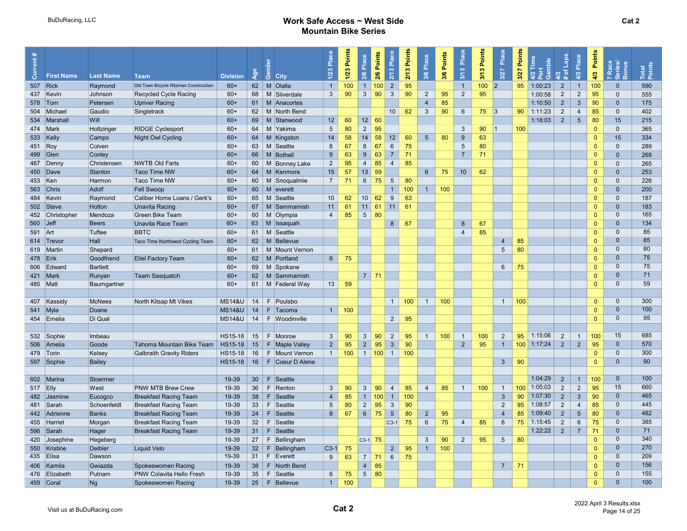| ā          | <b>First Name</b> | <b>Last Name</b> | <b>Team</b>                           | <b>Division</b>   | Age | ලී<br><b>City</b>  | Place<br>1/23   | Points<br>$1/23$ | Place<br>2/6        | 2/6 Points | Place<br>2/13   | 2/13 Points | Place<br>3/6    | 3/6 Points | Place<br>3/13   | Points<br>3/13 | Place<br>3/27   | Points<br>3/27 | lime<br>Gamble<br>43 | /3<br>of Laps<br>$\ast$ | Place<br>4/3    | Points<br>4/3 | Race<br>eries/<br>7 Race<br>Series/<br>Bonus | Total<br>Points |
|------------|-------------------|------------------|---------------------------------------|-------------------|-----|--------------------|-----------------|------------------|---------------------|------------|-----------------|-------------|-----------------|------------|-----------------|----------------|-----------------|----------------|----------------------|-------------------------|-----------------|---------------|----------------------------------------------|-----------------|
|            | 507 Rick          | Raymond          | Old Town Bicycle Ritzman Construction | $60+$             |     | 62 M Olalla        | $\overline{1}$  | 100              | $\overline{1}$      | 100        | $\overline{2}$  | 95          |                 |            | $\mathbf{1}$    | 100            | 2               | 95             | 1:00:23              | $\overline{2}$          | $\overline{1}$  | 100           | $\mathbf{0}$                                 | 590             |
|            | 437 Kevin         | Johnson          | <b>Recycled Cycle Racing</b>          | $60+$             | 68  | M Silverdale       | $\mathbf{3}$    | 90               | $\mathbf{3}$        | 90         | $\mathbf{3}$    | 90          | $\overline{2}$  | 95         | $\overline{2}$  | 95             |                 |                | 1:00:58              | $\overline{2}$          | $\overline{2}$  | 95            | $\mathbf{0}$                                 | 555             |
|            | $578$ Tom         | Petersen         | <b>Upriver Racing</b>                 | $60+$             |     | 61   M   Anacortes |                 |                  |                     |            |                 |             | $\overline{4}$  | 85         |                 |                |                 |                | 1:10:50              | $\overline{2}$          | $\mathbf{3}$    | 90            | $\mathbf{0}$                                 | 175             |
|            | 504 Michael       | Gaudio           | Singletrack                           | $60+$             | 62  | M North Bend       |                 |                  |                     |            | 10              | 62          | $\mathbf{3}$    | 90         | $6\phantom{1}$  | 75             | 3               | 90             | 1:11:23              | $\overline{2}$          | $\overline{4}$  | 85            | $\mathbf{0}$                                 | 402             |
|            | 534 Marshall      | Will             |                                       | $60+$             | 69  | M Stanwood         | 12              | 60               | 12                  | 60         |                 |             |                 |            |                 |                |                 |                | 1:18:03              | $\overline{2}$          | $5\phantom{.0}$ | 80            | 15                                           | 215             |
|            | 474 Mark          | Holtzinger       | <b>RIDGE Cyclesport</b>               | $60+$             | 64  | M Yakima           | 5               | 80               | 2                   | 95         |                 |             |                 |            | $\mathbf{3}$    | 90             | 1               | 100            |                      |                         |                 | $\Omega$      | $\mathbf{0}$                                 | 365             |
|            | 533 Kelly         | Campo            | <b>Night Owl Cycling</b>              | $60+$             | 64  | M Kingston         | 14              | 58               | 14                  | 58         | 12              | 60          | $5\overline{)}$ | 80         | 9               | 63             |                 |                |                      |                         |                 | $\Omega$      | 15                                           | 334             |
| 451 Roy    |                   | Colven           |                                       | $60+$             | 63  | M Seattle          | 8               | 67               | 8                   | 67         | 6               | 75          |                 |            | $5\overline{)}$ | 80             |                 |                |                      |                         |                 | $\Omega$      | $\mathbf 0$                                  | 289             |
|            | 499 Glen          | Conley           |                                       | $60+$             | 66  | M Bothell          | 9               | 63               | 9                   | 63         | $\overline{7}$  | 71          |                 |            | $\overline{7}$  | 71             |                 |                |                      |                         |                 | $\mathbf{0}$  | $\mathbf{0}$                                 | 268             |
|            | 467 Denny         | Christensen      | <b>NWTB Old Farts</b>                 | $60+$             | 60  | M Bonney Lake      | $\overline{2}$  | 95               | $\overline{4}$      | 85         | $\overline{4}$  | 85          |                 |            |                 |                |                 |                |                      |                         |                 | $\Omega$      | $\mathbf{0}$                                 | 265             |
|            | 450 Dave          | Stanton          | <b>Taco Time NW</b>                   | $60+$             | 64  | M Kenmore          | 15              | 57               | 13                  | 59         |                 |             | $6\phantom{.}6$ | 75         | 10              | 62             |                 |                |                      |                         |                 | $\Omega$      | $\mathbf{0}$                                 | 253             |
| 453 Ken    |                   | Harmon           | Taco Time NW                          | $60+$             | 60  | M Snoqualmie       | $\overline{7}$  | 71               | 6                   | 75         | 5               | 80          |                 |            |                 |                |                 |                |                      |                         |                 | $\Omega$      | $\mathbf{0}$                                 | 226             |
|            | 563 Chris         | Adolf            | Fell Swoop                            | $60+$             | 60  | $M$ everett        |                 |                  |                     |            | $\overline{1}$  | 100         | $\overline{1}$  | 100        |                 |                |                 |                |                      |                         |                 | $\Omega$      | $\mathbf{0}$                                 | 200             |
|            | 484 Kevin         | Raymond          | Caliber Home Loans / Gerk's           | $60+$             | 65  | M Seattle          | 10              | 62               | 10 <sup>1</sup>     | 62         | 9               | 63          |                 |            |                 |                |                 |                |                      |                         |                 | $\Omega$      | $\mathbf 0$                                  | 187             |
|            | 502 Steve         | Holton           | <b>Unavita Racing</b>                 | $60+$             | 67  | M Sammamish        | 11              | 61               | $11$ 61             |            | 11              | 61          |                 |            |                 |                |                 |                |                      |                         |                 | $\Omega$      | $\mathbf{0}$                                 | 183             |
|            | 452 Christopher   | Mendoza          | Green Bike Team                       | $60+$             | 60  | M Olympia          | $\overline{4}$  | 85               | 5 <sup>5</sup>      | 80         |                 |             |                 |            |                 |                |                 |                |                      |                         |                 | $\Omega$      | $\mathbf{0}$                                 | 165             |
| 560        | $\vert$ Jeff      | <b>Beers</b>     | Unavita Race Team                     | $60+$             | 63  | M Issaquah         |                 |                  |                     |            | 8 <sup>°</sup>  | 67          |                 |            | 8 <sup>°</sup>  | 67             |                 |                |                      |                         |                 | $\Omega$      | $\mathbf{0}$                                 | 134             |
| 591 Art    |                   | Tuftee           | <b>BBTC</b>                           | $60+$             |     | 61   M Seattle     |                 |                  |                     |            |                 |             |                 |            | $\overline{4}$  | 85             |                 |                |                      |                         |                 | $\Omega$      | $\mathbf{0}$                                 | 85              |
|            | 614 Trevor        | Hall             | Taco Time Northwest Cycling Team      | $60+$             | 62  | M Bellevue         |                 |                  |                     |            |                 |             |                 |            |                 |                | $\overline{4}$  | 85             |                      |                         |                 | $\Omega$      | $\mathbf{0}$                                 | 85              |
|            | 619 Martin        | Shepard          |                                       | $60+$             | 61  | M Mount Vernon     |                 |                  |                     |            |                 |             |                 |            |                 |                | 5               | 80             |                      |                         |                 | $\Omega$      | $\mathbf{0}$                                 | 80              |
| 478 Erik   |                   | Goodfriend       | <b>Eliel Factory Team</b>             | $60+$             | 62  | M Portland         | $6\overline{6}$ | 75               |                     |            |                 |             |                 |            |                 |                |                 |                |                      |                         |                 | $\Omega$      | $\mathbf{0}$                                 | 75              |
|            | 606 Edward        | <b>Bartlett</b>  |                                       | $60+$             | 69  | M Spokane          |                 |                  |                     |            |                 |             |                 |            |                 |                | $6^{\circ}$     | 75             |                      |                         |                 | $\Omega$      | $\mathbf{0}$                                 | 75              |
|            | 421 Mark          | Runyan           | <b>Team Sasquatch</b>                 | $60+$             |     | 62   M Sammamish   |                 |                  | $7 \mid 71$         |            |                 |             |                 |            |                 |                |                 |                |                      |                         |                 | $\Omega$      | $\mathbf{0}$                                 | 71              |
| 485   Matt |                   | Baumgartner      |                                       | $60+$             | 61  | M Federal Way      | 13              | 59               |                     |            |                 |             |                 |            |                 |                |                 |                |                      |                         |                 | $\Omega$      | $\mathbf 0$                                  | 59              |
|            |                   |                  |                                       |                   |     |                    |                 |                  |                     |            |                 |             |                 |            |                 |                |                 |                |                      |                         |                 |               |                                              |                 |
|            | 407 Kassidy       | <b>McNees</b>    | North Kitsap Mt Vikes                 | <b>MS14&amp;U</b> | 14  | F Poulsbo          |                 |                  |                     |            | $\mathbf{1}$    | 100         | $\bigcirc$      | 100        |                 |                | $\overline{1}$  | 100            |                      |                         |                 | $\Omega$      | $\mathbf{0}$                                 | 300             |
|            | $541$ Myla        | Doane            |                                       | <b>MS14&amp;U</b> | 14  | $F$ Tacoma         | $\overline{1}$  | 100              |                     |            |                 |             |                 |            |                 |                |                 |                |                      |                         |                 | $\Omega$      | $\mathbf{0}$                                 | 100             |
|            | 454 Emelia        | Di Qual          |                                       | <b>MS14&amp;U</b> | 14  | F Woodinville      |                 |                  |                     |            | $\overline{2}$  | 95          |                 |            |                 |                |                 |                |                      |                         |                 | $\Omega$      | $\mathbf{0}$                                 | 95              |
|            |                   |                  |                                       |                   |     |                    |                 |                  |                     |            |                 |             |                 |            |                 |                |                 |                |                      |                         |                 |               |                                              |                 |
|            | 532 Sophie        | Imbeau           |                                       | HS15-18           | 15  | F Monroe           | $\mathbf{3}$    | 90               | $\mathbf{3}$        | 90         | 2               | 95          | $\overline{1}$  | 100        | $\overline{1}$  | 100            | $\overline{2}$  | 95             | 1:15:06              | 2                       | $\overline{1}$  | 100           | 15                                           | 685             |
|            | 506 Amelia        | Goode            | Tahoma Mountain Bike Team             | HS15-18           | 15  | F   Maple Valley   | $\overline{2}$  | 95               | $2^{\circ}$         | 95         | $\mathbf{3}$    | 90          |                 |            | $\overline{2}$  | 95             | $\overline{1}$  | 100            | 1:17:24              | $\overline{2}$          | 2               | 95            | $\mathbf{0}$                                 | 570             |
|            | 479 Torin         | Kelsey           | <b>Galbraith Gravity Riders</b>       | <b>HS15-18</b>    | 16  | F   Mount Vernon   | $\mathbf{1}$    | 100              | $1 \vert 100 \vert$ |            | $\overline{1}$  | 100         |                 |            |                 |                |                 |                |                      |                         |                 | $\Omega$      | $\mathbf{0}$                                 | 300             |
|            | 597 Sophie        | <b>Bailey</b>    |                                       | <b>HS15-18</b>    | 16  | $F$ Coeur D Alene  |                 |                  |                     |            |                 |             |                 |            |                 |                | $\mathbf{3}$    | 90             |                      |                         |                 | $\mathbf{0}$  | $\mathbf{0}$                                 | 90              |
|            |                   |                  |                                       |                   |     |                    |                 |                  |                     |            |                 |             |                 |            |                 |                |                 |                |                      |                         |                 |               |                                              |                 |
|            | 602 Marina        | Stoermer         |                                       | 19-39             | 30  | F<br>Seattle       |                 |                  |                     |            |                 |             |                 |            |                 |                |                 |                | 1:04:29              | 2                       | $\overline{1}$  | 100           | $\mathbf{0}$                                 | 100             |
| 517 Elly   |                   | West             | <b>PNW MTB Brew Crew</b>              | 19-39             | 36  | Renton<br>F.       | 3               | 90               | $\mathbf{3}$        | 90         | $\overline{4}$  | 85          | $\overline{4}$  | 85         | $\overline{1}$  | 100            | $\overline{1}$  | 100            | 1:05:03              | 2                       | $\sqrt{2}$      | 95            | 15                                           | 660             |
|            | 482 Jasmine       | Eucogco          | <b>Breakfast Racing Team</b>          | 19-39             | 38  | Seattle<br>F.      | $\overline{4}$  | 85               | $\mathbf{1}$        | 100        | $\overline{1}$  | 100         |                 |            |                 |                | $\mathbf{3}$    | 90             | 1:07:30              | $\overline{2}$          | $\mathbf{3}$    | 90            | $\mathbf{0}$                                 | 465             |
|            | 481 Sarah         | Schoenfeldt      | <b>Breakfast Racing Team</b>          | 19-39             | 33  | Seattle<br>F.      | 5               | 80               | $\overline{2}$      | 95         | $\mathbf{3}$    | 90          |                 |            |                 |                | $\overline{2}$  | 95             | 1:08:57              | $\overline{2}$          | $\overline{4}$  | 85            | $\mathbf 0$                                  | 445             |
|            | 442 Adrienne      | <b>Banks</b>     | <b>Breakfast Racing Team</b>          | 19-39             | 24  | F.<br>Seattle      | 8               | 67               | $6\overline{6}$     | 75         | $5\overline{)}$ | 80          | $\overline{2}$  | 95         |                 |                | $\overline{4}$  | 85             | 1:09:40              | $\overline{2}$          | 5               | 80            | $\mathbf{0}$                                 | 482             |
|            | 455 Harriet       | Morgan           | <b>Breakfast Racing Team</b>          | 19-39             | 32  | F Seattle          |                 |                  |                     |            | $C3-1$          | 75          | 6               | 75         | $\overline{4}$  | 85             | 6               | 75             | 1:15:45              | $\overline{2}$          | $6\phantom{1}$  | 75            | $\mathbf{0}$                                 | 385             |
|            | 596 Sarah         | Hager            | <b>Breakfast Racing Team</b>          | 19-39             | 31  | $F$ Seattle        |                 |                  |                     |            |                 |             |                 |            |                 |                |                 |                | 1:22:22              | 2                       | $\overline{7}$  | 71            | $\mathbf{0}$                                 | 71              |
|            | 420 Josephine     | Hegeberg         |                                       | 19-39             | 27  | F Bellingham       |                 |                  | $C3-1$ 75           |            |                 |             | $\mathbf{3}$    | 90         | $\overline{2}$  | 95             | $5\overline{)}$ | 80             |                      |                         |                 | $\Omega$      | $\mathbf{0}$                                 | 340             |
|            | 550 Kristine      | Deibler          | <b>Liquid Velo</b>                    | 19-39             | 32  | Bellingham<br>F.   | $C3-1$          | 75               |                     |            | $\overline{2}$  | 95          | $\overline{1}$  | 100        |                 |                |                 |                |                      |                         |                 | $\Omega$      | $\mathbf{0}$                                 | 270             |
|            | 435 Elisa         | Dawson           |                                       | 19-39             | 31  | F Everett          | 9               | 63               | $7 \mid 71$         |            | 6               | 75          |                 |            |                 |                |                 |                |                      |                         |                 | $\mathbf{0}$  | $\mathbf{0}$                                 | 209             |
|            | 406 Kamila        | Gwiazda          | Spokeswomen Racing                    | 19-39             | 38  | F North Bend       |                 |                  | $\overline{4}$      | 85         |                 |             |                 |            |                 |                | $\overline{7}$  | 71             |                      |                         |                 | $\Omega$      | $\mathbf{0}$                                 | 156             |
|            | 476 Elizabeth     | Putnam           | PNW Colavita Hello Fresh              | 19-39             | 35  | F.<br>Seattle      | $6\overline{6}$ | 75               | $5 \mid 80$         |            |                 |             |                 |            |                 |                |                 |                |                      |                         |                 | $\mathbf{0}$  | $\mathbf{0}$                                 | 155             |
|            | 459 Coral         | Ng               | Spokeswomen Racing                    | 19-39             | 25  | $F$ Bellevue       | 1               | 100              |                     |            |                 |             |                 |            |                 |                |                 |                |                      |                         |                 | $\Omega$      | $\mathbf{0}$                                 | 100             |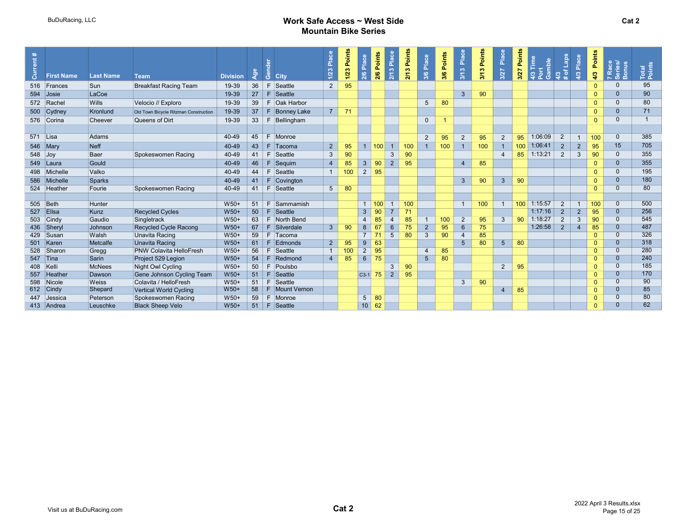| $\ddot{\phantom{1}}$<br>$\ddot{\mathbf{a}}$ |                   |                  |                                       |                 |                |     |                | Plac           | Points | Place           | 2/6 Points     | Place          | Points | Place           | 3/6 Points | Place           | Points | Place          | Points           | amble<br>Ĕ | de <sub>T1</sub> | Place          | Points   |                            |                 |
|---------------------------------------------|-------------------|------------------|---------------------------------------|-----------------|----------------|-----|----------------|----------------|--------|-----------------|----------------|----------------|--------|-----------------|------------|-----------------|--------|----------------|------------------|------------|------------------|----------------|----------|----------------------------|-----------------|
| ā                                           | <b>First Name</b> | <b>Last Name</b> | <b>Team</b>                           | <b>Division</b> | $\overline{2}$ | ്ക് | <b>City</b>    | $\frac{1}{2}$  | 1/23   | 2/6             |                | 2/13           | 2/13   | 3/6             |            | 3/13            | 3/13   | 3/27           | 3/27             | 4/3<br>ා   | -o<br>ຕ<br>18    | ల              | 4/3      | 7 Race<br>Series/<br>Bonus | Total<br>Points |
|                                             | 516 Frances       | Sun              | <b>Breakfast Racing Team</b>          | 19-39           | 36             | F.  | Seattle        | $\overline{2}$ | 95     |                 |                |                |        |                 |            |                 |        |                |                  |            |                  |                |          | $\Omega$                   | 95              |
| 594                                         | Josie             | LaCoe            |                                       | 19-39           | 27             | E   | Seattle        |                |        |                 |                |                |        |                 |            | $\mathbf{3}$    | 90     |                |                  |            |                  |                | $\Omega$ | $\Omega$                   | 90              |
|                                             | 572 Rachel        | Wills            | Velocio // Exploro                    | 19-39           | 39             | E   | Oak Harbor     |                |        |                 |                |                |        | $5\overline{)}$ | 80         |                 |        |                |                  |            |                  |                | $\Omega$ | $\Omega$                   | 80              |
|                                             | 500 Cydney        | Kronlund         | Old Town Bicycle Ritzman Construction | 19-39           | 37             | F   | Bonney Lake    | $\overline{7}$ | 71     |                 |                |                |        |                 |            |                 |        |                |                  |            |                  |                | $\Omega$ | $\mathbf{0}$               | 71              |
|                                             | 576 Corina        | Cheever          | Queens of Dirt                        | 19-39           | 33             | F.  | Bellingham     |                |        |                 |                |                |        | $\mathbf{0}$    |            |                 |        |                |                  |            |                  |                | $\Omega$ | $\Omega$                   | $\overline{1}$  |
|                                             |                   |                  |                                       |                 |                |     |                |                |        |                 |                |                |        |                 |            |                 |        |                |                  |            |                  |                |          |                            |                 |
| 571 Lisa                                    |                   | Adams            |                                       | 40-49           | 45             |     | F Monroe       |                |        |                 |                |                |        | 2               | 95         | $\overline{2}$  | 95     | $\overline{2}$ | 95               | 1:06:09    | 2                |                | 100      | $\mathbf{0}$               | 385             |
|                                             | 546 Mary          | Neff             |                                       | 40-49           | 43             |     | F Tacoma       | $\overline{2}$ | 95     |                 | 100            | $\overline{1}$ | 100    | $\overline{1}$  | 100        | $\mathbf{1}$    | 100    |                | 100              | 1:06:41    | $\overline{2}$   | $\overline{2}$ | 95       | 15                         | 705             |
| 548 Joy                                     |                   | Baer             | Spokeswomen Racing                    | 40-49           | 41             | E   | Seattle        | 3              | 90     |                 |                | 3              | 90     |                 |            |                 |        | 4              | 85               | 1:13:21    | $\overline{2}$   | 3              | 90       | $\mathbf{0}$               | 355             |
|                                             | 549 Laura         | Gould            |                                       | 40-49           | 46             |     | Sequim         | $\overline{4}$ | 85     | $\mathbf{3}$    | 90             | $\overline{2}$ | 95     |                 |            | 4               | 85     |                |                  |            |                  |                |          | $\mathbf{0}$               | 355             |
|                                             | 498 Michelle      | Valko            |                                       | 40-49           | 44             | F   | Seattle        |                | 100    | 2               | 95             |                |        |                 |            |                 |        |                |                  |            |                  |                | $\Omega$ | $\mathbf{0}$               | 195             |
| 586                                         | Michelle          | Sparks           |                                       | 40-49           | 41             | F   | Covington      |                |        |                 |                |                |        |                 |            | $\mathbf{3}$    | 90     | $\mathbf{3}$   | 90               |            |                  |                | $\Omega$ | $\Omega$                   | 180             |
|                                             | 524 Heather       | Fourie           | Spokeswomen Racing                    | 40-49           | 41             | F   | Seattle        | 5 <sup>5</sup> | 80     |                 |                |                |        |                 |            |                 |        |                |                  |            |                  |                | $\Omega$ | $\mathbf{0}$               | 80              |
|                                             |                   |                  |                                       |                 |                |     |                |                |        |                 |                |                |        |                 |            |                 |        |                |                  |            |                  |                |          |                            |                 |
|                                             | 505 Beth          | Hunter           |                                       | W50+            | 51             | F   | Sammamish      |                |        | $\overline{1}$  | 100            |                | 100    |                 |            |                 | 100    |                | 100 <sub>1</sub> | 1:15:57    | $\overline{2}$   |                | 100      | $\overline{0}$             | 500             |
|                                             | 527 Ellsa         | Kunz             | <b>Recycled Cycles</b>                | W50+            | 50             | F.  | Seattle        |                |        | $\mathbf{3}$    | 90             |                | 71     |                 |            |                 |        |                |                  | 1:17:16    | $\overline{2}$   | $\overline{2}$ | 95       | $\overline{0}$             | 256             |
|                                             | 503 Cindy         | Gaudio           | Singletrack                           | W50+            | 63             | F.  | North Bend     |                |        | $\overline{4}$  | 85             | 4              | 85     | $\mathbf 1$     | 100        | $\overline{2}$  | 95     | 3              | 90               | 1:18:27    | $\overline{2}$   | 3              | 90       | $\overline{0}$             | 545             |
|                                             | 436 Sheryl        | Johnson          | Recycled Cycle Racong                 | W50+            | 67             | F   | Silverdale     | 3 <sup>5</sup> | 90     | 8               | 67             | $6\phantom{1}$ | 75     | $\overline{2}$  | 95         | $6\overline{6}$ | 75     |                |                  | 1:26:58    | $\overline{2}$   | $\overline{4}$ | 85       | $\mathbf{0}$               | 487             |
|                                             | 429 Susan         | Walsh            | Unavita Racing                        | W50+            | 59             |     | F Tacoma       |                |        | $\overline{7}$  | 7 <sup>1</sup> | 5              | 80     | $\mathbf{3}$    | 90         | $\overline{4}$  | 85     |                |                  |            |                  |                | $\Omega$ | $\overline{0}$             | 326             |
|                                             | 501 Karen         | Metcalfe         | Unavita Racing                        | W50+            | 61             | E   | Edmonds        | 2 <sup>2</sup> | 95     | $9^{\circ}$     | 63             |                |        |                 |            | 5               | 80     | 5 <sup>5</sup> | 80               |            |                  |                | $\Omega$ | $\overline{0}$             | 318             |
|                                             | 528 Sharon        | Gregg            | <b>PNW Colavita HelloFresh</b>        | W50+            | 56             |     | Seattle        |                | 100    | $\overline{2}$  | 95             |                |        | $\overline{4}$  | 85         |                 |        |                |                  |            |                  |                |          | $\overline{0}$             | 280             |
|                                             | 547 Tina          | Sarin            | Project 529 Legion                    | W50+            | 54             | E   | Redmond        | $\overline{4}$ | 85     | 6               | 75             |                |        | $5\overline{)}$ | 80         |                 |        |                |                  |            |                  |                | $\Omega$ | $\overline{0}$             | 240             |
| 408 Kelli                                   |                   | <b>McNees</b>    | Night Owl Cycling                     | W50+            | 50             | E   | Poulsbo        |                |        |                 |                | 3              | 90     |                 |            |                 |        | $\overline{2}$ | 95               |            |                  |                | $\Omega$ | $\mathbf{0}$               | 185             |
|                                             | 557 Heather       | Dawson           | Gene Johnson Cycling Team             | W50+            | 51             | F.  | Seattle        |                |        | $ C3-1 $        | 75             | $\overline{2}$ | 95     |                 |            |                 |        |                |                  |            |                  |                | $\Omega$ | $\mathbf{0}$               | 170             |
|                                             | 598 Nicole        | Weiss            | Colavita / HelloFresh                 | W50+            | 51             | F.  | Seattle        |                |        |                 |                |                |        |                 |            | 3               | 90     |                |                  |            |                  |                | $\Omega$ | $\overline{0}$             | 90              |
|                                             | 612 Cindy         | Shepard          | Vertical World Cycling                | W50+            | 58             |     | F Mount Vernon |                |        |                 |                |                |        |                 |            |                 |        | $\overline{4}$ | 85               |            |                  |                | $\Omega$ | $\Omega$                   | 85<br>80        |
|                                             | 447 Jessica       | Peterson         | Spokeswomen Racing                    | W50+            | 59             | F.  | Monroe         |                |        | 5               | 80             |                |        |                 |            |                 |        |                |                  |            |                  |                | $\Omega$ | $\Omega$<br>$\Omega$       | 62              |
|                                             | 413 Andrea        | Leuschke         | <b>Black Sheep Velo</b>               | $W50+$          | 51             | -F. | Seattle        |                |        | 10 <sup>1</sup> | 62             |                |        |                 |            |                 |        |                |                  |            |                  |                | $\Omega$ |                            |                 |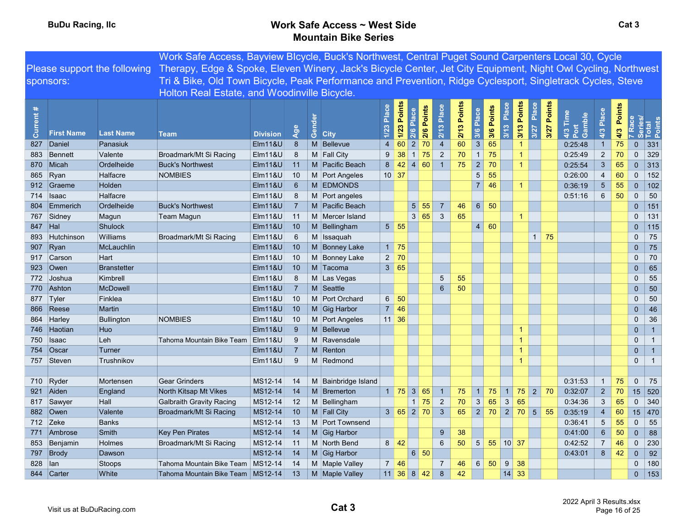|                   |                   |                     | Work Safe Access, Bayview Blcycle, Buck's Northwest, Central Puget Sound Carpenters Local 30, Cycle                                        |                    |                |       |                     |                |                            |                         |                                  |             |                         |                    |                      |               |                |                            |                 |               |                       |                            |
|-------------------|-------------------|---------------------|--------------------------------------------------------------------------------------------------------------------------------------------|--------------------|----------------|-------|---------------------|----------------|----------------------------|-------------------------|----------------------------------|-------------|-------------------------|--------------------|----------------------|---------------|----------------|----------------------------|-----------------|---------------|-----------------------|----------------------------|
|                   |                   |                     | Please support the following Therapy, Edge & Spoke, Eleven Winery, Jack's Bicycle Center, Jet City Equipment, Night Owl Cycling, Northwest |                    |                |       |                     |                |                            |                         |                                  |             |                         |                    |                      |               |                |                            |                 |               |                       |                            |
|                   | sponsors:         |                     | Tri & Bike, Old Town Bicycle, Peak Performance and Prevention, Ridge Cyclesport, Singletrack Cycles, Steve                                 |                    |                |       |                     |                |                            |                         |                                  |             |                         |                    |                      |               |                |                            |                 |               |                       |                            |
|                   |                   |                     | Holton Real Estate, and Woodinville Bicycle.                                                                                               |                    |                |       |                     |                |                            |                         |                                  |             |                         |                    |                      |               |                |                            |                 |               |                       |                            |
|                   |                   |                     |                                                                                                                                            |                    |                |       |                     |                |                            |                         |                                  |             |                         |                    |                      |               |                |                            |                 |               |                       |                            |
| $\ast$<br>Current | <b>First Name</b> | <b>Last Name</b>    | <b>Team</b>                                                                                                                                | <b>Division</b>    | $\omega$<br>2  | Gende | <b>City</b>         | Place<br>1/23  | <b>Points</b><br>1/23      | 2/6 Points<br>2/6 Place | 2/13 Place                       | 2/13 Points | 3/6 Points<br>3/6 Place | 3/13 Place         | 3/13 Points          | Place<br>3/27 | Points<br>3/27 | 4/3 Time<br>Port<br>Gamble | 4/3 Place       | Points<br>4/3 | Race                  | Series/<br>Total<br>Points |
| 827               | Daniel            |                     |                                                                                                                                            | <b>Elm11&amp;U</b> | 8              |       | M Bellevue          | $\overline{4}$ |                            | $\overline{2}$<br>70    |                                  | 60          | $\mathbf{3}$            | 65                 | $\overline{1}$       |               |                | 0:25:48                    | $\mathbf{1}$    |               | $\mathbf{0}$          | 331                        |
|                   |                   | Panasiuk<br>Valente |                                                                                                                                            |                    | 8              |       |                     | 9              | 60<br>38                   | $1 \overline{75}$       | $\overline{4}$<br>$\overline{2}$ | 70          | $\overline{1}$          | 75                 | $\blacktriangleleft$ |               |                |                            | $\sqrt{2}$      | 75<br>70      | $\Omega$              | 329                        |
| 883               | Bennett           | Ordelheide          | Broadmark/Mt Si Racing                                                                                                                     | Elm11&U            |                |       | M Fall City         |                | 42                         | 4 60                    | $\overline{1}$                   | 75          | $\overline{2}$          | 70                 | $\blacktriangleleft$ |               |                | 0:25:49                    | $\sqrt{3}$      |               |                       |                            |
|                   | 870 Micah         |                     | <b>Buck's Northwest</b>                                                                                                                    | $E$ Im11&U         | 11             |       | M Pacific Beach     | 8 <sup>°</sup> |                            |                         |                                  |             | $5\overline{)}$         | 55                 |                      |               |                | 0:25:54                    |                 | 65            | $\pmb{0}$<br>$\Omega$ | 313                        |
|                   | 865 Ryan          | Halfacre            | <b>NOMBIES</b>                                                                                                                             | EIM118U            | 10             |       | M Port Angeles      | $10 \vert 37$  |                            |                         |                                  |             |                         |                    |                      |               |                | 0:26:00                    | $\overline{4}$  | 60            |                       | 152                        |
|                   | 912 Graeme        | <b>Holden</b>       |                                                                                                                                            | <b>Elm11&amp;U</b> | 6              |       | M EDMONDS           |                |                            |                         |                                  |             | 7 <sup>1</sup>          | 46                 | $\blacktriangleleft$ |               |                | 0:36:19                    | $5\phantom{.0}$ | 55            | $\pmb{0}$<br>$\Omega$ | 102                        |
|                   | 714 Isaac         | Halfacre            |                                                                                                                                            | EIM118U            | -8             |       | M Port angeles      |                |                            |                         |                                  |             |                         |                    |                      |               |                | 0:51:16                    | 6               | 50            |                       | 50                         |
| 804               | Emmerich          | Ordelheide          | <b>Buck's Northwest</b>                                                                                                                    | Elm11&U            | $\overline{7}$ |       | M Pacific Beach     |                |                            | 5 <sup>1</sup><br>55    | $\overline{7}$                   | 46          | 6 <sup>1</sup>          | 50                 |                      |               |                |                            |                 |               | $\overline{0}$        | 151                        |
|                   | 767 Sidney        | Magun               | Team Magun                                                                                                                                 | Elm11&U            | 11             |       | M Mercer Island     |                | $5 \vert 55$               | 3 65                    | $\mathbf{3}$                     | 65          | 60                      |                    | -1                   |               |                |                            |                 |               | $\mathbf{0}$          | 131                        |
| 847 Hal           |                   | <b>Shulock</b>      |                                                                                                                                            | $E$ Im11&U         | 10             |       | M Bellingham        |                |                            |                         |                                  |             | 4                       |                    |                      |               |                |                            |                 |               | $\mathbf{0}$          | 115                        |
| 893               | Hutchinson        | Williams            | Broadmark/Mt Si Racing                                                                                                                     | Elm11&U            | 6              |       | M Issaguah          |                |                            |                         |                                  |             |                         |                    |                      |               | $1 \mid 75$    |                            |                 |               | $\mathbf{0}$          | 75                         |
|                   | 907 Ryan          | McLauchlin          |                                                                                                                                            | $E$ Im11&U         | 10             |       | M Bonney Lake       |                | $1 \mid 75$                |                         |                                  |             |                         |                    |                      |               |                |                            |                 |               | $\overline{0}$        | 75                         |
|                   | 917 Carson        | Hart                |                                                                                                                                            | Elm11&U            | 10             |       | M Bonney Lake       | $\overline{2}$ | 70                         |                         |                                  |             |                         |                    |                      |               |                |                            |                 |               | $\Omega$              | 70                         |
|                   | $923$ Owen        | <b>Branstetter</b>  |                                                                                                                                            | $E$ Im11&U         | 10             |       | M Tacoma            |                | 3 65                       |                         |                                  |             |                         |                    |                      |               |                |                            |                 |               | $\overline{0}$        | 65                         |
|                   | 772 Joshua        | Kimbrell            |                                                                                                                                            | Elm11&U            | 8              |       | M Las Vegas         |                |                            |                         | 5                                | 55          |                         |                    |                      |               |                |                            |                 |               | $\Omega$              | 55                         |
|                   | 770 Ashton        | <b>McDowell</b>     |                                                                                                                                            | $E$ Im11&U         | $\overline{7}$ |       | M Seattle           |                |                            |                         | $6\phantom{1}$                   | 50          |                         |                    |                      |               |                |                            |                 |               | $\overline{0}$        | 50                         |
|                   | 877 Tyler         | Finklea             |                                                                                                                                            | Elm11&U            | 10             |       | M Port Orchard      |                | $6 \mid 50$                |                         |                                  |             |                         |                    |                      |               |                |                            |                 |               | $\mathbf{0}$          | 50                         |
|                   | 866 Reese         | Martin              |                                                                                                                                            | Elm11&U            | 10             |       | M Gig Harbor        |                | $7 \vert 46$               |                         |                                  |             |                         |                    |                      |               |                |                            |                 |               | $\pmb{0}$             | 46                         |
|                   | 864 Harley        | <b>Bullington</b>   | <b>NOMBIES</b>                                                                                                                             | <b>Elm11&amp;U</b> | 10             |       | M Port Angeles      | $11 \, 36$     |                            |                         |                                  |             |                         |                    |                      |               |                |                            |                 |               | $\mathbf{0}$          | 36                         |
| 746               | Haotian           | Huo                 |                                                                                                                                            | <b>Elm11&amp;U</b> | 9              |       | M Bellevue          |                |                            |                         |                                  |             |                         |                    | $\blacktriangleleft$ |               |                |                            |                 |               | $\overline{0}$        | $\mathbf{1}$               |
| 750               | Isaac             | Leh                 | Tahoma Mountain Bike Team                                                                                                                  | <b>Elm11&amp;U</b> | 9              |       | M Ravensdale        |                |                            |                         |                                  |             |                         |                    | $\overline{1}$       |               |                |                            |                 |               | $\Omega$              | $\mathbf{1}$               |
| 754               | Oscar             | Turner              |                                                                                                                                            | Elm11&U            | $\overline{7}$ |       | M Renton            |                |                            |                         |                                  |             |                         |                    | $\overline{1}$       |               |                |                            |                 |               | $\overline{0}$        | $\mathbf{1}$               |
| 757               | Steven            | Trushnikov          |                                                                                                                                            | <b>Elm11&amp;U</b> | 9              |       | M Redmond           |                |                            |                         |                                  |             |                         |                    | $\overline{1}$       |               |                |                            |                 |               | $\mathbf 0$           | $\overline{1}$             |
|                   |                   |                     |                                                                                                                                            |                    |                |       |                     |                |                            |                         |                                  |             |                         |                    |                      |               |                |                            |                 |               |                       |                            |
|                   | 710 Ryder         | Mortensen           | <b>Gear Grinders</b>                                                                                                                       | MS12-14            | 14             |       | M Bainbridge Island |                |                            |                         |                                  |             |                         |                    |                      |               |                | 0:31:53                    | $\overline{1}$  | 75            | $\mathbf{0}$          | 75                         |
|                   | 921 Aiden         | England             | North Kitsap Mt Vikes                                                                                                                      | MS12-14            | 14             |       | M Bremerton         |                | $1 \mid 75 \mid 3 \mid 65$ |                         | $\overline{1}$                   | 75          | 1                       | 75                 | $1 \mid 75$          |               |                | 0:32:07                    | $\overline{2}$  | 70            | 15                    | 520                        |
|                   | 817 Sawyer        | Hall                | <b>Galbraith Gravity Racing</b>                                                                                                            | MS12-14            | 12             |       | M Bellingham        |                |                            | $1 \overline{75}$       | $\overline{2}$                   | 70          | $\mathbf{3}$            | 65<br>$\mathbf{3}$ | 65                   |               |                | 0:34:36                    | 3               | 65            | $\Omega$              | 340                        |
|                   | 882 Owen          | Valente             | Broadmark/Mt Si Racing                                                                                                                     | $MS12-14$          | 10             |       | M   Fall City       |                | 3 65 2 70                  |                         | $\mathbf{3}$                     | 65          | 2                       |                    | $70$ 2 70            | 5             | 55             | 0:35:19                    | $\overline{4}$  | 60            | 15                    | 470                        |
|                   | 712 Zeke          | <b>Banks</b>        |                                                                                                                                            | MS12-14            | 13             |       | M Port Townsend     |                |                            |                         |                                  |             |                         |                    |                      |               |                | 0:36:41                    | $5\overline{)}$ | 55            | $\mathbf{0}$          | 55                         |
|                   | 771 Ambrose       | Smith               | Key Pen Pirates                                                                                                                            | MS12-14            | 14             |       | M Gig Harbor        |                |                            |                         | $\boldsymbol{9}$                 | 38          |                         |                    |                      |               |                | 0:41:00                    | $6\phantom{.}$  | 50            | $\overline{0}$        | 88                         |
| 853               | Benjamin          | Holmes              | Broadmark/Mt Si Racing                                                                                                                     | MS12-14            | 11             |       | M North Bend        |                | $8 \mid 42$                |                         | $\,6\,$                          | 50          | 5 <sup>5</sup>          | 55                 | $ 10 $ 37            |               |                | 0:42:52                    | $\overline{7}$  | 46            | $\mathbf 0$           | 230                        |
|                   | 797   Brody       | Dawson              |                                                                                                                                            | MS12-14            | 14             |       | M Gig Harbor        |                |                            | 6 50                    |                                  |             |                         |                    |                      |               |                | 0:43:01                    | 8               | 42            | $\overline{0}$        | 92                         |
| 828               | ∣lan              | Stoops              | Tahoma Mountain Bike Team                                                                                                                  | MS12-14            | 14             |       | M Maple Valley      | 7 <sup>1</sup> | 46                         |                         | $\overline{7}$                   | 46          | $6\phantom{1}$          | 50<br>9            | 38                   |               |                |                            |                 |               | $\mathbf 0$           | 180                        |
|                   | 844 Carter        | White               | Tahoma Mountain Bike Team   MS12-14                                                                                                        |                    | 13             |       | M Maple Valley      |                | 11 36 8 42                 |                         | 8                                | 42          |                         |                    | 14<br>33             |               |                |                            |                 |               | $\mathbf{0}$          | 153                        |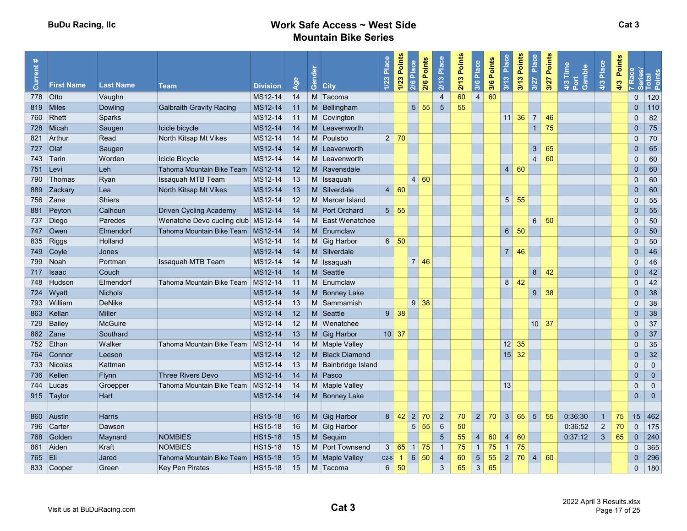| $\ddot{\phantom{1}}$<br>rent<br>ā | <b>First Name</b> | <b>Last Name</b> |                                      |                            | Age | Gender |                         | 1/23 Place | 1/23 Points      | 2/6 Points<br>Place<br>2/6          | $2/13$ Place   | 2/13 Points | 3/6 Place      | 3/6 Points | 3/13 Place            | 3/13 Points<br>Place<br>3/27                  | 3/27 Points | 4/3 Time<br>Port<br>Gamble | 4/3 Place      | Points<br>4/3 | Race           | Series/<br>Total<br>Points |
|-----------------------------------|-------------------|------------------|--------------------------------------|----------------------------|-----|--------|-------------------------|------------|------------------|-------------------------------------|----------------|-------------|----------------|------------|-----------------------|-----------------------------------------------|-------------|----------------------------|----------------|---------------|----------------|----------------------------|
|                                   | 778 Otto          | Vaughn           | <b>Team</b>                          | <b>Division</b><br>MS12-14 | 14  |        | <b>City</b><br>M Tacoma |            |                  |                                     | $\overline{4}$ | 60          | $\overline{4}$ | 60         |                       |                                               |             |                            |                |               | $\mathbf 0$    | 120                        |
|                                   | 819 Miles         | <b>Dowling</b>   | <b>Galbraith Gravity Racing</b>      | MS12-14                    | 11  |        | M Bellingham            |            |                  | 5 <sup>1</sup><br>55                | $\sqrt{5}$     | 55          |                |            |                       |                                               |             |                            |                |               | $\pmb{0}$      | 110                        |
| 760                               | Rhett             | Sparks           |                                      | MS12-14                    | 11  |        | M Covington             |            |                  |                                     |                |             |                |            |                       | $11 \overline{\smash{)}36}$<br>$\overline{7}$ | 46          |                            |                |               | $\mathbf{0}$   | 82                         |
|                                   | 728 Micah         | Saugen           | Icicle bicycle                       | MS12-14                    | 14  |        | M Leavenworth           |            |                  |                                     |                |             |                |            |                       | $\overline{1}$                                | 75          |                            |                |               | $\mathbf 0$    | 75                         |
|                                   | 821 Arthur        | Read             | North Kitsap Mt Vikes                | MS12-14                    | 14  |        | M Poulsbo               |            | $2 \mid 70$      |                                     |                |             |                |            |                       |                                               |             |                            |                |               | $\mathbf{0}$   | 70                         |
| 727 Olaf                          |                   | Saugen           |                                      | MS12-14                    | 14  |        | M Leavenworth           |            |                  |                                     |                |             |                |            |                       | $\mathbf{3}$                                  | 65          |                            |                |               | $\overline{0}$ | 65                         |
|                                   | 743 Tarin         | Worden           | Icicle Bicycle                       | MS12-14                    | 14  |        | M Leavenworth           |            |                  |                                     |                |             |                |            |                       | $\overline{4}$                                | 60          |                            |                |               | $\mathbf{0}$   | 60                         |
| 751 Levi                          |                   | Leh              | Tahoma Mountain Bike Team   MS12-14  |                            | 12  |        | M Ravensdale            |            |                  |                                     |                |             |                |            | $\overline{4}$        | 60                                            |             |                            |                |               | $\overline{0}$ | 60                         |
| 790                               | Thomas            | Ryan             | <b>Issaquah MTB Team</b>             | MS12-14                    | 13  |        | M Issaquah              |            |                  | 4 60                                |                |             |                |            |                       |                                               |             |                            |                |               | $\Omega$       | 60                         |
|                                   | 889 Zackary       | Lea              | North Kitsap Mt Vikes                | MS12-14                    | 13  |        | M Silverdale            |            | 4 60             |                                     |                |             |                |            |                       |                                               |             |                            |                |               | $\overline{0}$ | 60                         |
|                                   | 756 Zane          | <b>Shiers</b>    |                                      | MS12-14                    | 12  |        | M Mercer Island         |            |                  |                                     |                |             |                |            |                       | $5 \vert 55$                                  |             |                            |                |               | $\mathbf 0$    | 55                         |
| 881                               | Peyton            | Calhoun          | <b>Driven Cycling Academy</b>        | MS12-14                    | 14  |        | M Port Orchard          |            | $5\overline{5}5$ |                                     |                |             |                |            |                       |                                               |             |                            |                |               | $\overline{0}$ | 55                         |
| 737                               | Diego             | Paredes          | Wenatche Devo cucling club   MS12-14 |                            | -14 |        | M East Wenatchee        |            |                  |                                     |                |             |                |            |                       | $6\overline{6}$                               | 50          |                            |                |               | $\mathbf 0$    | 50                         |
|                                   | 747 Owen          | Elmendorf        | Tahoma Mountain Bike Team   MS12-14  |                            | 14  |        | M Enumclaw              |            |                  |                                     |                |             |                |            | 6 <sup>1</sup>        | 50                                            |             |                            |                |               | $\overline{0}$ | 50                         |
| 835                               | Riggs             | Holland          |                                      | MS12-14                    | 14  |        | M Gig Harbor            |            | 6   50           |                                     |                |             |                |            |                       |                                               |             |                            |                |               | $\mathbf{0}$   | 50                         |
|                                   | 749 Coyle         | Jones            |                                      | MS12-14                    | 14  |        | M Silverdale            |            |                  |                                     |                |             |                |            |                       | $7 \mid 46$                                   |             |                            |                |               | $\overline{0}$ | 46                         |
|                                   | 799 Noah          | Portman          | <b>Issaquah MTB Team</b>             | MS12-14                    | 14  |        | M Issaguah              |            |                  | 7 46                                |                |             |                |            |                       |                                               |             |                            |                |               | $\Omega$       | 46                         |
|                                   | 717 Isaac         | Couch            |                                      | MS12-14                    | 14  |        | M Seattle               |            |                  |                                     |                |             |                |            |                       | 8                                             | 42          |                            |                |               | $\mathbf 0$    | 42                         |
|                                   | 748 Hudson        | Elmendorf        | Tahoma Mountain Bike Team   MS12-14  |                            | 11  |        | M Enumclaw              |            |                  |                                     |                |             |                |            | 8                     | 42                                            |             |                            |                |               | $\mathbf{0}$   | 42                         |
|                                   | 724 Wyatt         | <b>Nichols</b>   |                                      | MS12-14                    | 14  |        | M Bonney Lake           |            |                  |                                     |                |             |                |            |                       | 9 <sup>°</sup>                                | 38          |                            |                |               | $\overline{0}$ | 38                         |
|                                   | 793 William       | <b>DeNike</b>    |                                      | MS12-14                    | 13  |        | M Sammamish             |            |                  | $9 \mid 38$                         |                |             |                |            |                       |                                               |             |                            |                |               | $\mathbf{0}$   | 38                         |
|                                   | 863 Kellan        | <b>Miller</b>    |                                      | MS12-14                    | 12  |        | M Seattle               |            | $9 \mid 38$      |                                     |                |             |                |            |                       |                                               |             |                            |                |               | $\overline{0}$ | 38                         |
| 729                               | Bailey            | <b>McGuire</b>   |                                      | MS12-14                    | 12  |        | M Wenatchee             |            |                  |                                     |                |             |                |            |                       |                                               | $10$ 37     |                            |                |               | $\mathbf{0}$   | 37                         |
|                                   | 862 Zane          | Southard         |                                      | MS12-14                    | 13  |        | M Gig Harbor            |            | $10 \vert 37$    |                                     |                |             |                |            |                       |                                               |             |                            |                |               | $\mathbf 0$    | 37                         |
|                                   | 752 Ethan         | Walker           | Tahoma Mountain Bike Team            | MS12-14                    | 14  |        | M Maple Valley          |            |                  |                                     |                |             |                |            |                       | $12 \mid 35$                                  |             |                            |                |               | $\mathbf 0$    | 35                         |
|                                   | 764 Connor        | Leeson           |                                      | MS12-14                    | 12  |        | M Black Diamond         |            |                  |                                     |                |             |                |            |                       | $15 \vert 32$                                 |             |                            |                |               | $\overline{0}$ | 32                         |
|                                   | 733 Nicolas       | Kattman          |                                      | MS12-14                    | 13  |        | M Bainbridge Island     |            |                  |                                     |                |             |                |            |                       |                                               |             |                            |                |               | $\mathbf 0$    | $\mathbf{0}$               |
| 736                               | Kellen            | <b>Flynn</b>     | Three Rivers Devo                    | MS12-14                    | 14  |        | M Pasco                 |            |                  |                                     |                |             |                |            |                       |                                               |             |                            |                |               | $\overline{0}$ | $\mathbf{0}$               |
|                                   | 744 Lucas         | Groepper         | Tahoma Mountain Bike Team            | MS12-14                    | -14 |        | M Maple Valley          |            |                  |                                     |                |             |                |            | 13                    |                                               |             |                            |                |               | $\mathbf 0$    | $\mathbf 0$                |
|                                   | 915 Taylor        | Hart             |                                      | MS12-14                    | 14  |        | M Bonney Lake           |            |                  |                                     |                |             |                |            |                       |                                               |             |                            |                |               | $\pmb{0}$      | $\mathbf{0}$               |
|                                   |                   |                  |                                      |                            |     |        |                         |            |                  |                                     |                |             |                |            |                       |                                               |             |                            |                |               |                |                            |
|                                   | 860 Austin        | <b>Harris</b>    |                                      | <b>HS15-18</b>             | 16  |        | $M$ Gig Harbor          |            |                  | $8 \,   \, 42 \,   \, 2 \,   \, 70$ | $\overline{2}$ | 70          | 2 <sup>1</sup> |            | $70 \vert 3 \vert 65$ | 5 <sup>5</sup>                                | 55          | 0:36:30                    | $\overline{1}$ | 75            | 15             | 462                        |
| 796                               | Carter            | Dawson           |                                      | <b>HS15-18</b>             | 16  |        | M Gig Harbor            |            |                  | $5\overline{)}$<br>55               | 6              | 50          |                |            |                       |                                               |             | 0:36:52                    | $\overline{2}$ | 70            | $\mathbf{0}$   | 175                        |
| 768                               | Golden            | Maynard          | <b>NOMBIES</b>                       | <b>HS15-18</b>             | 15  |        | M Sequim                |            |                  |                                     | $\sqrt{5}$     | 55          | $\overline{4}$ | 60         | $\overline{4}$        | 60                                            |             | 0:37:12                    | $\mathbf{3}$   | 65            | $\mathbf{0}$   | 240                        |
|                                   | 861 Aiden         | Kraft            | <b>NOMBIES</b>                       | <b>HS15-18</b>             | 15  |        | M Port Townsend         | 3          | 65               | $1 \mid 75$                         | $\overline{1}$ | 75          | $\mathbf{1}$   | 75         | $\overline{1}$        | 75                                            |             |                            |                |               | $\mathbf{0}$   | 365                        |
| 765 Eli                           |                   | Jared            | Tahoma Mountain Bike Team            | <b>HS15-18</b>             | 15  |        | M Maple Valley          | $C2-8$     | $\overline{1}$   | $6\overline{6}$<br>50               | $\overline{4}$ | 60          | 5 <sup>5</sup> | 55         | $\vert$ 2             | 70<br>$\overline{4}$                          | 60          |                            |                |               | $\overline{0}$ | 296                        |
|                                   | 833 Cooper        | Green            | Key Pen Pirates                      | HS15-18                    | 15  |        | M Tacoma                | $6 \mid$   | 50               |                                     | $\sqrt{3}$     | 65          | 3 <sup>1</sup> | 65         |                       |                                               |             |                            |                |               | $\mathbf 0$    | 180                        |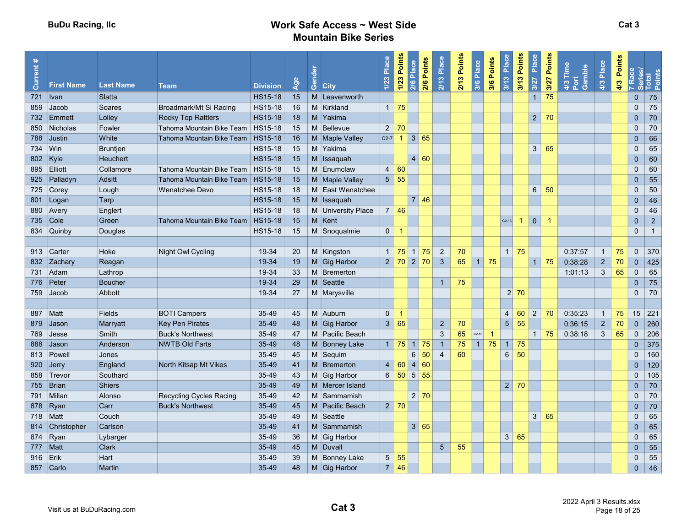| rrent<br>lā, | <b>First Name</b> | <b>Last Name</b> | <b>Team</b>                         | <b>Division</b> | $\overline{S}$ | Gender<br><b>City</b> | Place<br>1/23  | 1/23 Points       | 2/6 Points<br>Place<br>2/6 | 2/13 Place     | 2/13 Points | 3/6 Place      | 3/6 Points     | 3/13 Place        | 3/13 Points<br>Place<br>3/27 | Points<br>3/27 | $4/3$ Time<br>Gamble<br>Port | 4/3 Place      | <b>Points</b><br>4/3 |                | 7 Race<br>Series/<br>Total<br>Points |
|--------------|-------------------|------------------|-------------------------------------|-----------------|----------------|-----------------------|----------------|-------------------|----------------------------|----------------|-------------|----------------|----------------|-------------------|------------------------------|----------------|------------------------------|----------------|----------------------|----------------|--------------------------------------|
| $721$   Ivan |                   | Slatta           |                                     | <b>HS15-18</b>  | 15             | M Leavenworth         |                |                   |                            |                |             |                |                |                   | $\mathbf{1}$                 | 75             |                              |                |                      | $\mathbf 0$    | 75                                   |
| 859          | Jacob             | Soares           | Broadmark/Mt Si Racing              | <b>HS15-18</b>  | 16             | M Kirkland            |                | $1 \mid 75$       |                            |                |             |                |                |                   |                              |                |                              |                |                      | $\mathbf 0$    | 75                                   |
|              | 732 Emmett        | Lolley           | <b>Rocky Top Rattlers</b>           | <b>HS15-18</b>  | 18             | M Yakima              |                |                   |                            |                |             |                |                |                   | 2 <sup>1</sup>               | 70             |                              |                |                      | $\overline{0}$ | 70                                   |
| 850          | Nicholas          | Fowler           | Tahoma Mountain Bike Team           | HS15-18         | 15             | M Bellevue            |                | $2 \mid 70$       |                            |                |             |                |                |                   |                              |                |                              |                |                      | $\mathbf 0$    | 70                                   |
|              | 788 Justin        | White            | Tahoma Mountain Bike Team           | <b>HS15-18</b>  | 16             | M Maple Valley        |                | $C2-7$ 1          | $\vert 3 \vert 65$         |                |             |                |                |                   |                              |                |                              |                |                      | $\mathbf{0}$   | 66                                   |
| 734 Win      |                   | <b>Bruntjen</b>  |                                     | <b>HS15-18</b>  | 15             | M Yakima              |                |                   |                            |                |             |                |                |                   | 3 <sup>1</sup>               | 65             |                              |                |                      | $\mathbf 0$    | 65                                   |
| 802 Kyle     |                   | Heuchert         |                                     | <b>HS15-18</b>  | 15             | M Issaquah            |                |                   | 4 60                       |                |             |                |                |                   |                              |                |                              |                |                      | $\mathbf{0}$   | 60                                   |
|              | 895 Elliott       | Collamore        | Tahoma Mountain Bike Team   HS15-18 |                 | 15             | M Enumclaw            |                | 4 60              |                            |                |             |                |                |                   |                              |                |                              |                |                      | $\mathbf{0}$   | 60                                   |
|              | 925 Palladyn      | Adsitt           | Tahoma Mountain Bike Team           | <b>HS15-18</b>  | 15             | M Maple Valley        |                | $5 \vert 55$      |                            |                |             |                |                |                   |                              |                |                              |                |                      | $\mathbf{0}$   | 55                                   |
|              | 725 Corey         | Lough            | Wenatchee Devo                      | <b>HS15-18</b>  | 18             | M East Wenatchee      |                |                   |                            |                |             |                |                |                   | $6\overline{6}$              | -50            |                              |                |                      | $\mathbf 0$    | 50                                   |
|              | 801 Logan         | Tarp             |                                     | <b>HS15-18</b>  | 15             | M Issaquah            |                |                   | 7 46                       |                |             |                |                |                   |                              |                |                              |                |                      | $\overline{0}$ | 46                                   |
|              | 880 Avery         | Englert          |                                     | HS15-18         | 18             | M University Place    |                | $7 \mid 46$       |                            |                |             |                |                |                   |                              |                |                              |                |                      | $\Omega$       | 46                                   |
|              | 735 Cole          | Green            | Tahoma Mountain Bike Team           | <b>HS15-18</b>  | 15             | $M$ Kent              |                |                   |                            |                |             |                |                | $C2-13$           | $\mathbf 0$<br>-1            |                |                              |                |                      | $\overline{0}$ | $\overline{2}$                       |
|              | 834 Quinby        | Douglas          |                                     | HS15-18         | 15             | M Snoqualmie          | 0 <sup>1</sup> | -1                |                            |                |             |                |                |                   |                              |                |                              |                |                      | $\mathbf{0}$   | $\overline{1}$                       |
|              |                   |                  |                                     |                 |                |                       |                |                   |                            |                |             |                |                |                   |                              |                |                              |                |                      |                |                                      |
|              | 913 Carter        | Hoke             | Night Owl Cycling                   | 19-34           | 20             | M Kingston            |                |                   | $1 \mid 75 \mid 1 \mid 75$ | $\overline{2}$ | 70          |                |                | $1 \vert 75$      |                              |                | 0:37:57                      | $\overline{1}$ | 75                   | $\mathbf 0$    | 370                                  |
|              | 832 Zachary       | Reagan           |                                     | 19-34           | 19             | M Gig Harbor          |                |                   | $2 \mid 70 \mid 2 \mid 70$ | $\mathbf{3}$   | 65          | 1 <sup>1</sup> | 75             |                   | $\mathbf{1}$                 | 75             | 0:38:28                      | $\overline{2}$ | 70                   | $\bf 0$        | 425                                  |
|              | 731 Adam          | Lathrop          |                                     | 19-34           | 33             | M Bremerton           |                |                   |                            |                |             |                |                |                   |                              |                | 1:01:13                      | $\mathbf{3}$   | 65                   | $\mathbf 0$    | 65                                   |
|              | 776 Peter         | <b>Boucher</b>   |                                     | 19-34           | 29             | M Seattle             |                |                   |                            | $\overline{1}$ | 75          |                |                |                   |                              |                |                              |                |                      | $\overline{0}$ | 75                                   |
|              | 759 Jacob         | Abbott           |                                     | 19-34           | 27             | M Marysville          |                |                   |                            |                |             |                |                | $2 \overline{70}$ |                              |                |                              |                |                      | $\mathbf{0}$   | 70                                   |
|              |                   |                  |                                     |                 |                |                       |                |                   |                            |                |             |                |                |                   |                              |                |                              |                |                      |                |                                      |
| 887 Matt     |                   | Fields           | <b>BOTI Campers</b>                 | 35-49           | 45             | M Auburn              | $\mathbf{0}$   | -1                |                            |                |             |                |                | $\overline{4}$    | 60<br>$\overline{2}$         | 70             | 0:35:23                      | $\overline{1}$ | 75                   | 15             | 221                                  |
| 879          | <b>Jason</b>      | Marryatt         | <b>Key Pen Pirates</b>              | 35-49           | 48             | M Gig Harbor          |                | 3   65            |                            | $\overline{2}$ | 70          |                |                | $5\phantom{.0}$   | 55                           |                | 0:36:15                      | $\overline{2}$ | 70                   | $\mathbf{0}$   | 260                                  |
| 769          | $\bigcup$ esse    | Smith            | <b>Buck's Northwest</b>             | 35-49           | 47             | M Pacific Beach       |                |                   |                            | $\mathbf{3}$   | 65          | $C2-16$        | $\overline{1}$ |                   | $\overline{1}$               | 75             | 0:38:18                      | $\mathbf{3}$   | 65                   | $\mathbf 0$    | 206                                  |
| 888          | <b>Jason</b>      | Anderson         | <b>NWTB Old Farts</b>               | 35-49           | 48             | M Bonney Lake         |                | 1   75            | $1 \vert 75$               | $\overline{1}$ | 75          | 4              | 75             | $\mathbf{1}$      | 75                           |                |                              |                |                      | $\mathbf 0$    | 375                                  |
|              | 813 Powell        | Jones            |                                     | 35-49           | 45             | M Sequim              |                |                   | $6^{\circ}$<br>50          | $\overline{4}$ | 60          |                |                | $6\phantom{1}$    | 50                           |                |                              |                |                      | $\Omega$       | 160                                  |
|              | 920 Jerry         | England          | North Kitsap Mt Vikes               | 35-49           | 41             | M Bremerton           |                | $4 \overline{60}$ | 4 60                       |                |             |                |                |                   |                              |                |                              |                |                      | $\mathbf 0$    | 120                                  |
|              | 858 Trevor        | Southard         |                                     | 35-49           | 43             | M Gig Harbor          |                |                   | $6$ 50 5 55                |                |             |                |                |                   |                              |                |                              |                |                      | $\mathbf{0}$   | 105                                  |
|              | 755 Brian         | Shiers           |                                     | 35-49           | 49             | M Mercer Island       |                |                   |                            |                |             |                |                | 2                 | 70                           |                |                              |                |                      | $\overline{0}$ | 70                                   |
|              | 791 Millan        | Alonso           | Recycling Cycles Racing             | 35-49           | 42             | M Sammamish           |                |                   | $2 \mid 70$                |                |             |                |                |                   |                              |                |                              |                |                      | $\mathbf 0$    | $70\,$                               |
|              | 878 Ryan          | Carr             | <b>Buck's Northwest</b>             | $35-49$         | 45             | M Pacific Beach       |                | $2 \mid 70$       |                            |                |             |                |                |                   |                              |                |                              |                |                      | $\overline{0}$ | 70                                   |
| 718   Matt   |                   | Couch            |                                     | 35-49           | 49             | M Seattle             |                |                   |                            |                |             |                |                |                   | $\mathbf{3}$                 | 65             |                              |                |                      | $\mathbf 0$    | 65                                   |
|              | 814 Christopher   | Carlson          |                                     | 35-49           | 41             | M Sammamish           |                |                   | 3 65                       |                |             |                |                |                   |                              |                |                              |                |                      | $\Omega$       | 65                                   |
|              | 874 Ryan          | Lybarger         |                                     | 35-49           | 36             | M Gig Harbor          |                |                   |                            |                |             |                |                | 3   65            |                              |                |                              |                |                      | $\mathbf 0$    | 65                                   |
| 777 Matt     |                   | Clark            |                                     | 35-49           | 45             | M Duvall              |                |                   |                            | $5\phantom{.}$ | 55          |                |                |                   |                              |                |                              |                |                      | $\mathbf{0}$   | 55                                   |
| 916 Erik     |                   | Hart             |                                     | 35-49           | 39             | M Bonney Lake         | 5 <sup>5</sup> | 55                |                            |                |             |                |                |                   |                              |                |                              |                |                      | $\mathbf 0$    | 55                                   |
|              | 857 Carlo         | Martin           |                                     | 35-49           | 48             | M Gig Harbor          |                | $7 \vert 46$      |                            |                |             |                |                |                   |                              |                |                              |                |                      | $\mathbf 0$    | 46                                   |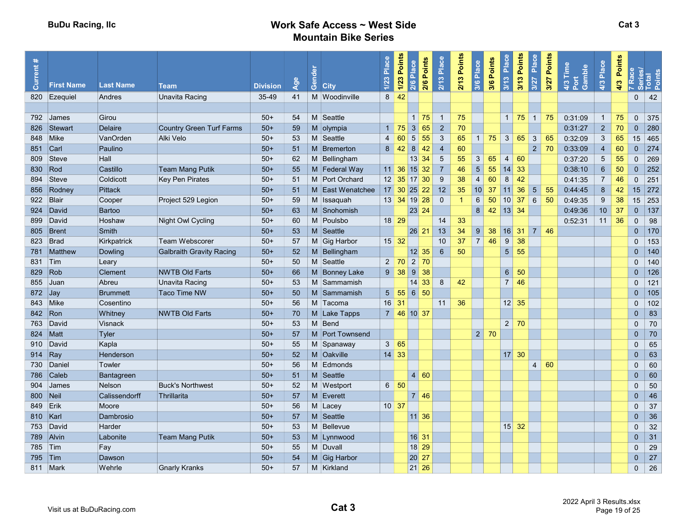| $\ast$<br><b>Current:</b> | <b>First Name</b> | <b>Last Name</b> | <b>Team</b>                     | <b>Division</b> | Age | Gender | <b>City</b>      | Place<br>1/23                     | 1/23 Points<br>2/6 Points<br>Place<br>2/6 | 2/13 Place      | 2/13 Points  | 3/6 Place                | 3/6 Points | Place<br>3/13  | Points<br>Place<br>$3/13$<br>3/27 | Points<br>3/27 | 4/3 Time<br>Gamble<br>Port | 4/3 Place       | Points<br>4/3 | Race           | Series/<br>Total<br>Points |
|---------------------------|-------------------|------------------|---------------------------------|-----------------|-----|--------|------------------|-----------------------------------|-------------------------------------------|-----------------|--------------|--------------------------|------------|----------------|-----------------------------------|----------------|----------------------------|-----------------|---------------|----------------|----------------------------|
| 820                       | Ezequiel          | Andres           | <b>Unavita Racing</b>           | 35-49           | 41  |        | M Woodinville    | 8                                 | 42                                        |                 |              |                          |            |                |                                   |                |                            |                 |               | 0              | 42                         |
|                           |                   |                  |                                 |                 |     |        |                  |                                   |                                           |                 |              |                          |            |                |                                   |                |                            |                 |               |                |                            |
|                           | 792 James         | Girou            |                                 | $50+$           | 54  |        | M Seattle        |                                   | $1 \overline{75}$                         | $\overline{1}$  | 75           |                          |            |                | $1 \mid 75 \mid 1$                | 75             | 0:31:09                    | $\overline{1}$  | 75            | $\Omega$       | 375                        |
| 826                       | Stewart           | <b>Delaire</b>   | <b>Country Green Turf Farms</b> | $50+$           | 59  |        | $M$ olympia      |                                   | $1 \overline{75}$<br>3 65                 | $\overline{2}$  | 70           |                          |            |                |                                   |                | 0:31:27                    | $\overline{2}$  | 70            | $\pmb{0}$      | 280                        |
|                           | 848 Mike          | VanOrden         | Alki Velo                       | $50+$           | 53  |        | M Seattle        | $\overline{4}$                    | 60<br>5 <sup>2</sup><br>55                | $\mathbf{3}$    | 65           | 1 <sup>1</sup>           | 75         | 3              | 65<br>$\mathbf{3}$                | 65             | 0:32:09                    | $\mathbf{3}$    | 65            | 15             | 465                        |
| 851 Carl                  |                   | Paulino          |                                 | $50+$           | 51  |        | M Bremerton      |                                   | 8 42 <br>$8 \mid$<br>42                   | $\overline{4}$  | 60           |                          |            |                | $\overline{2}$                    | 70             | 0:33:09                    | $\overline{4}$  | 60            | $\mathbf{0}$   | 274                        |
| 809                       | Steve             | Hall             |                                 | $50+$           | 62  |        | M Bellingham     |                                   | $13$ 34                                   | $\sqrt{5}$      | 55           | 3                        | 65         | $\overline{4}$ | 60                                |                | 0:37:20                    | $5\phantom{.0}$ | 55            | $\mathbf{0}$   | 269                        |
| 830                       | Rod               | Castillo         | <b>Team Mang Putik</b>          | $50+$           | 55  |        | M Federal Way    |                                   | $11 \vert 36 \vert 15 \vert 32$           | $\overline{7}$  | 46           | 5 <sup>5</sup>           | 55         | 14             | 33                                |                | 0:38:10                    | $\,$ 6 $\,$     | 50            | $\pmb{0}$      | 252                        |
| 894                       | Steve             | Coldicott        | Key Pen Pirates                 | $50+$           | 51  |        | M Port Orchard   |                                   | $12 \mid 35 \mid 17 \mid 30$              | 9               | 38           | $\overline{\mathcal{A}}$ | 60         | 8              | 42                                |                | 0:41:35                    | $\overline{7}$  | 46            | $\Omega$       | 251                        |
| 856                       | Rodney            | <b>Pittack</b>   |                                 | $50+$           | 51  |        | M East Wenatchee |                                   | $17 \,   \, 30 \,   \, 25 \,   \, 22$     | 12              | 35           | 10 <sup>1</sup>          | 37         | 11             | $5\phantom{.}$<br>36              | 55             | 0:44:45                    | 8               | 42            | 15             | 272                        |
|                           | 922 Blair         | Cooper           | Project 529 Legion              | $50+$           | 59  |        | M Issaquah       |                                   | 13 34 19 28                               | $\overline{0}$  | $\mathbf{1}$ | 6                        | 50         | 10             | $6\overline{6}$<br>37             | 50             | 0:49:35                    | 9               | 38            | 15             | 253                        |
|                           | 924 David         | Bartoo           |                                 | $50+$           | 63  |        | M Snohomish      |                                   | 23 24                                     |                 |              | 8                        | 42         |                | $13 \overline{\smash{)}34}$       |                | 0:49:36                    | 10              | 37            | $\mathbf{0}$   | 137                        |
| 899                       | David             | Hoshaw           | Night Owl Cycling               | $50+$           | 60  |        | M Poulsbo        | $18$ 29                           |                                           | 14              | 33           |                          |            |                |                                   |                | 0:52:31                    | 11              | 36            | $\mathbf{0}$   | 98                         |
| 805                       | Brent             | Smith            |                                 | $50+$           | 53  |        | M Seattle        |                                   | 26 21                                     | 13              | 34           | $9^{\circ}$              | 38         |                | $16$ 31 7                         | 46             |                            |                 |               | $\overline{0}$ | 170                        |
| 823                       | Brad              | Kirkpatrick      | <b>Team Webscorer</b>           | $50+$           | 57  |        | M Gig Harbor     |                                   | $15 \mid 32$                              | 10              | 37           | $\overline{7}$           | 46         | $9\,$          | 38                                |                |                            |                 |               | $\mathbf{0}$   | 153                        |
|                           | 781 Matthew       | Dowling          | <b>Galbraith Gravity Racing</b> | $50+$           | 52  |        | M Bellingham     |                                   | 12 35                                     | $6\phantom{1}6$ | 50           |                          |            |                | $5 \vert 55$                      |                |                            |                 |               | $\pmb{0}$      | 140                        |
| 831 Tim                   |                   | Leary            |                                 | $50+$           | 50  |        | M Seattle        |                                   | 2 70 <br>$2 \mid 70$                      |                 |              |                          |            |                |                                   |                |                            |                 |               | $\mathbf 0$    | 140                        |
| 829 Rob                   |                   | <b>Clement</b>   | <b>NWTB Old Farts</b>           | $50+$           | 66  |        | M Bonney Lake    | $9^{\circ}$                       | 38 <br>$9 \mid 38$                        |                 |              |                          |            | $6^{\circ}$    | 50                                |                |                            |                 |               | $\overline{0}$ | 126                        |
|                           | 855 Juan          | Abreu            | Unavita Racing                  | $50+$           | 53  |        | M Sammamish      |                                   | $14 \overline{\smash{)}33}$               | 8               | 42           |                          |            | 7 <sup>1</sup> | 46                                |                |                            |                 |               | $\mathbf{0}$   | 121                        |
| $872$ Jay                 |                   | <b>Brummett</b>  | Taco Time NW                    | $50+$           | 50  |        | M Sammamish      |                                   | $5 \t 55 \t 6 \t 50$                      |                 |              |                          |            |                |                                   |                |                            |                 |               | $\Omega$       | 105                        |
|                           | 843 Mike          | Cosentino        |                                 | $50+$           | 56  |        | M Tacoma         | $16$ 31                           |                                           | 11              | 36           |                          |            |                | $12 \mid 35$                      |                |                            |                 |               | $\mathbf 0$    | 102                        |
|                           | 842 Ron           | Whitney          | <b>NWTB Old Farts</b>           | $50+$           | 70  |        | M Lake Tapps     |                                   | 7 46 10 37                                |                 |              |                          |            |                |                                   |                |                            |                 |               | $\overline{0}$ | 83                         |
| 763                       | David             | Visnack          |                                 | $50+$           | 53  |        | M Bend           |                                   |                                           |                 |              |                          |            |                | $2 \mid 70$                       |                |                            |                 |               | $\mathbf{0}$   | 70                         |
| 824                       | <b>Natt</b>       | Tyler            |                                 | $50+$           | 57  |        | M Port Townsend  |                                   |                                           |                 |              | 2                        | 70         |                |                                   |                |                            |                 |               | $\overline{0}$ | 70                         |
| 910                       | David             | Kapla            |                                 | $50+$           | 55  |        | M Spanaway       | 3 <sup>1</sup>                    | 65                                        |                 |              |                          |            |                |                                   |                |                            |                 |               | $\mathbf 0$    | 65                         |
| 914 Ray                   |                   | Henderson        |                                 | $50+$           | 52  |        | M Oakville       | $14 \mid 33$                      |                                           |                 |              |                          |            |                | $17 \overline{\smash{\big)}\ 30}$ |                |                            |                 |               | $\overline{0}$ | 63                         |
|                           | 730 Daniel        | Towler           |                                 | $50+$           | 56  |        | M Edmonds        |                                   |                                           |                 |              |                          |            |                | $\overline{4}$                    | 60             |                            |                 |               | $\Omega$       | 60                         |
| 786                       | Caleb             | Bantagreen       |                                 | $50+$           | 51  |        | M Seattle        |                                   | 60<br>$\overline{4}$                      |                 |              |                          |            |                |                                   |                |                            |                 |               | $\overline{0}$ | 60                         |
| 904                       | <b>James</b>      | <b>Nelson</b>    | <b>Buck's Northwest</b>         | $50+$           | 52  |        | M Westport       |                                   | 6   50                                    |                 |              |                          |            |                |                                   |                |                            |                 |               | $\mathbf{0}$   | 50                         |
| 800   Neil                |                   | Calissendorff    | Thrillarita                     | $50+$           | 57  |        | M Everett        |                                   | $7 \overline{\smash{)}46}$                |                 |              |                          |            |                |                                   |                |                            |                 |               | $\overline{0}$ | 46                         |
| 849 Erik                  |                   | Moore            |                                 | $50+$           | 56  |        | M Lacey          | $10 \overline{\smash{\big)}\ 37}$ |                                           |                 |              |                          |            |                |                                   |                |                            |                 |               | $\mathbf 0$    | 37                         |
| 810   Karl                |                   | Dambrosio        |                                 | $50+$           | 57  |        | M Seattle        |                                   | $11 \, 36$                                |                 |              |                          |            |                |                                   |                |                            |                 |               | $\overline{0}$ | 36                         |
|                           | 753 David         | Harder           |                                 | $50+$           | 53  |        | M Bellevue       |                                   |                                           |                 |              |                          |            |                | $15 \overline{\smash{)}32}$       |                |                            |                 |               | $\mathbf 0$    | 32                         |
|                           | 789 Alvin         | Labonite         | <b>Team Mang Putik</b>          | $50+$           | 53  |        | M Lynnwood       |                                   | 16 31                                     |                 |              |                          |            |                |                                   |                |                            |                 |               | $\overline{0}$ | 31                         |
| 785 Tim                   |                   | Fay              |                                 | $50+$           | 55  |        | M Duvall         |                                   | $18$ 29                                   |                 |              |                          |            |                |                                   |                |                            |                 |               | $\mathbf 0$    | 29                         |
| 795                       | Tim               | Dawson           |                                 | $50+$           | 54  |        | M Gig Harbor     |                                   | 20 27                                     |                 |              |                          |            |                |                                   |                |                            |                 |               | $\overline{0}$ | 27                         |
|                           | 811 Mark          | Wehrle           | <b>Gnarly Kranks</b>            | $50+$           | 57  |        | M Kirkland       |                                   | 21 26                                     |                 |              |                          |            |                |                                   |                |                            |                 |               | $\mathbf 0$    | 26                         |
|                           |                   |                  |                                 |                 |     |        |                  |                                   |                                           |                 |              |                          |            |                |                                   |                |                            |                 |               |                |                            |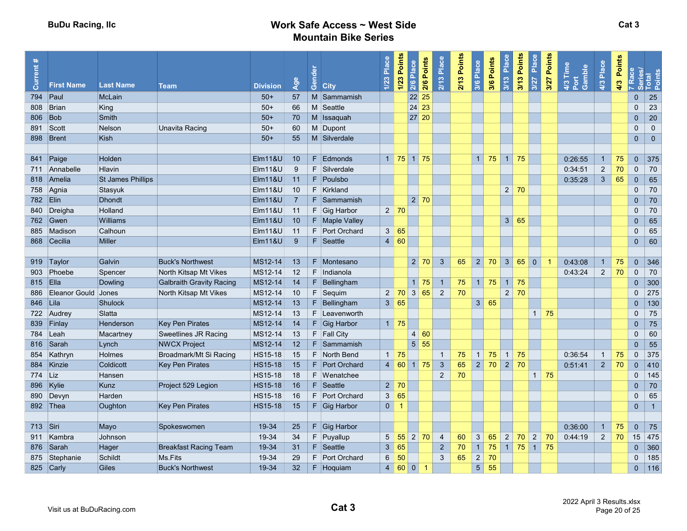| Current    | <b>First Name</b>   | <b>Last Name</b>  | <b>Team</b>                     | <b>Division</b>    | Age            | Gender | <b>City</b>    | Place<br>1/23  | 1/23 Points    | 2/6 Points<br>Place<br>2/6 | 2/13 Place     | 2/13 Points | 3/6 Place      | 3/6 Points | 3/13 Place     | 3/13 Points<br>Place<br>3/27 | Points<br>3/27 | 4/3 Time<br>Port<br>Gamble | 4/3 Place      | Points<br>4/3 |                | 7 Race<br>Series/<br>Total<br>Points |
|------------|---------------------|-------------------|---------------------------------|--------------------|----------------|--------|----------------|----------------|----------------|----------------------------|----------------|-------------|----------------|------------|----------------|------------------------------|----------------|----------------------------|----------------|---------------|----------------|--------------------------------------|
| 794        | Paul                | McLain            |                                 | $50+$              | 57             |        | M Sammamish    |                |                | 22 25                      |                |             |                |            |                |                              |                |                            |                |               | $\mathbf{0}$   | 25                                   |
| 808        | Brian               | King              |                                 | $50+$              | 66             |        | M Seattle      |                |                | 24 23                      |                |             |                |            |                |                              |                |                            |                |               | $\mathbf{0}$   | 23                                   |
| 806        | Bob                 | Smith             |                                 | $50+$              | 70             |        | M Issaquah     |                |                | 27 20                      |                |             |                |            |                |                              |                |                            |                |               | $\mathbf 0$    | 20                                   |
| 891        | Scott               | <b>Nelson</b>     | <b>Unavita Racing</b>           | $50+$              | 60             |        | M Dupont       |                |                |                            |                |             |                |            |                |                              |                |                            |                |               | $\Omega$       | $\mathbf{0}$                         |
|            | 898   Brent         | Kish              |                                 | $50+$              | 55             |        | M Silverdale   |                |                |                            |                |             |                |            |                |                              |                |                            |                |               | $\mathbf{0}$   | $\mathbf{0}$                         |
|            |                     |                   |                                 |                    |                |        |                |                |                |                            |                |             |                |            |                |                              |                |                            |                |               |                |                                      |
|            | 841 Paige           | Holden            |                                 | Elm11&U            | 10             |        | F Edmonds      |                |                | $1 \mid 75 \mid 1 \mid 75$ |                |             | $\overline{1}$ | 75         | $1 \mid 75$    |                              |                | 0:26:55                    | $\mathbf{1}$   | 75            | $\mathbf{0}$   | 375                                  |
|            | 711 Annabelle       | Hlavin            |                                 | <b>Elm11&amp;U</b> | -9             |        | F Silverdale   |                |                |                            |                |             |                |            |                |                              |                | 0:34:51                    | $\overline{2}$ | 70            | $\mathbf 0$    | 70                                   |
|            | 818 Amelia          | St James Phillips |                                 | Elm11&U            | 11             |        | F Poulsbo      |                |                |                            |                |             |                |            |                |                              |                | 0:35:28                    | $\mathbf{3}$   | 65            | $\Omega$       | 65                                   |
|            | 758 Agnia           | Stasyuk           |                                 | <b>Elm11&amp;U</b> | 10             |        | F Kirkland     |                |                |                            |                |             |                |            | $2 \mid 70$    |                              |                |                            |                |               | $\Omega$       | 70                                   |
| 782 Elin   |                     | <b>Dhondt</b>     |                                 | <b>Elm11&amp;U</b> | $\overline{7}$ |        | F Sammamish    |                |                | 2 70                       |                |             |                |            |                |                              |                |                            |                |               | $\mathbf{0}$   | 70                                   |
|            | 840 Dreigha         | Holland           |                                 | Elm11&U            | 11             |        | F Gig Harbor   |                | $2 \mid 70$    |                            |                |             |                |            |                |                              |                |                            |                |               | $\Omega$       | 70                                   |
|            | 762 Gwen            | Williams          |                                 | EIm118U            | 10             |        | F Maple Valley |                |                |                            |                |             |                |            | 3 <sup>1</sup> | 65                           |                |                            |                |               | $\mathbf 0$    | 65                                   |
|            | 885 Madison         | Calhoun           |                                 | EIM118U            | $-11$          |        | F Port Orchard |                | 3   65         |                            |                |             |                |            |                |                              |                |                            |                |               | $\mathbf 0$    | 65                                   |
|            | 868 Cecilia         | <b>Miller</b>     |                                 | <b>Elm11&amp;U</b> | -9             |        | F Seattle      |                | 4   60         |                            |                |             |                |            |                |                              |                |                            |                |               | $\mathbf{0}$   | 60                                   |
|            |                     |                   |                                 |                    |                |        |                |                |                |                            |                |             |                |            |                |                              |                |                            |                |               |                |                                      |
|            | 919 Taylor          | Galvin            | <b>Buck's Northwest</b>         | MS12-14            | 13             |        | F Montesano    |                |                | 2 70                       | $\mathbf{3}$   | 65          | 2              | 70         | 3 <sup>1</sup> | 65<br>$\overline{0}$         |                | 0:43:08                    | 1              | 75            | $\mathbf{0}$   | 346                                  |
| 903        | Phoebe              | Spencer           | North Kitsap Mt Vikes           | MS12-14            | 12             |        | F Indianola    |                |                |                            |                |             |                |            |                |                              |                | 0:43:24                    | $\overline{2}$ | 70            | $\mathbf{0}$   | 70                                   |
| 815 Ella   |                     | Dowling           | <b>Galbraith Gravity Racing</b> | MS12-14            | 14             |        | F Bellingham   |                |                | $1 \overline{75}$          | $\vert$ 1      | 75          | 1 <sup>1</sup> | 75         | 1              | 75                           |                |                            |                |               | $\mathbf{0}$   | 300                                  |
| 886        | Eleanor Gould Jones |                   | North Kitsap Mt Vikes           | MS12-14            | 10             |        | $F$ Sequim     |                |                | $2 \mid 70 \mid 3 \mid 65$ | $\overline{2}$ | 70          |                |            | $2^{\circ}$    | 70                           |                |                            |                |               | $\mathbf{0}$   | 275                                  |
| 846 Lila   |                     | Shulock           |                                 | MS12-14            | 13             |        | $F$ Bellingham |                | 3 65           |                            |                |             | 3 <sup>2</sup> | 65         |                |                              |                |                            |                |               | $\mathbf{0}$   | 130                                  |
|            | 722 Audrey          | Slatta            |                                 | MS12-14            | 13             |        | F Leavenworth  |                |                |                            |                |             |                |            |                | $\sqrt{1}$                   | 75             |                            |                |               | $\Omega$       | 75                                   |
|            | 839 Finlay          | Henderson         | Key Pen Pirates                 | MS12-14            | 14             |        | F Gig Harbor   |                | $1 \vert 75$   |                            |                |             |                |            |                |                              |                |                            |                |               | $\overline{0}$ | 75                                   |
|            | 784 Leah            | Macartney         | <b>Sweetlines JR Racing</b>     | MS12-14            | 13             |        | F Fall City    |                |                | 4 60                       |                |             |                |            |                |                              |                |                            |                |               | $\pmb{0}$      | 60                                   |
|            | 816 Sarah           | Lynch             | <b>NWCX Project</b>             | MS12-14            | 12             |        | F Sammamish    |                |                | $5 \vert 55$               |                |             |                |            |                |                              |                |                            |                |               | $\pmb{0}$      | 55                                   |
|            | 854 Kathryn         | Holmes            | Broadmark/Mt Si Racing          | <b>HS15-18</b>     | 15             |        | F North Bend   |                | $1 \mid 75$    |                            | $\overline{1}$ | 75          | 1 <sup>1</sup> | 75         | 1              | 75                           |                | 0:36:54                    | $\overline{1}$ | 75            | $\mathbf{0}$   | 375                                  |
|            | 884 Kinzie          | Coldicott         | <b>Key Pen Pirates</b>          | <b>HS15-18</b>     | 15             |        | F Port Orchard |                |                | 4   60   1   75            | $\mathbf{3}$   | 65          | 2              | 70         | 2              | 70                           |                | 0:51:41                    | $\overline{2}$ | 70            | $\mathbf{0}$   | 410                                  |
| 774 Liz    |                     | Hansen            |                                 | <b>HS15-18</b>     | 18             |        | F Wenatchee    |                |                |                            | $\overline{2}$ | 70          |                |            |                |                              | $1 \mid 75$    |                            |                |               | $\mathbf 0$    | 145                                  |
|            | 896 Kylie           | Kunz              | Project 529 Legion              | <b>HS15-18</b>     | 16             |        | F Seattle      |                | $2 \mid 70$    |                            |                |             |                |            |                |                              |                |                            |                |               | $\mathbf{0}$   | 70                                   |
|            | 890 Devyn           | Harden            |                                 | <b>HS15-18</b>     | 16             |        | F Port Orchard |                | 3 65           |                            |                |             |                |            |                |                              |                |                            |                |               | $\mathbf 0$    | 65                                   |
|            | 892 Thea            | Oughton           | <b>Key Pen Pirates</b>          | <b>HS15-18</b>     | 15             |        | $F$ Gig Harbor | 0 <sup>1</sup> | $\overline{1}$ |                            |                |             |                |            |                |                              |                |                            |                |               | $\mathbf{0}$   | $\overline{1}$                       |
|            |                     |                   |                                 |                    |                |        |                |                |                |                            |                |             |                |            |                |                              |                |                            |                |               |                |                                      |
| 713   Siri |                     | Mayo              | Spokeswomen                     | 19-34              | 25             |        | $F$ Gig Harbor |                |                |                            |                |             |                |            |                |                              |                | 0:36:00                    | $\mathbf{1}$   | 75            | $\Omega$       | 75                                   |
|            | 911 Kambra          | Johnson           |                                 | 19-34              | 34             |        | F Puyallup     | 5              | 55             | $2 \mid 70$                | $\overline{4}$ | 60          | 3              | 65         | $\overline{2}$ | 70<br>$\overline{2}$         | 70             | 0:44:19                    | $\overline{2}$ | 70            | 15             | 475                                  |
|            | 876 Sarah           | Hager             | <b>Breakfast Racing Team</b>    | 19-34              | 31             |        | F Seattle      | $\mathbf{3}$   | 65             |                            | $\overline{2}$ | 70          | 1 <sup>1</sup> | 75         | $1 \mid 75$    | $\vert 1 \vert$              | 75             |                            |                |               | $\mathbf 0$    | 360                                  |
|            | 875 Stephanie       | Schildt           | Ms.Fits                         | 19-34              | 29             |        | F Port Orchard | 6              | 50             |                            | 3              | 65          | $\overline{2}$ | 70         |                |                              |                |                            |                |               | $\mathbf{0}$   | 185                                  |
|            | 825 Carly           | <b>Giles</b>      | <b>Buck's Northwest</b>         | 19-34              | 32             |        | $F$ Hoquiam    |                | 4   60   0     | -1                         |                |             | 5 <sup>1</sup> | 55         |                |                              |                |                            |                |               | $\mathbf{0}$   | 116                                  |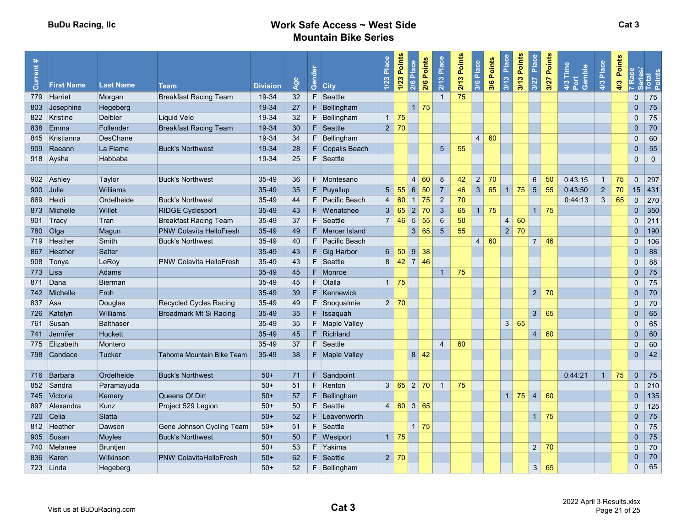| Current | <b>First Name</b>         | <b>Last Name</b> | <b>Team</b>                    | <b>Division</b> | Age | Gender<br><b>City</b> | 1/23 Place     | 1/23 Points       | 2/6 Points<br>Place<br>2/6 | $2/13$ Place   | 2/13 Points | 3/6 Place      | 3/6 Points | 3/13 Place     | 3/13 Points<br>Place<br>3/27 | Points<br>3/27 | $4/3$ Time<br>Gamble<br>Port | 4/3 Place      | Points<br>4/3 |                | 7 Race<br>Series/<br>Total<br>Points |
|---------|---------------------------|------------------|--------------------------------|-----------------|-----|-----------------------|----------------|-------------------|----------------------------|----------------|-------------|----------------|------------|----------------|------------------------------|----------------|------------------------------|----------------|---------------|----------------|--------------------------------------|
|         | 779 Harriet               | Morgan           | <b>Breakfast Racing Team</b>   | 19-34           | 32  | F<br>Seattle          |                |                   |                            | $\overline{1}$ | 75          |                |            |                |                              |                |                              |                |               | $\mathbf{0}$   | 75                                   |
| 803     | Josephine                 | Hegeberg         |                                | 19-34           | 27  | $F$ Bellingham        |                |                   | $1$ 75                     |                |             |                |            |                |                              |                |                              |                |               | $\overline{0}$ | 75                                   |
|         | 822 Kristine              | Deibler          | Liquid Velo                    | 19-34           | 32  | F.<br>Bellingham      |                | $1 \mid 75$       |                            |                |             |                |            |                |                              |                |                              |                |               | $\mathbf 0$    | 75                                   |
| 838     | $\mathsf{E}_{\mathsf{m}}$ | Follender        | <b>Breakfast Racing Team</b>   | 19-34           | 30  | $F$ Seattle           |                | $2 \mid 70$       |                            |                |             |                |            |                |                              |                |                              |                |               | $\Omega$       | 70                                   |
| 845     | Kristianna                | DesChane         |                                | 19-34           | 34  | F Bellingham          |                |                   |                            |                |             | 4 <sup>1</sup> | 60         |                |                              |                |                              |                |               | $\Omega$       | 60                                   |
|         | 909 Raeann                | La Flame         | <b>Buck's Northwest</b>        | 19-34           | 28  | F Copalis Beach       |                |                   |                            | $5\phantom{.}$ | 55          |                |            |                |                              |                |                              |                |               | $\overline{0}$ | 55                                   |
|         | 918 Aysha                 | Habbaba          |                                | 19-34           | 25  | F Seattle             |                |                   |                            |                |             |                |            |                |                              |                |                              |                |               | $\mathbf 0$    | $\mathbf{0}$                         |
|         |                           |                  |                                |                 |     |                       |                |                   |                            |                |             |                |            |                |                              |                |                              |                |               |                |                                      |
|         | 902 Ashley                | Taylor           | <b>Buck's Northwest</b>        | 35-49           | 36  | F Montesano           |                |                   | $\vert$ 4<br>60            | 8              | 42          | 2              | 70         |                | 6                            | 50             | 0:43:15                      | $\overline{1}$ | 75            | $\mathbf{0}$   | 297                                  |
|         | 900 Julie                 | Williams         |                                | 35-49           | 35  | $F$ Puyallup          | 5 <sup>1</sup> | 55                | 6 50                       | $\overline{7}$ | 46          | 3 <sup>1</sup> | 65         | 1              | 75<br>$5\overline{)}$        | 55             | 0:43:50                      | $\overline{2}$ | 70            | 15             | 431                                  |
|         | 869 Heidi                 | Ordelheide       | <b>Buck's Northwest</b>        | 35-49           | 44  | F Pacific Beach       | $\overline{4}$ |                   | $60$ 1 75                  | $\overline{2}$ | 70          |                |            |                |                              |                | 0:44:13                      | 3              | 65            | $\mathbf{0}$   | 270                                  |
|         | 873 Michelle              | Willet           | <b>RIDGE Cyclesport</b>        | 35-49           | 43  | F Wenatchee           |                | 3   65            | $2 \overline{70}$          | $\mathbf{3}$   | 65          | $\mathbf{1}$   | 75         |                | 1                            | 75             |                              |                |               | $\mathbf{0}$   | 350                                  |
|         | 901 Tracy                 | Tran             | <b>Breakfast Racing Team</b>   | 35-49           | 37  | F Seattle             |                | $7 \mid 46$       | 5 <sup>1</sup><br>55       | $6\phantom{1}$ | 50          |                |            | $\overline{4}$ | 60                           |                |                              |                |               | $\mathbf 0$    | 211                                  |
|         | 780 Olga                  | Magun            | <b>PNW Colavita HelloFresh</b> | 35-49           | 49  | F Mercer Island       |                |                   | 3 <sup>1</sup><br>65       | $\sqrt{5}$     | 55          |                |            | $\overline{2}$ | 70                           |                |                              |                |               | $\pmb{0}$      | 190                                  |
|         | 719 Heather               | Smith            | <b>Buck's Northwest</b>        | 35-49           | 40  | F Pacific Beach       |                |                   |                            |                |             | 4 <sup>1</sup> | 60         |                | $\overline{7}$               | 46             |                              |                |               | $\mathbf{0}$   | 106                                  |
| 867     | Heather                   | Salter           |                                | 35-49           | 43  | $F$ Gig Harbor        |                |                   | $6$ 50 9 38                |                |             |                |            |                |                              |                |                              |                |               | $\overline{0}$ | 88                                   |
|         | 908 Tonya                 | LeRoy            | <b>PNW Colavita HelloFresh</b> | 35-49           | 43  | F Seattle             |                |                   | $8 \mid 42 \mid 7 \mid 46$ |                |             |                |            |                |                              |                |                              |                |               | $\Omega$       | 88                                   |
|         | 773 Lisa                  | Adams            |                                | 35-49           | 45  | F Monroe              |                |                   |                            | $\mathbf{1}$   | 75          |                |            |                |                              |                |                              |                |               | $\mathbf{0}$   | 75                                   |
| 871     | Dana                      | <b>Bierman</b>   |                                | 35-49           | 45  | $F$ Olalla            |                | $1 \overline{75}$ |                            |                |             |                |            |                |                              |                |                              |                |               | $\mathbf 0$    | 75                                   |
|         | 742 Michelle              | Froh             |                                | 35-49           | 39  | F Kennewick           |                |                   |                            |                |             |                |            |                | $2^{\circ}$                  | 70             |                              |                |               | $\overline{0}$ | 70                                   |
| 837 Asa |                           | Douglas          | Recycled Cycles Racing         | 35-49           | 49  | F Snoqualmie          |                | $2 \mid 70$       |                            |                |             |                |            |                |                              |                |                              |                |               | $\Omega$       | 70                                   |
|         | 726 Katelyn               | Williams         | Broadmark Mt Si Racing         | 35-49           | 35  | $F$ Issaquah          |                |                   |                            |                |             |                |            |                | 3 <sup>1</sup>               | 65             |                              |                |               | $\overline{0}$ | 65                                   |
|         | 761 Susan                 | <b>Balthaser</b> |                                | 35-49           | 35  | F   Maple Valley      |                |                   |                            |                |             |                |            | 3 <sup>1</sup> | 65                           |                |                              |                |               | $\Omega$       | 65                                   |
| 741     | Jennifer                  | <b>Huckett</b>   |                                | 35-49           | 45  | $F$ Richland          |                |                   |                            |                |             |                |            |                | $\overline{4}$               | 60             |                              |                |               | $\overline{0}$ | 60                                   |
| 775     | Elizabeth                 | Montero          |                                | 35-49           | 37  | F Seattle             |                |                   |                            | $\overline{4}$ | 60          |                |            |                |                              |                |                              |                |               | $\mathbf{0}$   | 60                                   |
| 798     | Candace                   | Tucker           | Tahoma Mountain Bike Team      | 35-49           | 38  | F Maple Valley        |                |                   | $8 \mid 42$                |                |             |                |            |                |                              |                |                              |                |               | $\mathbf{0}$   | 42                                   |
|         |                           |                  |                                |                 |     |                       |                |                   |                            |                |             |                |            |                |                              |                |                              |                |               |                |                                      |
|         | 716 Barbara               | Ordelheide       | <b>Buck's Northwest</b>        | $50+$           | 71  | $F$ Sandpoint         |                |                   |                            |                |             |                |            |                |                              |                | 0:44:21                      | $\overline{1}$ | 75            | $\mathbf{0}$   | 75                                   |
|         | 852 Sandra                | Paramayuda       |                                | $50+$           | 51  | F Renton              |                |                   | 3 65 2 70                  | $\overline{1}$ | 75          |                |            |                |                              |                |                              |                |               | $\Omega$       | 210                                  |
| 745     | Victoria                  | Kemery           | Queens Of Dirt                 | $50+$           | 57  | $F$ Bellingham        |                |                   |                            |                |             |                |            | $\overline{1}$ | $\overline{4}$<br>75         | 60             |                              |                |               | $\mathbf{0}$   | 135                                  |
| 897     | Alexandra                 | Kunz             | Project 529 Legion             | $50+$           | 50  | $F$ Seattle           |                |                   | $4 \ 60 \ 3 \ 65$          |                |             |                |            |                |                              |                |                              |                |               | $\mathbf 0$    | 125                                  |
|         | 720 Celia                 | Slatta           |                                | $50+$           | 52  | F Leavenworth         |                |                   |                            |                |             |                |            |                | 1                            | 75             |                              |                |               | $\Omega$       | 75                                   |
|         | 812 Heather               | Dawson           | Gene Johnson Cycling Team      | $50+$           | 51  | F Seattle             |                |                   | $1 \overline{75}$          |                |             |                |            |                |                              |                |                              |                |               | $\mathbf 0$    | 75                                   |
|         | 905 Susan                 | Moyles           | <b>Buck's Northwest</b>        | $50+$           | 50  | $F$ Westport          |                | $1 \mid 75$       |                            |                |             |                |            |                |                              |                |                              |                |               | $\Omega$       | 75                                   |
|         | 740 Melanee               | <b>Bruntjen</b>  |                                | $50+$           | 53  | F Yakima              |                |                   |                            |                |             |                |            |                | $2^{\circ}$                  | 70             |                              |                |               | $\mathbf 0$    | 70                                   |
| 836     | Karen                     | Wilkinson        | <b>PNW ColavitaHelloFresh</b>  | $50+$           | 62  | F Seattle             |                | $2 \mid 70$       |                            |                |             |                |            |                |                              |                |                              |                |               | $\mathbf{0}$   | 70                                   |
|         | 723 Linda                 | Hegeberg         |                                | $50+$           | 52  | $F$ Bellingham        |                |                   |                            |                |             |                |            |                | 3 <sup>1</sup>               | 65             |                              |                |               | $\mathbf{0}$   | 65                                   |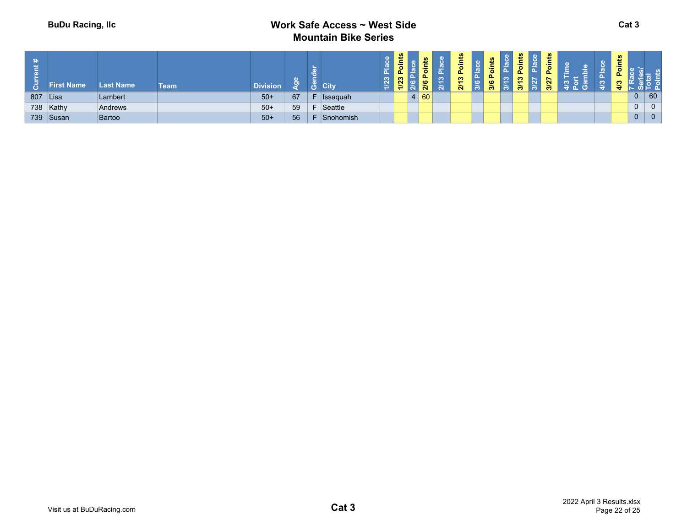| $\ast$<br>$\bar{\alpha}$ . | <b>First Name</b> | <b>Last Name</b> | Team | <b>Division</b> |    |    | <b>City</b>     | ∼<br>$\infty$<br>Ñ. | ഗ<br>Ë.<br>$\overline{P}$<br>1/23 | 高<br><u>م</u><br>ဖ<br>$\mathbf{a}$ | ≃<br>က<br>$\overline{\mathbf{N}}$ | ∸<br>$\overline{\bullet}$<br>$\frac{3}{2}$<br>$\mathbf{N}$ | ℒ<br>Poin<br>$\bullet$<br>ത | $\boldsymbol{v}$<br>۳<br>ㅎ<br>بالمتلاء<br>$\sim$<br>$\mathbf{r}$<br>$\infty$<br>∞<br>൚ | உ<br>r | w | Ξ. |                |                |
|----------------------------|-------------------|------------------|------|-----------------|----|----|-----------------|---------------------|-----------------------------------|------------------------------------|-----------------------------------|------------------------------------------------------------|-----------------------------|----------------------------------------------------------------------------------------|--------|---|----|----------------|----------------|
| 807 Lisa                   |                   | Lambert          |      | $50+$           | 67 |    | <b>Issaquah</b> |                     |                                   | 60                                 |                                   |                                                            |                             |                                                                                        |        |   |    | $\mathbf{0}$   | 60             |
|                            | 738 Kathy         | Andrews          |      | $50+$           | 59 | E. | Seattle         |                     |                                   |                                    |                                   |                                                            |                             |                                                                                        |        |   |    | $\overline{0}$ | $\overline{0}$ |
|                            | 739 Susan         | Bartoo           |      | $50+$           | 56 | E  | Snohomish       |                     |                                   |                                    |                                   |                                                            |                             |                                                                                        |        |   |    | $\overline{0}$ | 0              |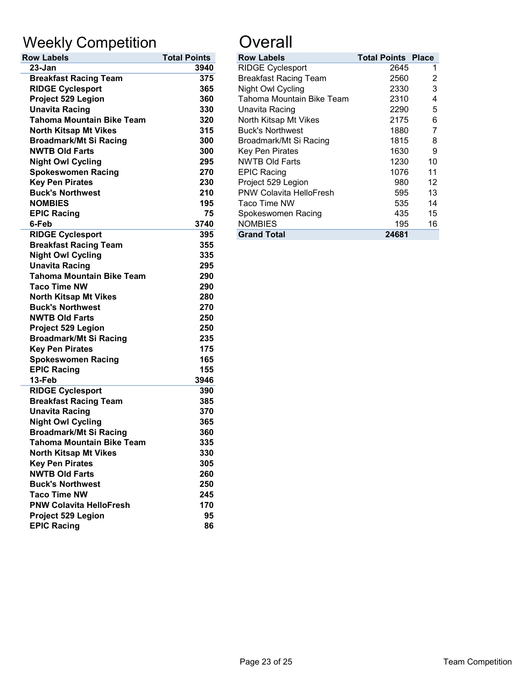# Weekly Competition **Constanting Constant**

| <b>Row Labels</b>                | <b>Total Points</b> | <b>Row Labels</b>              | <b>Total Points</b> |
|----------------------------------|---------------------|--------------------------------|---------------------|
| 23-Jan                           | 3940                | <b>RIDGE Cyclesport</b>        | 2645                |
| <b>Breakfast Racing Team</b>     | 375                 | <b>Breakfast Racing Team</b>   | 2560                |
| <b>RIDGE Cyclesport</b>          | 365                 | Night Owl Cycling              | 2330                |
| Project 529 Legion               | 360                 | Tahoma Mountain Bike Team      | 2310                |
| <b>Unavita Racing</b>            | 330                 | Unavita Racing                 | 2290                |
| <b>Tahoma Mountain Bike Team</b> | 320                 | North Kitsap Mt Vikes          | 2175                |
| <b>North Kitsap Mt Vikes</b>     | 315                 | <b>Buck's Northwest</b>        | 1880                |
| <b>Broadmark/Mt Si Racing</b>    | 300                 | Broadmark/Mt Si Racing         | 1815                |
| <b>NWTB Old Farts</b>            | 300                 | Key Pen Pirates                | 1630                |
| <b>Night Owl Cycling</b>         | 295                 | <b>NWTB Old Farts</b>          | 1230                |
| <b>Spokeswomen Racing</b>        | 270                 | <b>EPIC Racing</b>             | 1076                |
| <b>Key Pen Pirates</b>           | 230                 | Project 529 Legion             | 980                 |
| <b>Buck's Northwest</b>          | 210                 | <b>PNW Colavita HelloFresh</b> | 595                 |
| <b>NOMBIES</b>                   | 195                 | Taco Time NW                   | 535                 |
| <b>EPIC Racing</b>               | 75                  | Spokeswomen Racing             | 435                 |
| 6-Feb                            | 3740                | <b>NOMBIES</b>                 | 195                 |
| <b>RIDGE Cyclesport</b>          | 395                 | <b>Grand Total</b>             | 24681               |
| <b>Breakfast Racing Team</b>     | 355                 |                                |                     |
| <b>Night Owl Cycling</b>         | 335                 |                                |                     |
| <b>Unavita Racing</b>            | 295                 |                                |                     |
| <b>Tahoma Mountain Bike Team</b> | 290                 |                                |                     |
| <b>Taco Time NW</b>              | 290                 |                                |                     |
| <b>North Kitsap Mt Vikes</b>     | 280                 |                                |                     |
| <b>Buck's Northwest</b>          | 270                 |                                |                     |
| <b>NWTB Old Farts</b>            | 250                 |                                |                     |
| Project 529 Legion               | 250                 |                                |                     |
| <b>Broadmark/Mt Si Racing</b>    | 235                 |                                |                     |
| <b>Key Pen Pirates</b>           | 175                 |                                |                     |
| <b>Spokeswomen Racing</b>        | 165                 |                                |                     |
| <b>EPIC Racing</b>               | 155                 |                                |                     |
| 13-Feb                           | 3946                |                                |                     |
| <b>RIDGE Cyclesport</b>          | 390                 |                                |                     |
| <b>Breakfast Racing Team</b>     | 385                 |                                |                     |
| <b>Unavita Racing</b>            | 370                 |                                |                     |
| <b>Night Owl Cycling</b>         | 365                 |                                |                     |
| <b>Broadmark/Mt Si Racing</b>    | 360                 |                                |                     |
| <b>Tahoma Mountain Bike Team</b> | 335                 |                                |                     |
| <b>North Kitsap Mt Vikes</b>     | 330                 |                                |                     |
| <b>Key Pen Pirates</b>           | 305                 |                                |                     |
| <b>NWTB Old Farts</b>            | 260                 |                                |                     |
| <b>Buck's Northwest</b>          | 250                 |                                |                     |
| <b>Taco Time NW</b>              | 245                 |                                |                     |
| <b>PNW Colavita HelloFresh</b>   | 170                 |                                |                     |
| Project 529 Legion               | 95                  |                                |                     |
| <b>EPIC Racing</b>               | 86                  |                                |                     |

| <b>Total Points</b> | <b>Row Labels</b>              |       |                                                                                                                                                      |
|---------------------|--------------------------------|-------|------------------------------------------------------------------------------------------------------------------------------------------------------|
| 3940                | <b>RIDGE Cyclesport</b>        |       |                                                                                                                                                      |
| 375                 | <b>Breakfast Racing Team</b>   |       | 2                                                                                                                                                    |
| 365                 | Night Owl Cycling              |       | 3                                                                                                                                                    |
| 360                 | Tahoma Mountain Bike Team      |       | 4                                                                                                                                                    |
| 330                 | Unavita Racing                 |       | 5                                                                                                                                                    |
| 320                 | North Kitsap Mt Vikes          |       | 6                                                                                                                                                    |
| 315                 | <b>Buck's Northwest</b>        |       |                                                                                                                                                      |
| 300                 | Broadmark/Mt Si Racing         |       | 8                                                                                                                                                    |
| 300                 | Key Pen Pirates                |       | 9                                                                                                                                                    |
| 295                 | <b>NWTB Old Farts</b>          |       | 10                                                                                                                                                   |
| 270                 | <b>EPIC Racing</b>             |       | 11                                                                                                                                                   |
| 230                 | Project 529 Legion             |       | 12                                                                                                                                                   |
| 210                 | <b>PNW Colavita HelloFresh</b> |       | 13                                                                                                                                                   |
| 195                 | Taco Time NW                   |       | 14                                                                                                                                                   |
| 75                  | Spokeswomen Racing             |       | 15                                                                                                                                                   |
| 3740                | <b>NOMBIES</b>                 |       | 16                                                                                                                                                   |
| 395                 | <b>Grand Total</b>             | 24681 |                                                                                                                                                      |
|                     |                                |       | <b>Total Points Place</b><br>2645<br>2560<br>2330<br>2310<br>2290<br>2175<br>1880<br>1815<br>1630<br>1230<br>1076<br>980<br>595<br>535<br>435<br>195 |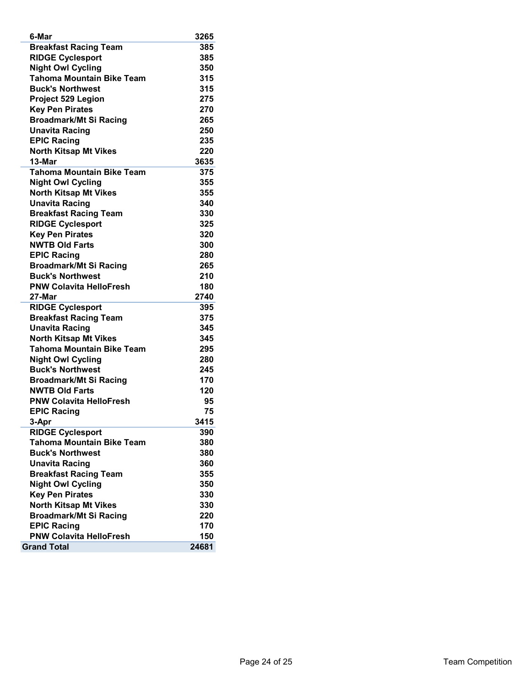| <b>Breakfast Racing Team</b><br>385<br><b>RIDGE Cyclesport</b><br>385<br><b>Night Owl Cycling</b><br>350<br><b>Tahoma Mountain Bike Team</b><br>315<br><b>Buck's Northwest</b><br>315<br>Project 529 Legion<br>275<br><b>Key Pen Pirates</b><br>270<br><b>Broadmark/Mt Si Racing</b><br>265<br><b>Unavita Racing</b><br>250<br><b>EPIC Racing</b><br>235<br><b>North Kitsap Mt Vikes</b><br>220<br>13-Mar<br>3635<br><b>Tahoma Mountain Bike Team</b><br>375<br><b>Night Owl Cycling</b><br>355<br><b>North Kitsap Mt Vikes</b><br>355<br><b>Unavita Racing</b><br>340<br><b>Breakfast Racing Team</b><br>330<br>325<br><b>RIDGE Cyclesport</b><br><b>Key Pen Pirates</b><br>320<br><b>NWTB Old Farts</b><br>300<br><b>EPIC Racing</b><br>280<br><b>Broadmark/Mt Si Racing</b><br>265<br><b>Buck's Northwest</b><br>210<br><b>PNW Colavita HelloFresh</b><br>180<br>2740<br>27-Mar<br><b>RIDGE Cyclesport</b><br>395<br><b>Breakfast Racing Team</b><br>375<br><b>Unavita Racing</b><br>345<br><b>North Kitsap Mt Vikes</b><br>345<br><b>Tahoma Mountain Bike Team</b><br>295<br><b>Night Owl Cycling</b><br>280<br><b>Buck's Northwest</b><br>245<br>170<br><b>Broadmark/Mt Si Racing</b><br>120<br><b>NWTB Old Farts</b><br><b>PNW Colavita HelloFresh</b><br>95<br><b>EPIC Racing</b><br>75<br>3-Apr<br>3415<br><b>RIDGE Cyclesport</b><br>390<br><b>Tahoma Mountain Bike Team</b><br>380<br><b>Buck's Northwest</b><br>380<br><b>Unavita Racing</b><br>360<br><b>Breakfast Racing Team</b><br>355<br><b>Night Owl Cycling</b><br>350<br><b>Key Pen Pirates</b><br>330<br><b>North Kitsap Mt Vikes</b><br>330<br><b>Broadmark/Mt Si Racing</b><br>220<br><b>EPIC Racing</b><br>170<br><b>PNW Colavita HelloFresh</b><br>150 | 6-Mar              | 3265  |
|--------------------------------------------------------------------------------------------------------------------------------------------------------------------------------------------------------------------------------------------------------------------------------------------------------------------------------------------------------------------------------------------------------------------------------------------------------------------------------------------------------------------------------------------------------------------------------------------------------------------------------------------------------------------------------------------------------------------------------------------------------------------------------------------------------------------------------------------------------------------------------------------------------------------------------------------------------------------------------------------------------------------------------------------------------------------------------------------------------------------------------------------------------------------------------------------------------------------------------------------------------------------------------------------------------------------------------------------------------------------------------------------------------------------------------------------------------------------------------------------------------------------------------------------------------------------------------------------------------------------------------------------------------------------------------------------------------------------------------|--------------------|-------|
|                                                                                                                                                                                                                                                                                                                                                                                                                                                                                                                                                                                                                                                                                                                                                                                                                                                                                                                                                                                                                                                                                                                                                                                                                                                                                                                                                                                                                                                                                                                                                                                                                                                                                                                                |                    |       |
|                                                                                                                                                                                                                                                                                                                                                                                                                                                                                                                                                                                                                                                                                                                                                                                                                                                                                                                                                                                                                                                                                                                                                                                                                                                                                                                                                                                                                                                                                                                                                                                                                                                                                                                                |                    |       |
|                                                                                                                                                                                                                                                                                                                                                                                                                                                                                                                                                                                                                                                                                                                                                                                                                                                                                                                                                                                                                                                                                                                                                                                                                                                                                                                                                                                                                                                                                                                                                                                                                                                                                                                                |                    |       |
|                                                                                                                                                                                                                                                                                                                                                                                                                                                                                                                                                                                                                                                                                                                                                                                                                                                                                                                                                                                                                                                                                                                                                                                                                                                                                                                                                                                                                                                                                                                                                                                                                                                                                                                                |                    |       |
|                                                                                                                                                                                                                                                                                                                                                                                                                                                                                                                                                                                                                                                                                                                                                                                                                                                                                                                                                                                                                                                                                                                                                                                                                                                                                                                                                                                                                                                                                                                                                                                                                                                                                                                                |                    |       |
|                                                                                                                                                                                                                                                                                                                                                                                                                                                                                                                                                                                                                                                                                                                                                                                                                                                                                                                                                                                                                                                                                                                                                                                                                                                                                                                                                                                                                                                                                                                                                                                                                                                                                                                                |                    |       |
|                                                                                                                                                                                                                                                                                                                                                                                                                                                                                                                                                                                                                                                                                                                                                                                                                                                                                                                                                                                                                                                                                                                                                                                                                                                                                                                                                                                                                                                                                                                                                                                                                                                                                                                                |                    |       |
|                                                                                                                                                                                                                                                                                                                                                                                                                                                                                                                                                                                                                                                                                                                                                                                                                                                                                                                                                                                                                                                                                                                                                                                                                                                                                                                                                                                                                                                                                                                                                                                                                                                                                                                                |                    |       |
|                                                                                                                                                                                                                                                                                                                                                                                                                                                                                                                                                                                                                                                                                                                                                                                                                                                                                                                                                                                                                                                                                                                                                                                                                                                                                                                                                                                                                                                                                                                                                                                                                                                                                                                                |                    |       |
|                                                                                                                                                                                                                                                                                                                                                                                                                                                                                                                                                                                                                                                                                                                                                                                                                                                                                                                                                                                                                                                                                                                                                                                                                                                                                                                                                                                                                                                                                                                                                                                                                                                                                                                                |                    |       |
|                                                                                                                                                                                                                                                                                                                                                                                                                                                                                                                                                                                                                                                                                                                                                                                                                                                                                                                                                                                                                                                                                                                                                                                                                                                                                                                                                                                                                                                                                                                                                                                                                                                                                                                                |                    |       |
|                                                                                                                                                                                                                                                                                                                                                                                                                                                                                                                                                                                                                                                                                                                                                                                                                                                                                                                                                                                                                                                                                                                                                                                                                                                                                                                                                                                                                                                                                                                                                                                                                                                                                                                                |                    |       |
|                                                                                                                                                                                                                                                                                                                                                                                                                                                                                                                                                                                                                                                                                                                                                                                                                                                                                                                                                                                                                                                                                                                                                                                                                                                                                                                                                                                                                                                                                                                                                                                                                                                                                                                                |                    |       |
|                                                                                                                                                                                                                                                                                                                                                                                                                                                                                                                                                                                                                                                                                                                                                                                                                                                                                                                                                                                                                                                                                                                                                                                                                                                                                                                                                                                                                                                                                                                                                                                                                                                                                                                                |                    |       |
|                                                                                                                                                                                                                                                                                                                                                                                                                                                                                                                                                                                                                                                                                                                                                                                                                                                                                                                                                                                                                                                                                                                                                                                                                                                                                                                                                                                                                                                                                                                                                                                                                                                                                                                                |                    |       |
|                                                                                                                                                                                                                                                                                                                                                                                                                                                                                                                                                                                                                                                                                                                                                                                                                                                                                                                                                                                                                                                                                                                                                                                                                                                                                                                                                                                                                                                                                                                                                                                                                                                                                                                                |                    |       |
|                                                                                                                                                                                                                                                                                                                                                                                                                                                                                                                                                                                                                                                                                                                                                                                                                                                                                                                                                                                                                                                                                                                                                                                                                                                                                                                                                                                                                                                                                                                                                                                                                                                                                                                                |                    |       |
|                                                                                                                                                                                                                                                                                                                                                                                                                                                                                                                                                                                                                                                                                                                                                                                                                                                                                                                                                                                                                                                                                                                                                                                                                                                                                                                                                                                                                                                                                                                                                                                                                                                                                                                                |                    |       |
|                                                                                                                                                                                                                                                                                                                                                                                                                                                                                                                                                                                                                                                                                                                                                                                                                                                                                                                                                                                                                                                                                                                                                                                                                                                                                                                                                                                                                                                                                                                                                                                                                                                                                                                                |                    |       |
|                                                                                                                                                                                                                                                                                                                                                                                                                                                                                                                                                                                                                                                                                                                                                                                                                                                                                                                                                                                                                                                                                                                                                                                                                                                                                                                                                                                                                                                                                                                                                                                                                                                                                                                                |                    |       |
|                                                                                                                                                                                                                                                                                                                                                                                                                                                                                                                                                                                                                                                                                                                                                                                                                                                                                                                                                                                                                                                                                                                                                                                                                                                                                                                                                                                                                                                                                                                                                                                                                                                                                                                                |                    |       |
|                                                                                                                                                                                                                                                                                                                                                                                                                                                                                                                                                                                                                                                                                                                                                                                                                                                                                                                                                                                                                                                                                                                                                                                                                                                                                                                                                                                                                                                                                                                                                                                                                                                                                                                                |                    |       |
|                                                                                                                                                                                                                                                                                                                                                                                                                                                                                                                                                                                                                                                                                                                                                                                                                                                                                                                                                                                                                                                                                                                                                                                                                                                                                                                                                                                                                                                                                                                                                                                                                                                                                                                                |                    |       |
|                                                                                                                                                                                                                                                                                                                                                                                                                                                                                                                                                                                                                                                                                                                                                                                                                                                                                                                                                                                                                                                                                                                                                                                                                                                                                                                                                                                                                                                                                                                                                                                                                                                                                                                                |                    |       |
|                                                                                                                                                                                                                                                                                                                                                                                                                                                                                                                                                                                                                                                                                                                                                                                                                                                                                                                                                                                                                                                                                                                                                                                                                                                                                                                                                                                                                                                                                                                                                                                                                                                                                                                                |                    |       |
|                                                                                                                                                                                                                                                                                                                                                                                                                                                                                                                                                                                                                                                                                                                                                                                                                                                                                                                                                                                                                                                                                                                                                                                                                                                                                                                                                                                                                                                                                                                                                                                                                                                                                                                                |                    |       |
|                                                                                                                                                                                                                                                                                                                                                                                                                                                                                                                                                                                                                                                                                                                                                                                                                                                                                                                                                                                                                                                                                                                                                                                                                                                                                                                                                                                                                                                                                                                                                                                                                                                                                                                                |                    |       |
|                                                                                                                                                                                                                                                                                                                                                                                                                                                                                                                                                                                                                                                                                                                                                                                                                                                                                                                                                                                                                                                                                                                                                                                                                                                                                                                                                                                                                                                                                                                                                                                                                                                                                                                                |                    |       |
|                                                                                                                                                                                                                                                                                                                                                                                                                                                                                                                                                                                                                                                                                                                                                                                                                                                                                                                                                                                                                                                                                                                                                                                                                                                                                                                                                                                                                                                                                                                                                                                                                                                                                                                                |                    |       |
|                                                                                                                                                                                                                                                                                                                                                                                                                                                                                                                                                                                                                                                                                                                                                                                                                                                                                                                                                                                                                                                                                                                                                                                                                                                                                                                                                                                                                                                                                                                                                                                                                                                                                                                                |                    |       |
|                                                                                                                                                                                                                                                                                                                                                                                                                                                                                                                                                                                                                                                                                                                                                                                                                                                                                                                                                                                                                                                                                                                                                                                                                                                                                                                                                                                                                                                                                                                                                                                                                                                                                                                                |                    |       |
|                                                                                                                                                                                                                                                                                                                                                                                                                                                                                                                                                                                                                                                                                                                                                                                                                                                                                                                                                                                                                                                                                                                                                                                                                                                                                                                                                                                                                                                                                                                                                                                                                                                                                                                                |                    |       |
|                                                                                                                                                                                                                                                                                                                                                                                                                                                                                                                                                                                                                                                                                                                                                                                                                                                                                                                                                                                                                                                                                                                                                                                                                                                                                                                                                                                                                                                                                                                                                                                                                                                                                                                                |                    |       |
|                                                                                                                                                                                                                                                                                                                                                                                                                                                                                                                                                                                                                                                                                                                                                                                                                                                                                                                                                                                                                                                                                                                                                                                                                                                                                                                                                                                                                                                                                                                                                                                                                                                                                                                                |                    |       |
|                                                                                                                                                                                                                                                                                                                                                                                                                                                                                                                                                                                                                                                                                                                                                                                                                                                                                                                                                                                                                                                                                                                                                                                                                                                                                                                                                                                                                                                                                                                                                                                                                                                                                                                                |                    |       |
|                                                                                                                                                                                                                                                                                                                                                                                                                                                                                                                                                                                                                                                                                                                                                                                                                                                                                                                                                                                                                                                                                                                                                                                                                                                                                                                                                                                                                                                                                                                                                                                                                                                                                                                                |                    |       |
|                                                                                                                                                                                                                                                                                                                                                                                                                                                                                                                                                                                                                                                                                                                                                                                                                                                                                                                                                                                                                                                                                                                                                                                                                                                                                                                                                                                                                                                                                                                                                                                                                                                                                                                                |                    |       |
|                                                                                                                                                                                                                                                                                                                                                                                                                                                                                                                                                                                                                                                                                                                                                                                                                                                                                                                                                                                                                                                                                                                                                                                                                                                                                                                                                                                                                                                                                                                                                                                                                                                                                                                                |                    |       |
|                                                                                                                                                                                                                                                                                                                                                                                                                                                                                                                                                                                                                                                                                                                                                                                                                                                                                                                                                                                                                                                                                                                                                                                                                                                                                                                                                                                                                                                                                                                                                                                                                                                                                                                                |                    |       |
|                                                                                                                                                                                                                                                                                                                                                                                                                                                                                                                                                                                                                                                                                                                                                                                                                                                                                                                                                                                                                                                                                                                                                                                                                                                                                                                                                                                                                                                                                                                                                                                                                                                                                                                                |                    |       |
|                                                                                                                                                                                                                                                                                                                                                                                                                                                                                                                                                                                                                                                                                                                                                                                                                                                                                                                                                                                                                                                                                                                                                                                                                                                                                                                                                                                                                                                                                                                                                                                                                                                                                                                                |                    |       |
|                                                                                                                                                                                                                                                                                                                                                                                                                                                                                                                                                                                                                                                                                                                                                                                                                                                                                                                                                                                                                                                                                                                                                                                                                                                                                                                                                                                                                                                                                                                                                                                                                                                                                                                                |                    |       |
|                                                                                                                                                                                                                                                                                                                                                                                                                                                                                                                                                                                                                                                                                                                                                                                                                                                                                                                                                                                                                                                                                                                                                                                                                                                                                                                                                                                                                                                                                                                                                                                                                                                                                                                                |                    |       |
|                                                                                                                                                                                                                                                                                                                                                                                                                                                                                                                                                                                                                                                                                                                                                                                                                                                                                                                                                                                                                                                                                                                                                                                                                                                                                                                                                                                                                                                                                                                                                                                                                                                                                                                                |                    |       |
|                                                                                                                                                                                                                                                                                                                                                                                                                                                                                                                                                                                                                                                                                                                                                                                                                                                                                                                                                                                                                                                                                                                                                                                                                                                                                                                                                                                                                                                                                                                                                                                                                                                                                                                                |                    |       |
|                                                                                                                                                                                                                                                                                                                                                                                                                                                                                                                                                                                                                                                                                                                                                                                                                                                                                                                                                                                                                                                                                                                                                                                                                                                                                                                                                                                                                                                                                                                                                                                                                                                                                                                                |                    |       |
|                                                                                                                                                                                                                                                                                                                                                                                                                                                                                                                                                                                                                                                                                                                                                                                                                                                                                                                                                                                                                                                                                                                                                                                                                                                                                                                                                                                                                                                                                                                                                                                                                                                                                                                                |                    |       |
|                                                                                                                                                                                                                                                                                                                                                                                                                                                                                                                                                                                                                                                                                                                                                                                                                                                                                                                                                                                                                                                                                                                                                                                                                                                                                                                                                                                                                                                                                                                                                                                                                                                                                                                                |                    |       |
|                                                                                                                                                                                                                                                                                                                                                                                                                                                                                                                                                                                                                                                                                                                                                                                                                                                                                                                                                                                                                                                                                                                                                                                                                                                                                                                                                                                                                                                                                                                                                                                                                                                                                                                                | <b>Grand Total</b> | 24681 |